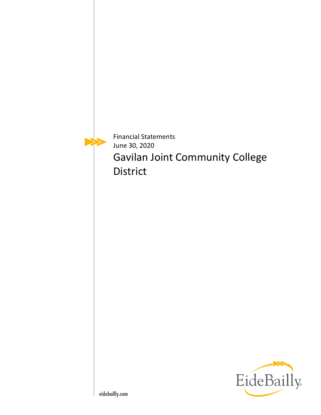

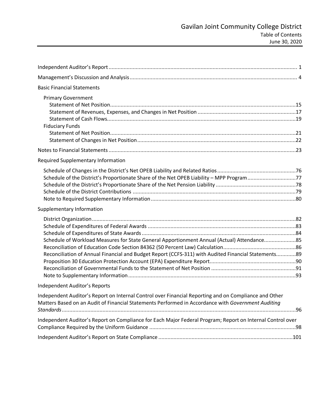| <b>Basic Financial Statements</b>                                                                                                                                                                           |  |
|-------------------------------------------------------------------------------------------------------------------------------------------------------------------------------------------------------------|--|
| <b>Primary Government</b><br><b>Fiduciary Funds</b>                                                                                                                                                         |  |
|                                                                                                                                                                                                             |  |
| Required Supplementary Information                                                                                                                                                                          |  |
| Schedule of the District's Proportionate Share of the Net OPEB Liability - MPP Program77                                                                                                                    |  |
| Supplementary Information                                                                                                                                                                                   |  |
| Schedule of Workload Measures for State General Apportionment Annual (Actual) Attendance85<br>Reconciliation of Annual Financial and Budget Report (CCFS-311) with Audited Financial Statements89           |  |
| Independent Auditor's Reports                                                                                                                                                                               |  |
| Independent Auditor's Report on Internal Control over Financial Reporting and on Compliance and Other<br>Matters Based on an Audit of Financial Statements Performed in Accordance with Government Auditing |  |
| Independent Auditor's Report on Compliance for Each Major Federal Program; Report on Internal Control over                                                                                                  |  |
|                                                                                                                                                                                                             |  |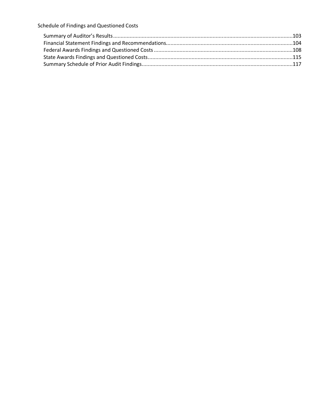Schedule of Findings and Questioned Costs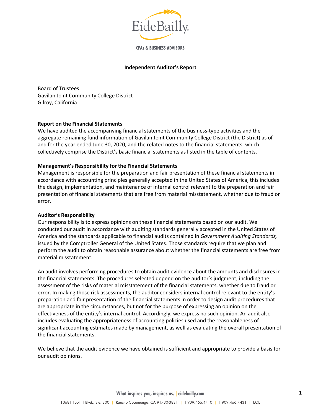

**CPAs & BUSINESS ADVISORS** 

### **Independent Auditor's Report**

Board of Trustees Gavilan Joint Community College District Gilroy, California

### **Report on the Financial Statements**

We have audited the accompanying financial statements of the business-type activities and the aggregate remaining fund information of Gavilan Joint Community College District (the District) as of and for the year ended June 30, 2020, and the related notes to the financial statements, which collectively comprise the District's basic financial statements as listed in the table of contents.

### **Management's Responsibility for the Financial Statements**

Management is responsible for the preparation and fair presentation of these financial statements in accordance with accounting principles generally accepted in the United States of America; this includes the design, implementation, and maintenance of internal control relevant to the preparation and fair presentation of financial statements that are free from material misstatement, whether due to fraud or error.

# **Auditor's Responsibility**

Our responsibility is to express opinions on these financial statements based on our audit. We conducted our audit in accordance with auditing standards generally accepted in the United States of America and the standards applicable to financial audits contained in *Government Auditing Standards,*  issued by the Comptroller General of the United States. Those standards require that we plan and perform the audit to obtain reasonable assurance about whether the financial statements are free from material misstatement.

An audit involves performing procedures to obtain audit evidence about the amounts and disclosures in the financial statements. The procedures selected depend on the auditor's judgment, including the assessment of the risks of material misstatement of the financial statements, whether due to fraud or error. In making those risk assessments, the auditor considers internal control relevant to the entity's preparation and fair presentation of the financial statements in order to design audit procedures that are appropriate in the circumstances, but not for the purpose of expressing an opinion on the effectiveness of the entity's internal control. Accordingly, we express no such opinion. An audit also includes evaluating the appropriateness of accounting policies used and the reasonableness of significant accounting estimates made by management, as well as evaluating the overall presentation of the financial statements.

We believe that the audit evidence we have obtained is sufficient and appropriate to provide a basis for our audit opinions.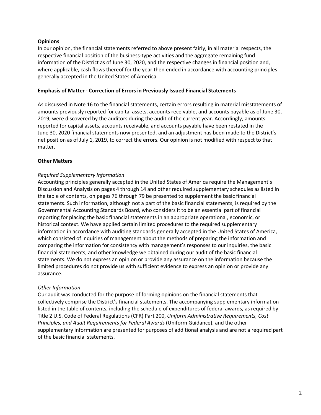# **Opinions**

In our opinion, the financial statements referred to above present fairly, in all material respects, the respective financial position of the business-type activities and the aggregate remaining fund information of the District as of June 30, 2020, and the respective changes in financial position and, where applicable, cash flows thereof for the year then ended in accordance with accounting principles generally accepted in the United States of America.

# **Emphasis of Matter - Correction of Errors in Previously Issued Financial Statements**

As discussed in Note 16 to the financial statements, certain errors resulting in material misstatements of amounts previously reported for capital assets, accounts receivable, and accounts payable as of June 30, 2019, were discovered by the auditors during the audit of the current year. Accordingly, amounts reported for capital assets, accounts receivable, and accounts payable have been restated in the June 30, 2020 financial statements now presented, and an adjustment has been made to the District's net position as of July 1, 2019, to correct the errors. Our opinion is not modified with respect to that matter.

# **Other Matters**

# *Required Supplementary Information*

Accounting principles generally accepted in the United States of America require the Management's Discussion and Analysis on pages 4 through 14 and other required supplementary schedules as listed in the table of contents, on pages 76 through 79 be presented to supplement the basic financial statements. Such information, although not a part of the basic financial statements, is required by the Governmental Accounting Standards Board, who considers it to be an essential part of financial reporting for placing the basic financial statements in an appropriate operational, economic, or historical context. We have applied certain limited procedures to the required supplementary information in accordance with auditing standards generally accepted in the United States of America, which consisted of inquiries of management about the methods of preparing the information and comparing the information for consistency with management's responses to our inquiries, the basic financial statements, and other knowledge we obtained during our audit of the basic financial statements. We do not express an opinion or provide any assurance on the information because the limited procedures do not provide us with sufficient evidence to express an opinion or provide any assurance.

# *Other Information*

Our audit was conducted for the purpose of forming opinions on the financial statements that collectively comprise the District's financial statements. The accompanying supplementary information listed in the table of contents, including the schedule of expenditures of federal awards, as required by Title 2 U.S. Code of Federal Regulations (CFR) Part 200, *Uniform Administrative Requirements, Cost Principles, and Audit Requirements for Federal Awards* (Uniform Guidance), and the other supplementary information are presented for purposes of additional analysis and are not a required part of the basic financial statements.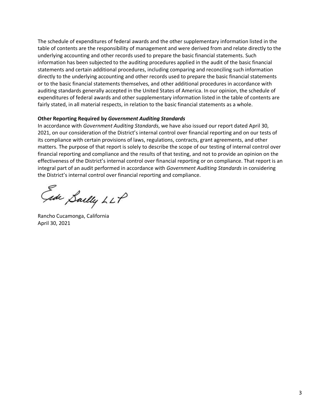The schedule of expenditures of federal awards and the other supplementary information listed in the table of contents are the responsibility of management and were derived from and relate directly to the underlying accounting and other records used to prepare the basic financial statements. Such information has been subjected to the auditing procedures applied in the audit of the basic financial statements and certain additional procedures, including comparing and reconciling such information directly to the underlying accounting and other records used to prepare the basic financial statements or to the basic financial statements themselves, and other additional procedures in accordance with auditing standards generally accepted in the United States of America. In our opinion, the schedule of expenditures of federal awards and other supplementary information listed in the table of contents are fairly stated, in all material respects, in relation to the basic financial statements as a whole.

### **Other Reporting Required by** *Government Auditing Standards*

In accordance with *Government Auditing Standards*, we have also issued our report dated April 30, 2021, on our consideration of the District's internal control over financial reporting and on our tests of its compliance with certain provisions of laws, regulations, contracts, grant agreements, and other matters. The purpose of that report is solely to describe the scope of our testing of internal control over financial reporting and compliance and the results of that testing, and not to provide an opinion on the effectiveness of the District's internal control over financial reporting or on compliance. That report is an integral part of an audit performed in accordance with *Government Auditing Standards* in considering the District's internal control over financial reporting and compliance.

Fade Sailly LLP

Rancho Cucamonga, California April 30, 2021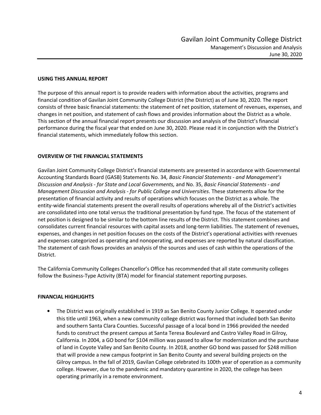# **USING THIS ANNUAL REPORT**

The purpose of this annual report is to provide readers with information about the activities, programs and financial condition of Gavilan Joint Community College District (the District) as of June 30, 2020. The report consists of three basic financial statements: the statement of net position, statement of revenues, expenses, and changes in net position, and statement of cash flows and provides information about the District as a whole. This section of the annual financial report presents our discussion and analysis of the District's financial performance during the fiscal year that ended on June 30, 2020. Please read it in conjunction with the District's financial statements, which immediately follow this section.

# **OVERVIEW OF THE FINANCIAL STATEMENTS**

Gavilan Joint Community College District's financial statements are presented in accordance with Governmental Accounting Standards Board (GASB) Statements No. 34*, Basic Financial Statements - and Management's Discussion and Analysis - for State and Local Governments,* and No. 35, *Basic Financial Statements - and Management Discussion and Analysis - for Public College and Universities*. These statements allow for the presentation of financial activity and results of operations which focuses on the District as a whole. The entity-wide financial statements present the overall results of operations whereby all of the District's activities are consolidated into one total versus the traditional presentation by fund type. The focus of the statement of net position is designed to be similar to the bottom line results of the District. This statement combines and consolidates current financial resources with capital assets and long-term liabilities. The statement of revenues, expenses, and changes in net position focuses on the costs of the District's operational activities with revenues and expenses categorized as operating and nonoperating, and expenses are reported by natural classification. The statement of cash flows provides an analysis of the sources and uses of cash within the operations of the District.

The California Community Colleges Chancellor's Office has recommended that all state community colleges follow the Business-Type Activity (BTA) model for financial statement reporting purposes.

# **FINANCIAL HIGHLIGHTS**

• The District was originally established in 1919 as San Benito County Junior College. It operated under this title until 1963, when a new community college district was formed that included both San Benito and southern Santa Clara Counties. Successful passage of a local bond in 1966 provided the needed funds to construct the present campus at Santa Teresa Boulevard and Castro Valley Road in Gilroy, California. In 2004, a GO bond for \$104 million was passed to allow for modernization and the purchase of land in Coyote Valley and San Benito County. In 2018, another GO bond was passed for \$248 million that will provide a new campus footprint in San Benito County and several building projects on the Gilroy campus. In the fall of 2019, Gavilan College celebrated its 100th year of operation as a community college. However, due to the pandemic and mandatory quarantine in 2020, the college has been operating primarily in a remote environment.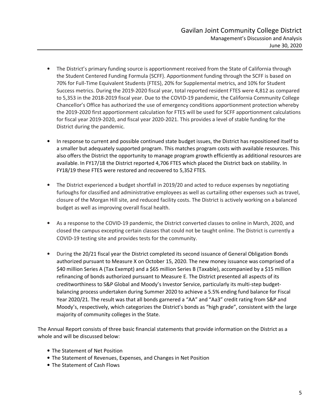- The District's primary funding source is apportionment received from the State of California through the Student Centered Funding Formula {SCFF}. Apportionment funding through the SCFF is based on 70% for Full-Time Equivalent Students {FTES}, 20% for Supplemental metrics, and 10% for Student Success metrics. During the 2019-2020 fiscal year, total reported resident FTES were 4,812 as compared to 5,353 in the 2018-2019 fiscal year. Due to the COVID-19 pandemic, the California Community College Chancellor's Office has authorized the use of emergency conditions apportionment protection whereby the 2019-2020 first apportionment calculation for FTES will be used for SCFF apportionment calculations for fiscal year 2019-2020, and fiscal year 2020-2021. This provides a level of stable funding for the District during the pandemic.
- In response to current and possible continued state budget issues, the District has repositioned itself to a smaller but adequately supported program. This matches program costs with available resources. This also offers the District the opportunity to manage program growth efficiently as additional resources are available. In FY17/18 the District reported 4,706 FTES which placed the District back on stability. In FY18/19 these FTES were restored and recovered to 5,352 FTES.
- The District experienced a budget shortfall in 2019/20 and acted to reduce expenses by negotiating furloughs for classified and administrative employees as well as curtailing other expenses such as travel, closure of the Morgan Hill site, and reduced facility costs. The District is actively working on a balanced budget as well as improving overall fiscal health.
- As a response to the COVID-19 pandemic, the District converted classes to online in March, 2020, and closed the campus excepting certain classes that could not be taught online. The District is currently a COVID-19 testing site and provides tests for the community.
- During the 20/21 fiscal year the District completed its second issuance of General Obligation Bonds authorized pursuant to Measure X on October 15, 2020. The new money issuance was comprised of a \$40 million Series A (Tax Exempt) and a \$65 million Series B (Taxable), accompanied by a \$15 million refinancing of bonds authorized pursuant to Measure E. The District presented all aspects of its creditworthiness to S&P Global and Moody's Investor Service, particularly its multi-step budgetbalancing process undertaken during Summer 2020 to achieve a 5.5% ending fund balance for Fiscal Year 2020/21. The result was that all bonds garnered a "AA" and "Aa3" credit rating from S&P and Moody's, respectively, which categorizes the District's bonds as "high grade", consistent with the large majority of community colleges in the State.

The Annual Report consists of three basic financial statements that provide information on the District as a whole and will be discussed below:

- The Statement of Net Position
- The Statement of Revenues, Expenses, and Changes in Net Position
- The Statement of Cash Flows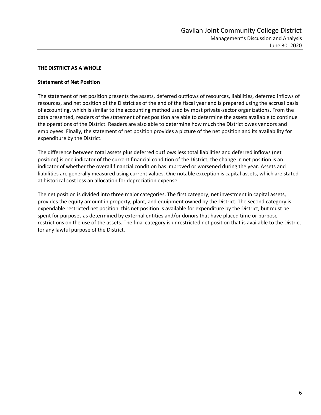# **THE DISTRICT AS A WHOLE**

# **Statement of Net Position**

The statement of net position presents the assets, deferred outflows of resources, liabilities, deferred inflows of resources, and net position of the District as of the end of the fiscal year and is prepared using the accrual basis of accounting, which is similar to the accounting method used by most private-sector organizations. From the data presented, readers of the statement of net position are able to determine the assets available to continue the operations of the District. Readers are also able to determine how much the District owes vendors and employees. Finally, the statement of net position provides a picture of the net position and its availability for expenditure by the District.

The difference between total assets plus deferred outflows less total liabilities and deferred inflows (net position) is one indicator of the current financial condition of the District; the change in net position is an indicator of whether the overall financial condition has improved or worsened during the year. Assets and liabilities are generally measured using current values. One notable exception is capital assets, which are stated at historical cost less an allocation for depreciation expense.

The net position is divided into three major categories. The first category, net investment in capital assets, provides the equity amount in property, plant, and equipment owned by the District. The second category is expendable restricted net position; this net position is available for expenditure by the District, but must be spent for purposes as determined by external entities and/or donors that have placed time or purpose restrictions on the use of the assets. The final category is unrestricted net position that is available to the District for any lawful purpose of the District.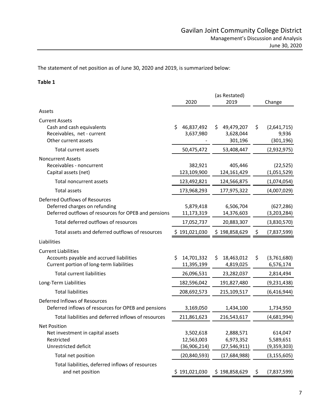The statement of net position as of June 30, 2020 and 2019, is summarized below:

# **Table 1**

|                                                                                                                         | 2020                                    | (as Restated)<br>2019                     | Change                                   |
|-------------------------------------------------------------------------------------------------------------------------|-----------------------------------------|-------------------------------------------|------------------------------------------|
| Assets                                                                                                                  |                                         |                                           |                                          |
| <b>Current Assets</b><br>Cash and cash equivalents<br>Receivables, net - current<br>Other current assets                | \$<br>46,837,492<br>3,637,980           | 49,479,207<br>\$.<br>3,628,044<br>301,196 | \$<br>(2,641,715)<br>9,936<br>(301, 196) |
| Total current assets                                                                                                    | 50,475,472                              | 53,408,447                                | (2,932,975)                              |
| <b>Noncurrent Assets</b><br>Receivables - noncurrent<br>Capital assets (net)                                            | 382,921<br>123,109,900                  | 405,446<br>124,161,429                    | (22, 525)<br>(1,051,529)                 |
| Total noncurrent assets                                                                                                 | 123,492,821                             | 124,566,875                               | (1,074,054)                              |
| <b>Total assets</b>                                                                                                     | 173,968,293                             | 177,975,322                               | (4,007,029)                              |
| Deferred Outflows of Resources<br>Deferred charges on refunding<br>Deferred outflows of resources for OPEB and pensions | 5,879,418<br>11,173,319                 | 6,506,704<br>14,376,603                   | (627, 286)<br>(3,203,284)                |
| Total deferred outflows of resources                                                                                    | 17,052,737                              | 20,883,307                                | (3,830,570)                              |
| Total assets and deferred outflows of resources                                                                         | \$191,021,030                           | \$198,858,629                             | \$<br>(7,837,599)                        |
| Liabilities                                                                                                             |                                         |                                           |                                          |
| <b>Current Liabilities</b><br>Accounts payable and accrued liabilities<br>Current portion of long-term liabilities      | \$<br>14,701,332<br>11,395,199          | 18,463,012<br>\$<br>4,819,025             | \$<br>(3,761,680)<br>6,576,174           |
| <b>Total current liabilities</b>                                                                                        | 26,096,531                              | 23,282,037                                | 2,814,494                                |
| Long-Term Liabilities                                                                                                   | 182,596,042                             | 191,827,480                               | (9, 231, 438)                            |
| <b>Total liabilities</b>                                                                                                | 208,692,573                             | 215,109,517                               | (6,416,944)                              |
| Deferred Inflows of Resources<br>Deferred inflows of resources for OPEB and pensions                                    | 3,169,050                               | 1,434,100                                 | 1,734,950                                |
| Total liabilities and deferred inflows of resources                                                                     | 211,861,623                             | 216,543,617                               | (4,681,994)                              |
| <b>Net Position</b><br>Net investment in capital assets<br>Restricted<br>Unrestricted deficit                           | 3,502,618<br>12,563,003<br>(36,906,214) | 2,888,571<br>6,973,352<br>(27, 546, 911)  | 614,047<br>5,589,651<br>(9,359,303)      |
| Total net position                                                                                                      | (20, 840, 593)                          | (17,684,988)                              | (3, 155, 605)                            |
| Total liabilities, deferred inflows of resources<br>and net position                                                    | \$191,021,030                           | \$198,858,629                             | \$<br>(7,837,599)                        |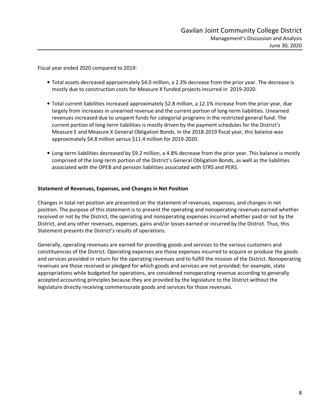Fiscal year ended 2020 compared to 2019:

- Total assets decreased approximately \$4.0 million, a 2.3% decrease from the prior year. The decrease is mostly due to construction costs for Measure X funded projects incurred in 2019-2020.
- Total current liabilities increased approximately \$2.8 million, a 12.1% increase from the prior year, due largely from increases in unearned revenue and the current portion of long-term liabilities. Unearned revenues increased due to unspent funds for categorial programs in the restricted general fund. The current portion of long-term liabilities is mostly driven by the payment schedules for the District's Measure E and Measure X General Obligation Bonds. In the 2018-2019 fiscal year, this balance was approximately \$4.8 million versus \$11.4 million for 2019-2020.
- Long-term liabilities decreased by \$9.2 million, a 4.8% decrease from the prior year. This balance is mostly comprised of the long-term portion of the District's General Obligation Bonds, as well as the liabilities associated with the OPEB and pension liabilities associated with STRS and PERS.

### **Statement of Revenues, Expenses, and Changes in Net Position**

Changes in total net position are presented on the statement of revenues, expenses, and changes in net position. The purpose of this statement is to present the operating and nonoperating revenues earned whether received or not by the District, the operating and nonoperating expenses incurred whether paid or not by the District, and any other revenues, expenses, gains and/or losses earned or incurred by the District. Thus, this Statement presents the District's results of operations.

Generally, operating revenues are earned for providing goods and services to the various customers and constituencies of the District. Operating expenses are those expenses incurred to acquire or produce the goods and services provided in return for the operating revenues and to fulfill the mission of the District. Nonoperating revenues are those received or pledged for which goods and services are not provided; for example, state appropriations while budgeted for operations, are considered nonoperating revenue according to generally accepted accounting principles because they are provided by the legislature to the District without the legislature directly receiving commensurate goods and services for those revenues.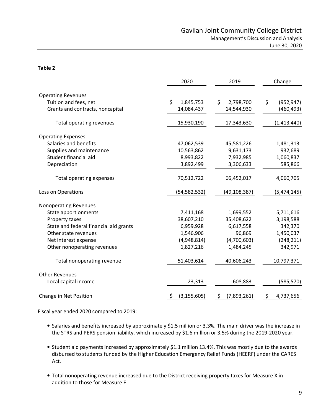### **Table 2**

|                                        | 2020                          | 2019                          |                                |
|----------------------------------------|-------------------------------|-------------------------------|--------------------------------|
|                                        |                               |                               |                                |
| <b>Operating Revenues</b>              |                               |                               |                                |
| Tuition and fees, net                  | \$<br>1,845,753<br>14,084,437 | \$<br>2,798,700<br>14,544,930 | \$<br>(952, 947)<br>(460, 493) |
| Grants and contracts, noncapital       |                               |                               |                                |
| Total operating revenues               | 15,930,190                    | 17,343,630                    | (1,413,440)                    |
| <b>Operating Expenses</b>              |                               |                               |                                |
| Salaries and benefits                  | 47,062,539                    | 45,581,226                    | 1,481,313                      |
| Supplies and maintenance               | 10,563,862                    | 9,631,173                     | 932,689                        |
| Student financial aid                  | 8,993,822                     | 7,932,985                     | 1,060,837                      |
| Depreciation                           | 3,892,499                     | 3,306,633                     | 585,866                        |
| <b>Total operating expenses</b>        | 70,512,722                    | 66,452,017                    | 4,060,705                      |
|                                        |                               |                               |                                |
| Loss on Operations                     | (54, 582, 532)                | (49, 108, 387)                | (5,474,145)                    |
| <b>Nonoperating Revenues</b>           |                               |                               |                                |
| State apportionments                   | 7,411,168                     | 1,699,552                     | 5,711,616                      |
| Property taxes                         | 38,607,210                    | 35,408,622                    | 3,198,588                      |
| State and federal financial aid grants | 6,959,928                     | 6,617,558                     | 342,370                        |
| Other state revenues                   | 1,546,906                     | 96,869                        | 1,450,037                      |
| Net interest expense                   | (4,948,814)                   | (4,700,603)                   | (248, 211)                     |
| Other nonoperating revenues            | 1,827,216                     | 1,484,245                     | 342,971                        |
| Total nonoperating revenue             | 51,403,614                    | 40,606,243                    | 10,797,371                     |
| <b>Other Revenues</b>                  |                               |                               |                                |
| Local capital income                   | 23,313                        | 608,883                       | (585, 570)                     |
| Change in Net Position                 | (3, 155, 605)<br>\$           | \$<br>(7,893,261)             | \$<br>4,737,656                |

Fiscal year ended 2020 compared to 2019:

- Salaries and benefits increased by approximately \$1.5 million or 3.3%. The main driver was the increase in the STRS and PERS pension liability, which increased by \$1.6 million or 3.5% during the 2019-2020 year.
- Student aid payments increased by approximately \$1.1 million 13.4%. This was mostly due to the awards disbursed to students funded by the Higher Education Emergency Relief Funds (HEERF) under the CARES Act.
- Total nonoperating revenue increased due to the District receiving property taxes for Measure X in addition to those for Measure E.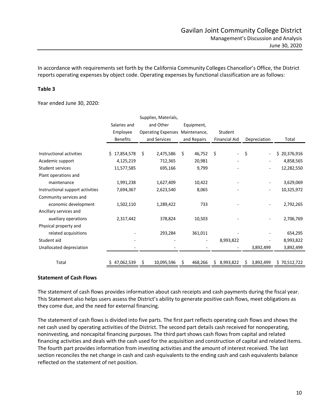In accordance with requirements set forth by the California Community Colleges Chancellor's Office, the District reports operating expenses by object code. Operating expenses by functional classification are as follows:

### **Table 3**

Year ended June 30, 2020:

|                                  |                 | Supplies, Materials,      |               |                      |                  |              |
|----------------------------------|-----------------|---------------------------|---------------|----------------------|------------------|--------------|
|                                  | Salaries and    | and Other                 | Equipment,    |                      |                  |              |
|                                  | Employee        | <b>Operating Expenses</b> | Maintenance,  | Student              |                  |              |
|                                  | <b>Benefits</b> | and Services              | and Repairs   | <b>Financial Aid</b> | Depreciation     | Total        |
|                                  |                 |                           |               |                      |                  |              |
| Instructional activities         | 17,854,578      | Ś.<br>2,475,586           | \$<br>46,752  | \$                   | \$               | \$20,376,916 |
| Academic support                 | 4,125,219       | 712,365                   | 20,981        |                      |                  | 4,858,565    |
| Student services                 | 11,577,585      | 695,166                   | 9,799         |                      |                  | 12,282,550   |
| Plant operations and             |                 |                           |               |                      |                  |              |
| maintenance                      | 1,991,238       | 1,627,409                 | 10,422        |                      |                  | 3,629,069    |
| Instructional support activities | 7,694,367       | 2,623,540                 | 8,065         |                      |                  | 10,325,972   |
| Community services and           |                 |                           |               |                      |                  |              |
| economic development             | 1,502,110       | 1,289,422                 | 733           |                      |                  | 2,792,265    |
| Ancillary services and           |                 |                           |               |                      |                  |              |
| auxiliary operations             | 2,317,442       | 378,824                   | 10,503        |                      |                  | 2,706,769    |
| Physical property and            |                 |                           |               |                      |                  |              |
| related acquisitions             |                 | 293,284                   | 361,011       |                      |                  | 654,295      |
| Student aid                      |                 |                           |               | 8,993,822            |                  | 8,993,822    |
| Unallocated depreciation         |                 |                           |               |                      | 3,892,499        | 3,892,499    |
|                                  |                 |                           |               |                      |                  |              |
| Total                            | 47,062,539      | 10,095,596<br>\$          | \$<br>468,266 | 8,993,822<br>\$      | 3,892,499<br>\$. | \$70,512,722 |

# **Statement of Cash Flows**

The statement of cash flows provides information about cash receipts and cash payments during the fiscal year. This Statement also helps users assess the District's ability to generate positive cash flows, meet obligations as they come due, and the need for external financing.

The statement of cash flows is divided into five parts. The first part reflects operating cash flows and shows the net cash used by operating activities of the District. The second part details cash received for nonoperating, noninvesting, and noncapital financing purposes. The third part shows cash flows from capital and related financing activities and deals with the cash used for the acquisition and construction of capital and related items. The fourth part provides information from investing activities and the amount of interest received. The last section reconciles the net change in cash and cash equivalents to the ending cash and cash equivalents balance reflected on the statement of net position.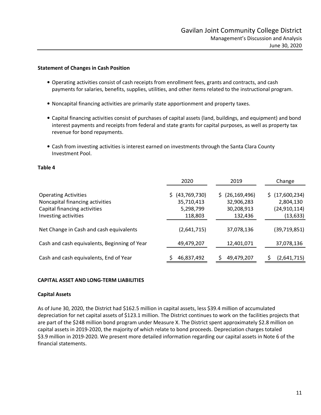### **Statement of Changes in Cash Position**

- Operating activities consist of cash receipts from enrollment fees, grants and contracts, and cash payments for salaries, benefits, supplies, utilities, and other items related to the instructional program.
- Noncapital financing activities are primarily state apportionment and property taxes.
- Capital financing activities consist of purchases of capital assets (land, buildings, and equipment) and bond interest payments and receipts from federal and state grants for capital purposes, as well as property tax revenue for bond repayments.
- Cash from investing activities is interest earned on investments through the Santa Clara County Investment Pool.

### **Table 4**

|                                              | 2020                 | 2019                 | Change             |
|----------------------------------------------|----------------------|----------------------|--------------------|
| <b>Operating Activities</b>                  | (43, 769, 730)<br>S. | (26, 169, 496)<br>S. | (17,600,234)<br>S. |
| Noncapital financing activities              | 35,710,413           | 32,906,283           | 2,804,130          |
| Capital financing activities                 | 5,298,799            | 30,208,913           | (24, 910, 114)     |
| Investing activities                         | 118,803              | 132,436              | (13, 633)          |
| Net Change in Cash and cash equivalents      | (2,641,715)          | 37,078,136           | (39,719,851)       |
| Cash and cash equivalents, Beginning of Year | 49,479,207           | 12,401,071           | 37,078,136         |
| Cash and cash equivalents, End of Year       | 46,837,492           | 49,479,207           | (2,641,715)        |

# **CAPITAL ASSET AND LONG-TERM LIABILITIES**

#### **Capital Assets**

As of June 30, 2020, the District had \$162.5 million in capital assets, less \$39.4 million of accumulated depreciation for net capital assets of \$123.1 million. The District continues to work on the facilities projects that are part of the \$248 million bond program under Measure X. The District spent approximately \$2.8 million on capital assets in 2019-2020, the majority of which relate to bond proceeds. Depreciation charges totaled \$3.9 million in 2019-2020. We present more detailed information regarding our capital assets in Note 6 of the financial statements.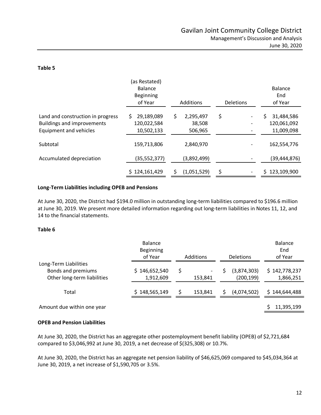|                                                                                                         | (as Restated)<br><b>Balance</b><br><b>Beginning</b><br>of Year | Additions                            | <b>Deletions</b> | <b>Balance</b><br>End<br>of Year        |
|---------------------------------------------------------------------------------------------------------|----------------------------------------------------------------|--------------------------------------|------------------|-----------------------------------------|
| Land and construction in progress<br><b>Buildings and improvements</b><br><b>Equipment and vehicles</b> | 29,189,089<br>S.<br>120,022,584<br>10,502,133                  | \$<br>2,295,497<br>38,508<br>506,965 | \$               | 31,484,586<br>120,061,092<br>11,009,098 |
| Subtotal                                                                                                | 159,713,806                                                    | 2,840,970                            |                  | 162,554,776                             |
| Accumulated depreciation                                                                                | (35, 552, 377)                                                 | (3,892,499)                          |                  | (39,444,876)                            |
|                                                                                                         | \$124,161,429                                                  | (1,051,529)                          | \$               | \$123,109,900                           |

# **Table 5**

# **Long-Term Liabilities including OPEB and Pensions**

At June 30, 2020, the District had \$194.0 million in outstanding long-term liabilities compared to \$196.6 million at June 30, 2019. We present more detailed information regarding out long-term liabilities in Notes 11, 12, and 14 to the financial statements.

# **Table 6**

|                                                                            | Balance<br>Beginning<br>of Year |    | Additions                           | <b>Deletions</b>          | <b>Balance</b><br>End<br>of Year |
|----------------------------------------------------------------------------|---------------------------------|----|-------------------------------------|---------------------------|----------------------------------|
| Long-Term Liabilities<br>Bonds and premiums<br>Other long-term liabilities | \$146,652,540<br>1,912,609      | \$ | $\overline{\phantom{a}}$<br>153,841 | (3,874,303)<br>(200, 199) | \$142,778,237<br>1,866,251       |
| Total                                                                      | \$148,565,149                   | ς  | 153,841                             | (4,074,502)               | \$144,644,488                    |
| Amount due within one year                                                 |                                 |    |                                     |                           | 11,395,199                       |

# **OPEB and Pension Liabilities**

At June 30, 2020, the District has an aggregate other postemployment benefit liability (OPEB) of \$2,721,684 compared to \$3,046,992 at June 30, 2019, a net decrease of \$(325,308) or 10.7%.

At June 30, 2020, the District has an aggregate net pension liability of \$46,625,069 compared to \$45,034,364 at June 30, 2019, a net increase of \$1,590,705 or 3.5%.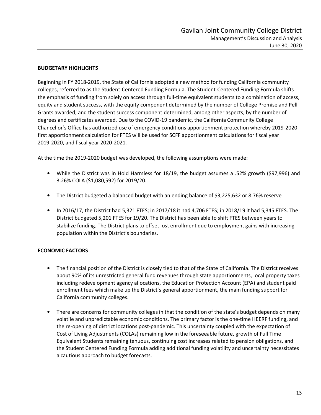# **BUDGETARY HIGHLIGHTS**

Beginning in FY 2018-2019, the State of California adopted a new method for funding California community colleges, referred to as the Student-Centered Funding Formula. The Student-Centered Funding Formula shifts the emphasis of funding from solely on access through full-time equivalent students to a combination of access, equity and student success, with the equity component determined by the number of College Promise and Pell Grants awarded, and the student success component determined, among other aspects, by the number of degrees and certificates awarded. Due to the COVID-19 pandemic, the California Community College Chancellor's Office has authorized use of emergency conditions apportionment protection whereby 2019-2020 first apportionment calculation for FTES will be used for SCFF apportionment calculations for fiscal year 2019-2020, and fiscal year 2020-2021.

At the time the 2019-2020 budget was developed, the following assumptions were made:

- While the District was in Hold Harmless for 18/19, the budget assumes a .52% growth (\$97,996) and 3.26% COLA (\$1,080,592) for 2019/20.
- The District budgeted a balanced budget with an ending balance of \$3,225,632 or 8.76% reserve
- In 2016/17, the District had 5,321 FTES; in 2017/18 it had 4,706 FTES; in 2018/19 it had 5,345 FTES. The District budgeted 5,201 FTES for 19/20. The District has been able to shift FTES between years to stabilize funding. The District plans to offset lost enrollment due to employment gains with increasing population within the District's boundaries.

# **ECONOMIC FACTORS**

- The financial position of the District is closely tied to that of the State of California. The District receives about 90% of its unrestricted general fund revenues through state apportionments, local property taxes including redevelopment agency allocations, the Education Protection Account (EPA) and student paid enrollment fees which make up the District's general apportionment, the main funding support for California community colleges.
- There are concerns for community colleges in that the condition of the state's budget depends on many volatile and unpredictable economic conditions. The primary factor is the one-time HEERF funding, and the re-opening of district locations post-pandemic. This uncertainty coupled with the expectation of Cost of Living Adjustments (COLAs) remaining low in the foreseeable future, growth of Full Time Equivalent Students remaining tenuous, continuing cost increases related to pension obligations, and the Student Centered Funding Formula adding additional funding volatility and uncertainty necessitates a cautious approach to budget forecasts.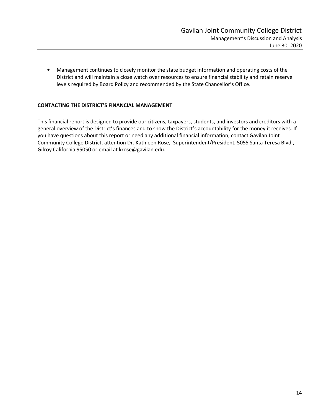• Management continues to closely monitor the state budget information and operating costs of the District and will maintain a close watch over resources to ensure financial stability and retain reserve levels required by Board Policy and recommended by the State Chancellor's Office.

# **CONTACTING THE DISTRICT'S FINANCIAL MANAGEMENT**

This financial report is designed to provide our citizens, taxpayers, students, and investors and creditors with a general overview of the District's finances and to show the District's accountability for the money it receives. If you have questions about this report or need any additional financial information, contact Gavilan Joint Community College District, attention Dr. Kathleen Rose, Superintendent/President, 5055 Santa Teresa Blvd., Gilroy California 95050 or email at krose@gavilan.edu.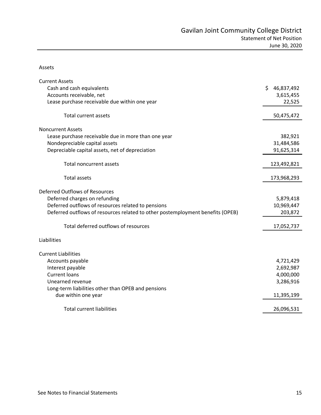### Assets

| <b>Current Assets</b>                                                          |                 |
|--------------------------------------------------------------------------------|-----------------|
| Cash and cash equivalents                                                      | Ś<br>46,837,492 |
| Accounts receivable, net                                                       | 3,615,455       |
| Lease purchase receivable due within one year                                  | 22,525          |
| <b>Total current assets</b>                                                    | 50,475,472      |
| <b>Noncurrent Assets</b>                                                       |                 |
| Lease purchase receivable due in more than one year                            | 382,921         |
| Nondepreciable capital assets                                                  | 31,484,586      |
| Depreciable capital assets, net of depreciation                                | 91,625,314      |
| <b>Total noncurrent assets</b>                                                 | 123,492,821     |
| <b>Total assets</b>                                                            | 173,968,293     |
| Deferred Outflows of Resources                                                 |                 |
| Deferred charges on refunding                                                  | 5,879,418       |
| Deferred outflows of resources related to pensions                             | 10,969,447      |
| Deferred outflows of resources related to other postemployment benefits (OPEB) | 203,872         |
| Total deferred outflows of resources                                           | 17,052,737      |
| Liabilities                                                                    |                 |
| <b>Current Liabilities</b>                                                     |                 |
| Accounts payable                                                               | 4,721,429       |
| Interest payable                                                               | 2,692,987       |
| <b>Current loans</b>                                                           | 4,000,000       |
| Unearned revenue                                                               | 3,286,916       |
| Long-term liabilities other than OPEB and pensions                             |                 |
| due within one year                                                            | 11,395,199      |
| <b>Total current liabilities</b>                                               | 26,096,531      |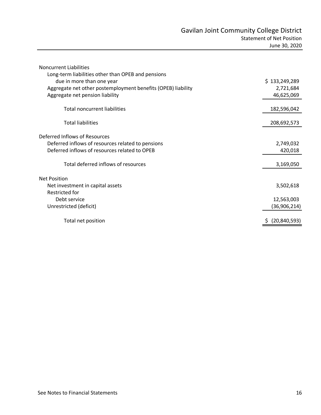| <b>Noncurrent Liabilities</b>                                |                |
|--------------------------------------------------------------|----------------|
| Long-term liabilities other than OPEB and pensions           |                |
| due in more than one year                                    | \$133,249,289  |
| Aggregate net other postemployment benefits (OPEB) liability | 2,721,684      |
| Aggregate net pension liability                              | 46,625,069     |
| <b>Total noncurrent liabilities</b>                          | 182,596,042    |
| <b>Total liabilities</b>                                     | 208,692,573    |
| Deferred Inflows of Resources                                |                |
| Deferred inflows of resources related to pensions            | 2,749,032      |
| Deferred inflows of resources related to OPEB                | 420,018        |
| Total deferred inflows of resources                          | 3,169,050      |
| <b>Net Position</b>                                          |                |
| Net investment in capital assets                             | 3,502,618      |
| Restricted for                                               |                |
| Debt service                                                 | 12,563,003     |
| Unrestricted (deficit)                                       | (36,906,214)   |
| Total net position                                           | (20, 840, 593) |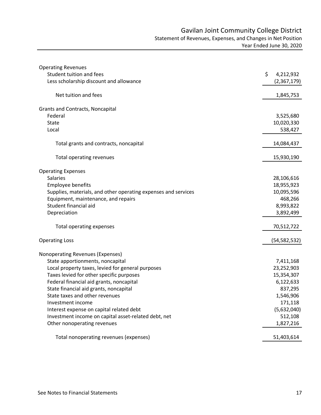# Gavilan Joint Community College District

Statement of Revenues, Expenses, and Changes in Net Position

Year Ended June 30, 2020

| <b>Operating Revenues</b>                                            |                 |
|----------------------------------------------------------------------|-----------------|
| Student tuition and fees                                             | \$<br>4,212,932 |
| Less scholarship discount and allowance                              | (2,367,179)     |
| Net tuition and fees                                                 | 1,845,753       |
|                                                                      |                 |
| Grants and Contracts, Noncapital                                     |                 |
| Federal                                                              | 3,525,680       |
| <b>State</b>                                                         | 10,020,330      |
| Local                                                                | 538,427         |
| Total grants and contracts, noncapital                               | 14,084,437      |
| Total operating revenues                                             | 15,930,190      |
|                                                                      |                 |
| <b>Operating Expenses</b>                                            |                 |
| <b>Salaries</b>                                                      | 28,106,616      |
| <b>Employee benefits</b>                                             | 18,955,923      |
| Supplies, materials, and other operating expenses and services       | 10,095,596      |
| Equipment, maintenance, and repairs                                  | 468,266         |
| Student financial aid                                                | 8,993,822       |
| Depreciation                                                         | 3,892,499       |
| Total operating expenses                                             | 70,512,722      |
| <b>Operating Loss</b>                                                | (54, 582, 532)  |
|                                                                      |                 |
| Nonoperating Revenues (Expenses)<br>State apportionments, noncapital | 7,411,168       |
| Local property taxes, levied for general purposes                    | 23,252,903      |
| Taxes levied for other specific purposes                             | 15,354,307      |
| Federal financial aid grants, noncapital                             | 6,122,633       |
| State financial aid grants, noncapital                               | 837,295         |
| State taxes and other revenues                                       | 1,546,906       |
| Investment income                                                    | 171,118         |
| Interest expense on capital related debt                             | (5,632,040)     |
|                                                                      |                 |
| Investment income on capital asset-related debt, net                 | 512,108         |
| Other nonoperating revenues                                          | 1,827,216       |
| Total nonoperating revenues (expenses)                               | 51,403,614      |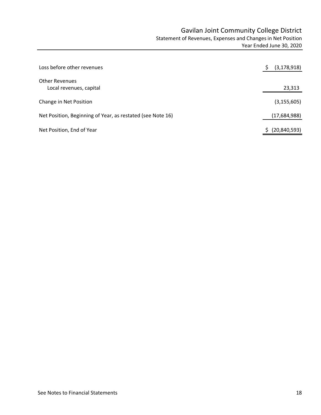# Gavilan Joint Community College District

Statement of Revenues, Expenses and Changes in Net Position Year Ended June 30, 2020

| Loss before other revenues                                 | (3, 178, 918)  |
|------------------------------------------------------------|----------------|
| <b>Other Revenues</b><br>Local revenues, capital           | 23,313         |
| Change in Net Position                                     | (3, 155, 605)  |
| Net Position, Beginning of Year, as restated (see Note 16) | (17,684,988)   |
| Net Position, End of Year                                  | (20, 840, 593) |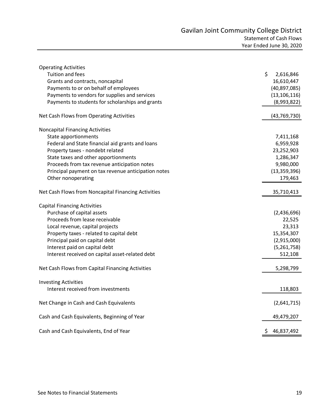| <b>Operating Activities</b>                         |                  |
|-----------------------------------------------------|------------------|
| Tuition and fees                                    | \$<br>2,616,846  |
| Grants and contracts, noncapital                    | 16,610,447       |
| Payments to or on behalf of employees               | (40, 897, 085)   |
| Payments to vendors for supplies and services       | (13, 106, 116)   |
| Payments to students for scholarships and grants    | (8,993,822)      |
| Net Cash Flows from Operating Activities            | (43, 769, 730)   |
| <b>Noncapital Financing Activities</b>              |                  |
| State apportionments                                | 7,411,168        |
| Federal and State financial aid grants and loans    | 6,959,928        |
| Property taxes - nondebt related                    | 23,252,903       |
| State taxes and other apportionments                | 1,286,347        |
| Proceeds from tax revenue anticipation notes        | 9,980,000        |
| Principal payment on tax revenue anticipation notes | (13, 359, 396)   |
| Other nonoperating                                  | 179,463          |
| Net Cash Flows from Noncapital Financing Activities | 35,710,413       |
| <b>Capital Financing Activities</b>                 |                  |
| Purchase of capital assets                          | (2,436,696)      |
| Proceeds from lease receivable                      | 22,525           |
| Local revenue, capital projects                     | 23,313           |
| Property taxes - related to capital debt            | 15,354,307       |
| Principal paid on capital debt                      | (2,915,000)      |
| Interest paid on capital debt                       | (5, 261, 758)    |
| Interest received on capital asset-related debt     | 512,108          |
| Net Cash Flows from Capital Financing Activities    | 5,298,799        |
| <b>Investing Activities</b>                         |                  |
| Interest received from investments                  | 118,803          |
| Net Change in Cash and Cash Equivalents             | (2,641,715)      |
| Cash and Cash Equivalents, Beginning of Year        | 49,479,207       |
| Cash and Cash Equivalents, End of Year              | \$<br>46,837,492 |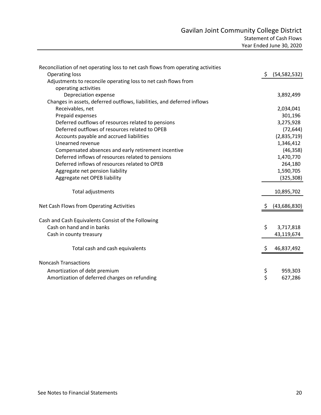# Gavilan Joint Community College District Statement of Cash Flows Year Ended June 30, 2020

| Reconciliation of net operating loss to net cash flows from operating activities |                      |
|----------------------------------------------------------------------------------|----------------------|
| <b>Operating loss</b>                                                            | \$<br>(54, 582, 532) |
| Adjustments to reconcile operating loss to net cash flows from                   |                      |
| operating activities                                                             |                      |
| Depreciation expense                                                             | 3,892,499            |
| Changes in assets, deferred outflows, liabilities, and deferred inflows          |                      |
| Receivables, net                                                                 | 2,034,041            |
| Prepaid expenses                                                                 | 301,196              |
| Deferred outflows of resources related to pensions                               | 3,275,928            |
| Deferred outflows of resources related to OPEB                                   | (72, 644)            |
| Accounts payable and accrued liabilities                                         | (2,835,719)          |
| Unearned revenue                                                                 | 1,346,412            |
| Compensated absences and early retirement incentive                              | (46, 358)            |
| Deferred inflows of resources related to pensions                                | 1,470,770            |
| Deferred inflows of resources related to OPEB                                    | 264,180              |
| Aggregate net pension liability                                                  | 1,590,705            |
| Aggregate net OPEB liability                                                     | (325, 308)           |
|                                                                                  |                      |
| Total adjustments                                                                | 10,895,702           |
| Net Cash Flows from Operating Activities                                         | (43,686,830)         |
|                                                                                  |                      |
| Cash and Cash Equivalents Consist of the Following                               |                      |
| Cash on hand and in banks                                                        | \$<br>3,717,818      |
| Cash in county treasury                                                          | 43,119,674           |
|                                                                                  |                      |
| Total cash and cash equivalents                                                  | \$<br>46,837,492     |
| <b>Noncash Transactions</b>                                                      |                      |
| Amortization of debt premium                                                     | \$<br>959,303        |
| Amortization of deferred charges on refunding                                    | \$<br>627,286        |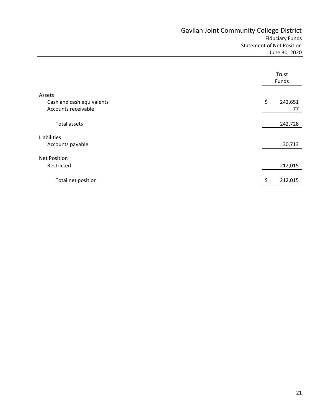Gavilan Joint Community College District Fiduciary Funds Statement of Net Position June 30, 2020

|                                     | Trust<br>Funds |
|-------------------------------------|----------------|
| Assets<br>Cash and cash equivalents | \$<br>242,651  |
| Accounts receivable                 | 77             |
| <b>Total assets</b>                 | 242,728        |
| Liabilities<br>Accounts payable     | 30,713         |
| <b>Net Position</b>                 |                |
| Restricted                          | 212,015        |
| Total net position                  | 212,015<br>\$  |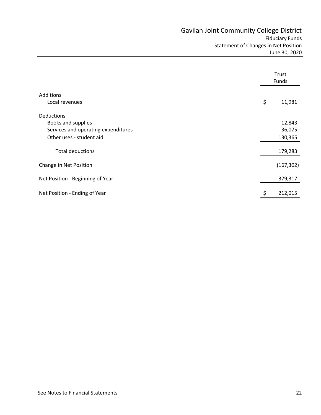Gavilan Joint Community College District Fiduciary Funds Statement of Changes in Net Position June 30, 2020

|                                     | Trust<br>Funds |            |
|-------------------------------------|----------------|------------|
| Additions                           |                |            |
| Local revenues                      | \$             | 11,981     |
| Deductions                          |                |            |
| Books and supplies                  |                | 12,843     |
| Services and operating expenditures |                | 36,075     |
| Other uses - student aid            |                | 130,365    |
| <b>Total deductions</b>             |                | 179,283    |
| Change in Net Position              |                | (167, 302) |
| Net Position - Beginning of Year    |                | 379,317    |
| Net Position - Ending of Year       | \$             | 212,015    |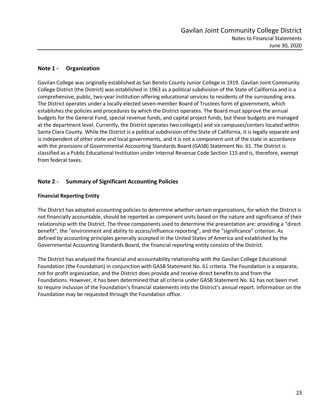# **Note 1 - Organization**

Gavilan College was originally established as San Benito County Junior College in 1919. Gavilan Joint Community College District (the District) was established in 1963 as a political subdivision of the State of California and is a comprehensive, public, two-year institution offering educational services to residents of the surrounding area. The District operates under a locally elected seven-member Board of Trustees form of government, which establishes the policies and procedures by which the District operates. The Board must approve the annual budgets for the General Fund, special revenue funds, and capital project funds, but these budgets are managed at the department level. Currently, the District operates two college(s) and six campuses/centers located within Santa Clara County. While the District is a political subdivision of the State of California, it is legally separate and is independent of other state and local governments, and it is not a component unit of the state in accordance with the provisions of Governmental Accounting Standards Board (GASB) Statement No. 61. The District is classified as a Public Educational Institution under Internal Revenue Code Section 115 and is, therefore, exempt from federal taxes.

# **Note 2 - Summary of Significant Accounting Policies**

# **Financial Reporting Entity**

The District has adopted accounting policies to determine whether certain organizations, for which the District is not financially accountable, should be reported as component units based on the nature and significance of their relationship with the District. The three components used to determine the presentation are: providing a "direct benefit", the "environment and ability to access/influence reporting", and the "significance" criterion. As defined by accounting principles generally accepted in the United States of America and established by the Governmental Accounting Standards Board, the financial reporting entity consists of the District.

The District has analyzed the financial and accountability relationship with the Gavilan College Educational Foundation (the Foundation) in conjunction with GASB Statement No. 61 criteria. The Foundation is a separate, not for profit organization, and the District does provide and receive direct benefits to and from the Foundations. However, it has been determined that all criteria under GASB Statement No. 61 has not been met to require inclusion of the Foundation's financial statements into the District's annual report. Information on the Foundation may be requested through the Foundation office.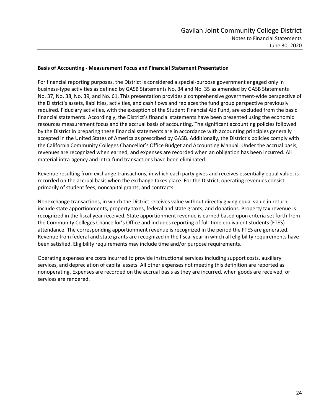# **Basis of Accounting - Measurement Focus and Financial Statement Presentation**

For financial reporting purposes, the District is considered a special-purpose government engaged only in business-type activities as defined by GASB Statements No. 34 and No. 35 as amended by GASB Statements No. 37, No. 38, No. 39, and No. 61. This presentation provides a comprehensive government-wide perspective of the District's assets, liabilities, activities, and cash flows and replaces the fund group perspective previously required. Fiduciary activities, with the exception of the Student Financial Aid Fund, are excluded from the basic financial statements. Accordingly, the District's financial statements have been presented using the economic resources measurement focus and the accrual basis of accounting. The significant accounting policies followed by the District in preparing these financial statements are in accordance with accounting principles generally accepted in the United States of America as prescribed by GASB. Additionally, the District's policies comply with the California Community Colleges Chancellor's Office Budget and Accounting Manual. Under the accrual basis, revenues are recognized when earned, and expenses are recorded when an obligation has been incurred. All material intra-agency and intra-fund transactions have been eliminated.

Revenue resulting from exchange transactions, in which each party gives and receives essentially equal value, is recorded on the accrual basis when the exchange takes place. For the District, operating revenues consist primarily of student fees, noncapital grants, and contracts.

Nonexchange transactions, in which the District receives value without directly giving equal value in return, include state apportionments, property taxes, federal and state grants, and donations. Property tax revenue is recognized in the fiscal year received. State apportionment revenue is earned based upon criteria set forth from the Community Colleges Chancellor's Office and includes reporting of full-time equivalent students (FTES) attendance. The corresponding apportionment revenue is recognized in the period the FTES are generated. Revenue from federal and state grants are recognized in the fiscal year in which all eligibility requirements have been satisfied. Eligibility requirements may include time and/or purpose requirements.

Operating expenses are costs incurred to provide instructional services including support costs, auxiliary services, and depreciation of capital assets. All other expenses not meeting this definition are reported as nonoperating. Expenses are recorded on the accrual basis as they are incurred, when goods are received, or services are rendered.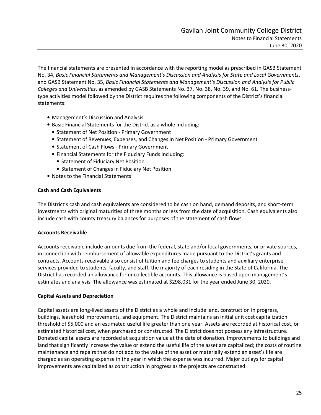The financial statements are presented in accordance with the reporting model as prescribed in GASB Statement No. 34, *Basic Financial Statements and Management's Discussion and Analysis for State and Local Governments*, and GASB Statement No. 35, *Basic Financial Statements and Management's Discussion and Analysis for Public Colleges and Universities*, as amended by GASB Statements No. 37, No. 38, No. 39, and No. 61. The businesstype activities model followed by the District requires the following components of the District's financial statements:

- Management's Discussion and Analysis
- Basic Financial Statements for the District as a whole including:
	- Statement of Net Position Primary Government
	- Statement of Revenues, Expenses, and Changes in Net Position Primary Government
	- Statement of Cash Flows Primary Government
	- Financial Statements for the Fiduciary Funds including:
		- Statement of Fiduciary Net Position
		- Statement of Changes in Fiduciary Net Position
- Notes to the Financial Statements

# **Cash and Cash Equivalents**

The District's cash and cash equivalents are considered to be cash on hand, demand deposits, and short-term investments with original maturities of three months or less from the date of acquisition. Cash equivalents also include cash with county treasury balances for purposes of the statement of cash flows.

# **Accounts Receivable**

Accounts receivable include amounts due from the federal, state and/or local governments, or private sources, in connection with reimbursement of allowable expenditures made pursuant to the District's grants and contracts. Accounts receivable also consist of tuition and fee charges to students and auxiliary enterprise services provided to students, faculty, and staff, the majority of each residing in the State of California. The District has recorded an allowance for uncollectible accounts. This allowance is based upon management's estimates and analysis. The allowance was estimated at \$298,031 for the year ended June 30, 2020.

# **Capital Assets and Depreciation**

Capital assets are long-lived assets of the District as a whole and include land, construction in progress, buildings, leasehold improvements, and equipment. The District maintains an initial unit cost capitalization threshold of \$5,000 and an estimated useful life greater than one year. Assets are recorded at historical cost, or estimated historical cost, when purchased or constructed. The District does not possess any infrastructure. Donated capital assets are recorded at acquisition value at the date of donation. Improvements to buildings and land that significantly increase the value or extend the useful life of the asset are capitalized; the costs of routine maintenance and repairs that do not add to the value of the asset or materially extend an asset's life are charged as an operating expense in the year in which the expense was incurred. Major outlays for capital improvements are capitalized as construction in progress as the projects are constructed.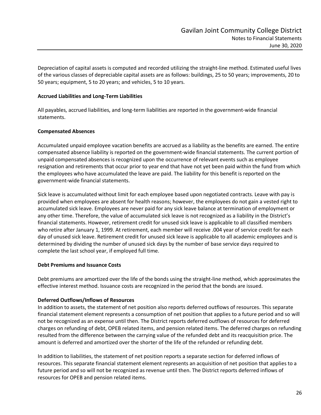Depreciation of capital assets is computed and recorded utilizing the straight-line method. Estimated useful lives of the various classes of depreciable capital assets are as follows: buildings, 25 to 50 years; improvements, 20 to 50 years; equipment, 5 to 20 years; and vehicles, 5 to 10 years.

# **Accrued Liabilities and Long-Term Liabilities**

All payables, accrued liabilities, and long-term liabilities are reported in the government-wide financial statements.

# **Compensated Absences**

Accumulated unpaid employee vacation benefits are accrued as a liability as the benefits are earned. The entire compensated absence liability is reported on the government-wide financial statements. The current portion of unpaid compensated absences is recognized upon the occurrence of relevant events such as employee resignation and retirements that occur prior to year end that have not yet been paid within the fund from which the employees who have accumulated the leave are paid. The liability for this benefit is reported on the government-wide financial statements.

Sick leave is accumulated without limit for each employee based upon negotiated contracts. Leave with pay is provided when employees are absent for health reasons; however, the employees do not gain a vested right to accumulated sick leave. Employees are never paid for any sick leave balance at termination of employment or any other time. Therefore, the value of accumulated sick leave is not recognized as a liability in the District's financial statements. However, retirement credit for unused sick leave is applicable to all classified members who retire after January 1, 1999. At retirement, each member will receive .004 year of service credit for each day of unused sick leave. Retirement credit for unused sick leave is applicable to all academic employees and is determined by dividing the number of unused sick days by the number of base service days required to complete the last school year, if employed full time.

# **Debt Premiums and Issuance Costs**

Debt premiums are amortized over the life of the bonds using the straight-line method, which approximates the effective interest method. Issuance costs are recognized in the period that the bonds are issued.

# **Deferred Outflows/Inflows of Resources**

In addition to assets, the statement of net position also reports deferred outflows of resources. This separate financial statement element represents a consumption of net position that applies to a future period and so will not be recognized as an expense until then. The District reports deferred outflows of resources for deferred charges on refunding of debt, OPEB related items, and pension related items. The deferred charges on refunding resulted from the difference between the carrying value of the refunded debt and its reacquisition price. The amount is deferred and amortized over the shorter of the life of the refunded or refunding debt.

In addition to liabilities, the statement of net position reports a separate section for deferred inflows of resources. This separate financial statement element represents an acquisition of net position that applies to a future period and so will not be recognized as revenue until then. The District reports deferred inflows of resources for OPEB and pension related items.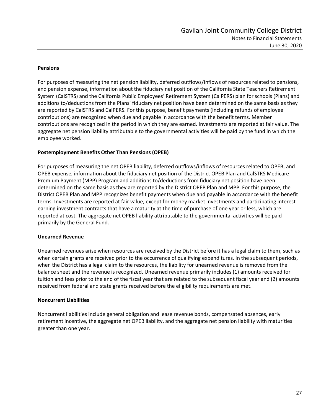# **Pensions**

For purposes of measuring the net pension liability, deferred outflows/inflows of resources related to pensions, and pension expense, information about the fiduciary net position of the California State Teachers Retirement System (CalSTRS) and the California Public Employees' Retirement System (CalPERS) plan for schools (Plans) and additions to/deductions from the Plans' fiduciary net position have been determined on the same basis as they are reported by CalSTRS and CalPERS. For this purpose, benefit payments (including refunds of employee contributions) are recognized when due and payable in accordance with the benefit terms. Member contributions are recognized in the period in which they are earned. Investments are reported at fair value. The aggregate net pension liability attributable to the governmental activities will be paid by the fund in which the employee worked.

# **Postemployment Benefits Other Than Pensions (OPEB)**

For purposes of measuring the net OPEB liability, deferred outflows/inflows of resources related to OPEB, and OPEB expense, information about the fiduciary net position of the District OPEB Plan and CalSTRS Medicare Premium Payment (MPP) Program and additions to/deductions from fiduciary net position have been determined on the same basis as they are reported by the District OPEB Plan and MPP. For this purpose, the District OPEB Plan and MPP recognizes benefit payments when due and payable in accordance with the benefit terms. Investments are reported at fair value, except for money market investments and participating interestearning investment contracts that have a maturity at the time of purchase of one year or less, which are reported at cost. The aggregate net OPEB liability attributable to the governmental activities will be paid primarily by the General Fund.

# **Unearned Revenue**

Unearned revenues arise when resources are received by the District before it has a legal claim to them, such as when certain grants are received prior to the occurrence of qualifying expenditures. In the subsequent periods, when the District has a legal claim to the resources, the liability for unearned revenue is removed from the balance sheet and the revenue is recognized. Unearned revenue primarily includes (1) amounts received for tuition and fees prior to the end of the fiscal year that are related to the subsequent fiscal year and (2) amounts received from federal and state grants received before the eligibility requirements are met.

# **Noncurrent Liabilities**

Noncurrent liabilities include general obligation and lease revenue bonds, compensated absences, early retirement incentive, the aggregate net OPEB liability, and the aggregate net pension liability with maturities greater than one year.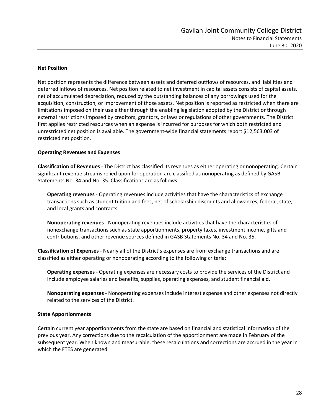# **Net Position**

Net position represents the difference between assets and deferred outflows of resources, and liabilities and deferred inflows of resources. Net position related to net investment in capital assets consists of capital assets, net of accumulated depreciation, reduced by the outstanding balances of any borrowings used for the acquisition, construction, or improvement of those assets. Net position is reported as restricted when there are limitations imposed on their use either through the enabling legislation adopted by the District or through external restrictions imposed by creditors, grantors, or laws or regulations of other governments. The District first applies restricted resources when an expense is incurred for purposes for which both restricted and unrestricted net position is available. The government-wide financial statements report \$12,563,003 of restricted net position.

### **Operating Revenues and Expenses**

**Classification of Revenues** - The District has classified its revenues as either operating or nonoperating. Certain significant revenue streams relied upon for operation are classified as nonoperating as defined by GASB Statements No. 34 and No. 35. Classifications are as follows:

**Operating revenues** - Operating revenues include activities that have the characteristics of exchange transactions such as student tuition and fees, net of scholarship discounts and allowances, federal, state, and local grants and contracts.

**Nonoperating revenues** - Nonoperating revenues include activities that have the characteristics of nonexchange transactions such as state apportionments, property taxes, investment income, gifts and contributions, and other revenue sources defined in GASB Statements No. 34 and No. 35.

**Classification of Expenses** - Nearly all of the District's expenses are from exchange transactions and are classified as either operating or nonoperating according to the following criteria:

**Operating expenses** - Operating expenses are necessary costs to provide the services of the District and include employee salaries and benefits, supplies, operating expenses, and student financial aid.

**Nonoperating expenses** - Nonoperating expenses include interest expense and other expenses not directly related to the services of the District.

#### **State Apportionments**

Certain current year apportionments from the state are based on financial and statistical information of the previous year. Any corrections due to the recalculation of the apportionment are made in February of the subsequent year. When known and measurable, these recalculations and corrections are accrued in the year in which the FTES are generated.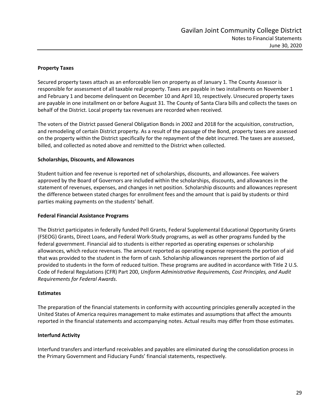# **Property Taxes**

Secured property taxes attach as an enforceable lien on property as of January 1. The County Assessor is responsible for assessment of all taxable real property. Taxes are payable in two installments on November 1 and February 1 and become delinquent on December 10 and April 10, respectively. Unsecured property taxes are payable in one installment on or before August 31. The County of Santa Clara bills and collects the taxes on behalf of the District. Local property tax revenues are recorded when received.

The voters of the District passed General Obligation Bonds in 2002 and 2018 for the acquisition, construction, and remodeling of certain District property. As a result of the passage of the Bond, property taxes are assessed on the property within the District specifically for the repayment of the debt incurred. The taxes are assessed, billed, and collected as noted above and remitted to the District when collected.

# **Scholarships, Discounts, and Allowances**

Student tuition and fee revenue is reported net of scholarships, discounts, and allowances. Fee waivers approved by the Board of Governors are included within the scholarships, discounts, and allowances in the statement of revenues, expenses, and changes in net position. Scholarship discounts and allowances represent the difference between stated charges for enrollment fees and the amount that is paid by students or third parties making payments on the students' behalf.

# **Federal Financial Assistance Programs**

The District participates in federally funded Pell Grants, Federal Supplemental Educational Opportunity Grants (FSEOG) Grants, Direct Loans, and Federal Work-Study programs, as well as other programs funded by the federal government. Financial aid to students is either reported as operating expenses or scholarship allowances, which reduce revenues. The amount reported as operating expense represents the portion of aid that was provided to the student in the form of cash. Scholarship allowances represent the portion of aid provided to students in the form of reduced tuition. These programs are audited in accordance with Title 2 U.S. Code of Federal Regulations (CFR) Part 200, *Uniform Administrative Requirements, Cost Principles, and Audit Requirements for Federal Awards*.

# **Estimates**

The preparation of the financial statements in conformity with accounting principles generally accepted in the United States of America requires management to make estimates and assumptions that affect the amounts reported in the financial statements and accompanying notes. Actual results may differ from those estimates.

# **Interfund Activity**

Interfund transfers and interfund receivables and payables are eliminated during the consolidation process in the Primary Government and Fiduciary Funds' financial statements, respectively.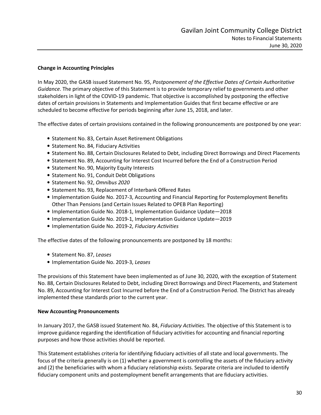# **Change in Accounting Principles**

In May 2020, the GASB issued Statement No. 95, *Postponement of the Effective Dates of Certain Authoritative Guidance*. The primary objective of this Statement is to provide temporary relief to governments and other stakeholders in light of the COVID-19 pandemic. That objective is accomplished by postponing the effective dates of certain provisions in Statements and Implementation Guides that first became effective or are scheduled to become effective for periods beginning after June 15, 2018, and later.

The effective dates of certain provisions contained in the following pronouncements are postponed by one year:

- Statement No. 83, Certain Asset Retirement Obligations
- Statement No. 84, Fiduciary Activities
- Statement No. 88, Certain Disclosures Related to Debt, including Direct Borrowings and Direct Placements
- Statement No. 89, Accounting for Interest Cost Incurred before the End of a Construction Period
- Statement No. 90, Majority Equity Interests
- Statement No. 91, Conduit Debt Obligations
- Statement No. 92, *Omnibus 2020*
- Statement No. 93, Replacement of Interbank Offered Rates
- Implementation Guide No. 2017-3, Accounting and Financial Reporting for Postemployment Benefits Other Than Pensions (and Certain Issues Related to OPEB Plan Reporting)
- Implementation Guide No. 2018-1, Implementation Guidance Update—2018
- Implementation Guide No. 2019-1, Implementation Guidance Update—2019
- Implementation Guide No. 2019-2, *Fiduciary Activities*

The effective dates of the following pronouncements are postponed by 18 months:

- Statement No. 87, *Leases*
- Implementation Guide No. 2019-3, *Leases*

The provisions of this Statement have been implemented as of June 30, 2020, with the exception of Statement No. 88, Certain Disclosures Related to Debt, including Direct Borrowings and Direct Placements, and Statement No. 89, Accounting for Interest Cost Incurred before the End of a Construction Period. The District has already implemented these standards prior to the current year.

# **New Accounting Pronouncements**

In January 2017, the GASB issued Statement No. 84, *Fiduciary Activities*. The objective of this Statement is to improve guidance regarding the identification of fiduciary activities for accounting and financial reporting purposes and how those activities should be reported.

This Statement establishes criteria for identifying fiduciary activities of all state and local governments. The focus of the criteria generally is on (1) whether a government is controlling the assets of the fiduciary activity and (2) the beneficiaries with whom a fiduciary relationship exists. Separate criteria are included to identify fiduciary component units and postemployment benefit arrangements that are fiduciary activities.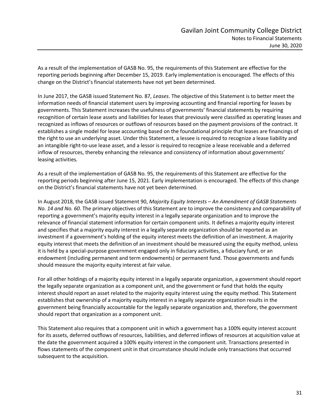As a result of the implementation of GASB No. 95, the requirements of this Statement are effective for the reporting periods beginning after December 15, 2019. Early implementation is encouraged. The effects of this change on the District's financial statements have not yet been determined.

In June 2017, the GASB issued Statement No. 87, *Leases*. The objective of this Statement is to better meet the information needs of financial statement users by improving accounting and financial reporting for leases by governments. This Statement increases the usefulness of governments' financial statements by requiring recognition of certain lease assets and liabilities for leases that previously were classified as operating leases and recognized as inflows of resources or outflows of resources based on the payment provisions of the contract. It establishes a single model for lease accounting based on the foundational principle that leases are financings of the right to use an underlying asset. Under this Statement, a lessee is required to recognize a lease liability and an intangible right-to-use lease asset, and a lessor is required to recognize a lease receivable and a deferred inflow of resources, thereby enhancing the relevance and consistency of information about governments' leasing activities.

As a result of the implementation of GASB No. 95, the requirements of this Statement are effective for the reporting periods beginning after June 15, 2021. Early implementation is encouraged. The effects of this change on the District's financial statements have not yet been determined.

In August 2018, the GASB issued Statement 90, *Majority Equity Interests – An Amendment of GASB Statements No. 14 and No. 60*. The primary objectives of this Statement are to improve the consistency and comparability of reporting a government's majority equity interest in a legally separate organization and to improve the relevance of financial statement information for certain component units. It defines a majority equity interest and specifies that a majority equity interest in a legally separate organization should be reported as an investment if a government's holding of the equity interest meets the definition of an investment. A majority equity interest that meets the definition of an investment should be measured using the equity method, unless it is held by a special-purpose government engaged only in fiduciary activities, a fiduciary fund, or an endowment (including permanent and term endowments) or permanent fund. Those governments and funds should measure the majority equity interest at fair value.

For all other holdings of a majority equity interest in a legally separate organization, a government should report the legally separate organization as a component unit, and the government or fund that holds the equity interest should report an asset related to the majority equity interest using the equity method. This Statement establishes that ownership of a majority equity interest in a legally separate organization results in the government being financially accountable for the legally separate organization and, therefore, the government should report that organization as a component unit.

This Statement also requires that a component unit in which a government has a 100% equity interest account for its assets, deferred outflows of resources, liabilities, and deferred inflows of resources at acquisition value at the date the government acquired a 100% equity interest in the component unit. Transactions presented in flows statements of the component unit in that circumstance should include only transactions that occurred subsequent to the acquisition.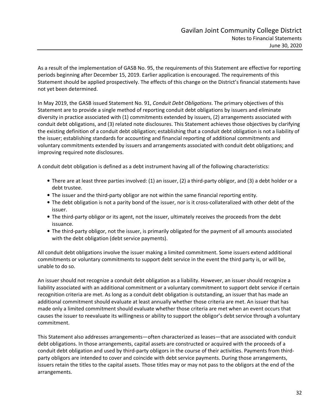As a result of the implementation of GASB No. 95, the requirements of this Statement are effective for reporting periods beginning after December 15, 2019. Earlier application is encouraged. The requirements of this Statement should be applied prospectively. The effects of this change on the District's financial statements have not yet been determined.

In May 2019, the GASB issued Statement No. 91, *Conduit Debt Obligations*. The primary objectives of this Statement are to provide a single method of reporting conduit debt obligations by issuers and eliminate diversity in practice associated with (1) commitments extended by issuers, (2) arrangements associated with conduit debt obligations, and (3) related note disclosures. This Statement achieves those objectives by clarifying the existing definition of a conduit debt obligation; establishing that a conduit debt obligation is not a liability of the issuer; establishing standards for accounting and financial reporting of additional commitments and voluntary commitments extended by issuers and arrangements associated with conduit debt obligations; and improving required note disclosures.

A conduit debt obligation is defined as a debt instrument having all of the following characteristics:

- There are at least three parties involved: (1) an issuer, (2) a third-party obligor, and (3) a debt holder or a debt trustee.
- The issuer and the third-party obligor are not within the same financial reporting entity.
- The debt obligation is not a parity bond of the issuer, nor is it cross-collateralized with other debt of the issuer.
- The third-party obligor or its agent, not the issuer, ultimately receives the proceeds from the debt issuance.
- The third-party obligor, not the issuer, is primarily obligated for the payment of all amounts associated with the debt obligation (debt service payments).

All conduit debt obligations involve the issuer making a limited commitment. Some issuers extend additional commitments or voluntary commitments to support debt service in the event the third party is, or will be, unable to do so.

An issuer should not recognize a conduit debt obligation as a liability. However, an issuer should recognize a liability associated with an additional commitment or a voluntary commitment to support debt service if certain recognition criteria are met. As long as a conduit debt obligation is outstanding, an issuer that has made an additional commitment should evaluate at least annually whether those criteria are met. An issuer that has made only a limited commitment should evaluate whether those criteria are met when an event occurs that causes the issuer to reevaluate its willingness or ability to support the obligor's debt service through a voluntary commitment.

This Statement also addresses arrangements—often characterized as leases—that are associated with conduit debt obligations. In those arrangements, capital assets are constructed or acquired with the proceeds of a conduit debt obligation and used by third-party obligors in the course of their activities. Payments from thirdparty obligors are intended to cover and coincide with debt service payments. During those arrangements, issuers retain the titles to the capital assets. Those titles may or may not pass to the obligors at the end of the arrangements.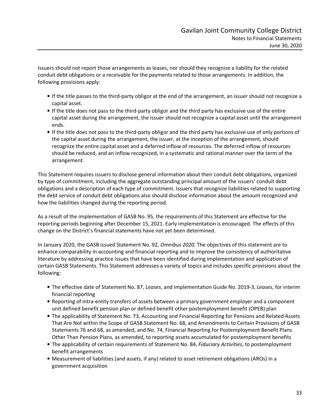Issuers should not report those arrangements as leases, nor should they recognize a liability for the related conduit debt obligations or a receivable for the payments related to those arrangements. In addition, the following provisions apply:

- If the title passes to the third-party obligor at the end of the arrangement, an issuer should not recognize a capital asset.
- If the title does not pass to the third-party obligor and the third party has exclusive use of the entire capital asset during the arrangement, the issuer should not recognize a capital asset until the arrangement ends.
- If the title does not pass to the third-party obligor and the third party has exclusive use of only portions of the capital asset during the arrangement, the issuer, at the inception of the arrangement, should recognize the entire capital asset and a deferred inflow of resources. The deferred inflow of resources should be reduced, and an inflow recognized, in a systematic and rational manner over the term of the arrangement.

This Statement requires issuers to disclose general information about their conduit debt obligations, organized by type of commitment, including the aggregate outstanding principal amount of the issuers' conduit debt obligations and a description of each type of commitment. Issuers that recognize liabilities related to supporting the debt service of conduit debt obligations also should disclose information about the amount recognized and how the liabilities changed during the reporting period.

As a result of the implementation of GASB No. 95, the requirements of this Statement are effective for the reporting periods beginning after December 15, 2021. Early implementation is encouraged. The effects of this change on the District's financial statements have not yet been determined.

In January 2020, the GASB issued Statement No. 92, *Omnibus 2020*. The objectives of this statement are to enhance comparability in accounting and financial reporting and to improve the consistency of authoritative literature by addressing practice issues that have been identified during implementation and application of certain GASB Statements. This Statement addresses a variety of topics and includes specific provisions about the following:

- The effective date of Statement No. 87, *Leases*, and Implementation Guide No. 2019-3, *Leases*, for interim financial reporting
- Reporting of intra-entity transfers of assets between a primary government employer and a component unit defined benefit pension plan or defined benefit other postemployment benefit (OPEB) plan
- The applicability of Statement No. 73, Accounting and Financial Reporting for Pensions and Related Assets That Are Not within the Scope of GASB Statement No. 68, and Amendments to Certain Provisions of GASB Statements 76 and 68, as amended, and No. 74, Financial Reporting for Postemployment Benefit Plans Other Than Pension Plans, as amended, to reporting assets accumulated for postemployment benefits
- The applicability of certain requirements of Statement No. 84, *Fiduciary Activities*, to postemployment benefit arrangements
- Measurement of liabilities (and assets, if any) related to asset retirement obligations (AROs) in a government acquisition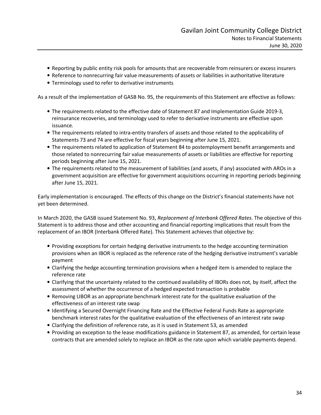- Reporting by public entity risk pools for amounts that are recoverable from reinsurers or excess insurers
- Reference to nonrecurring fair value measurements of assets or liabilities in authoritative literature
- Terminology used to refer to derivative instruments

As a result of the implementation of GASB No. 95, the requirements of this Statement are effective as follows:

- The requirements related to the effective date of Statement 87 and Implementation Guide 2019-3, reinsurance recoveries, and terminology used to refer to derivative instruments are effective upon issuance.
- The requirements related to intra-entity transfers of assets and those related to the applicability of Statements 73 and 74 are effective for fiscal years beginning after June 15, 2021.
- The requirements related to application of Statement 84 to postemployment benefit arrangements and those related to nonrecurring fair value measurements of assets or liabilities are effective for reporting periods beginning after June 15, 2021.
- The requirements related to the measurement of liabilities (and assets, if any) associated with AROs in a government acquisition are effective for government acquisitions occurring in reporting periods beginning after June 15, 2021.

Early implementation is encouraged. The effects of this change on the District's financial statements have not yet been determined.

In March 2020, the GASB issued Statement No. 93, *Replacement of Interbank Offered Rates*. The objective of this Statement is to address those and other accounting and financial reporting implications that result from the replacement of an IBOR (Interbank Offered Rate). This Statement achieves that objective by:

- Providing exceptions for certain hedging derivative instruments to the hedge accounting termination provisions when an IBOR is replaced as the reference rate of the hedging derivative instrument's variable payment
- Clarifying the hedge accounting termination provisions when a hedged item is amended to replace the reference rate
- Clarifying that the uncertainty related to the continued availability of IBORs does not, by itself, affect the assessment of whether the occurrence of a hedged expected transaction is probable
- Removing LIBOR as an appropriate benchmark interest rate for the qualitative evaluation of the effectiveness of an interest rate swap
- Identifying a Secured Overnight Financing Rate and the Effective Federal Funds Rate as appropriate benchmark interest rates for the qualitative evaluation of the effectiveness of an interest rate swap
- Clarifying the definition of reference rate, as it is used in Statement 53, as amended
- Providing an exception to the lease modifications guidance in Statement 87, as amended, for certain lease contracts that are amended solely to replace an IBOR as the rate upon which variable payments depend.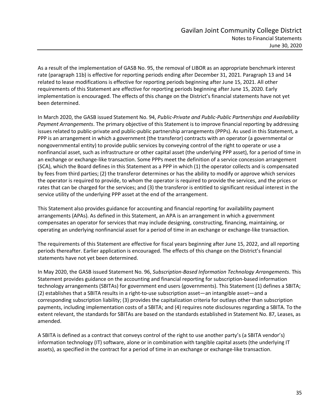As a result of the implementation of GASB No. 95, the removal of LIBOR as an appropriate benchmark interest rate (paragraph 11b) is effective for reporting periods ending after December 31, 2021. Paragraph 13 and 14 related to lease modifications is effective for reporting periods beginning after June 15, 2021. All other requirements of this Statement are effective for reporting periods beginning after June 15, 2020. Early implementation is encouraged. The effects of this change on the District's financial statements have not yet been determined.

In March 2020, the GASB issued Statement No. 94, *Public-Private and Public-Public Partnerships and Availability Payment Arrangements*. The primary objective of this Statement is to improve financial reporting by addressing issues related to public-private and public-public partnership arrangements (PPPs). As used in this Statement, a PPP is an arrangement in which a government (the transferor) contracts with an operator (a governmental or nongovernmental entity) to provide public services by conveying control of the right to operate or use a nonfinancial asset, such as infrastructure or other capital asset (the underlying PPP asset), for a period of time in an exchange or exchange-like transaction. Some PPPs meet the definition of a service concession arrangement (SCA), which the Board defines in this Statement as a PPP in which (1) the operator collects and is compensated by fees from third parties; (2) the transferor determines or has the ability to modify or approve which services the operator is required to provide, to whom the operator is required to provide the services, and the prices or rates that can be charged for the services; and (3) the transferor is entitled to significant residual interest in the service utility of the underlying PPP asset at the end of the arrangement.

This Statement also provides guidance for accounting and financial reporting for availability payment arrangements (APAs). As defined in this Statement, an APA is an arrangement in which a government compensates an operator for services that may include designing, constructing, financing, maintaining, or operating an underlying nonfinancial asset for a period of time in an exchange or exchange-like transaction.

The requirements of this Statement are effective for fiscal years beginning after June 15, 2022, and all reporting periods thereafter. Earlier application is encouraged. The effects of this change on the District's financial statements have not yet been determined.

In May 2020, the GASB issued Statement No. 96, *Subscription-Based Information Technology Arrangements*. This Statement provides guidance on the accounting and financial reporting for subscription-based information technology arrangements (SBITAs) for government end users (governments). This Statement (1) defines a SBITA; (2) establishes that a SBITA results in a right-to-use subscription asset—an intangible asset—and a corresponding subscription liability; (3) provides the capitalization criteria for outlays other than subscription payments, including implementation costs of a SBITA; and (4) requires note disclosures regarding a SBITA. To the extent relevant, the standards for SBITAs are based on the standards established in Statement No. 87, Leases, as amended.

A SBITA is defined as a contract that conveys control of the right to use another party's (a SBITA vendor's) information technology (IT) software, alone or in combination with tangible capital assets (the underlying IT assets), as specified in the contract for a period of time in an exchange or exchange-like transaction.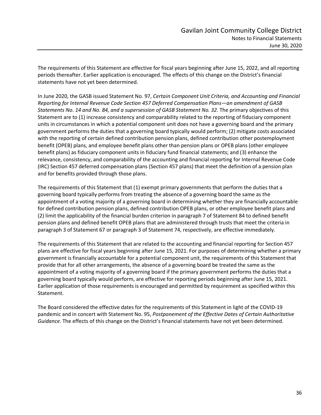The requirements of this Statement are effective for fiscal years beginning after June 15, 2022, and all reporting periods thereafter. Earlier application is encouraged. The effects of this change on the District's financial statements have not yet been determined.

In June 2020, the GASB issued Statement No. 97, *Certain Component Unit Criteria, and Accounting and Financial Reporting for Internal Revenue Code Section 457 Deferred Compensation Plans—an amendment of GASB Statements No. 14 and No. 84, and a supersession of GASB Statement No. 32*. The primary objectives of this Statement are to (1) increase consistency and comparability related to the reporting of fiduciary component units in circumstances in which a potential component unit does not have a governing board and the primary government performs the duties that a governing board typically would perform; (2) mitigate costs associated with the reporting of certain defined contribution pension plans, defined contribution other postemployment benefit (OPEB) plans, and employee benefit plans other than pension plans or OPEB plans (other employee benefit plans) as fiduciary component units in fiduciary fund financial statements; and (3) enhance the relevance, consistency, and comparability of the accounting and financial reporting for Internal Revenue Code (IRC) Section 457 deferred compensation plans (Section 457 plans) that meet the definition of a pension plan and for benefits provided through those plans.

The requirements of this Statement that (1) exempt primary governments that perform the duties that a governing board typically performs from treating the absence of a governing board the same as the appointment of a voting majority of a governing board in determining whether they are financially accountable for defined contribution pension plans, defined contribution OPEB plans, or other employee benefit plans and (2) limit the applicability of the financial burden criterion in paragraph 7 of Statement 84 to defined benefit pension plans and defined benefit OPEB plans that are administered through trusts that meet the criteria in paragraph 3 of Statement 67 or paragraph 3 of Statement 74, respectively, are effective immediately.

The requirements of this Statement that are related to the accounting and financial reporting for Section 457 plans are effective for fiscal years beginning after June 15, 2021. For purposes of determining whether a primary government is financially accountable for a potential component unit, the requirements of this Statement that provide that for all other arrangements, the absence of a governing board be treated the same as the appointment of a voting majority of a governing board if the primary government performs the duties that a governing board typically would perform, are effective for reporting periods beginning after June 15, 2021. Earlier application of those requirements is encouraged and permitted by requirement as specified within this Statement.

The Board considered the effective dates for the requirements of this Statement in light of the COVID-19 pandemic and in concert with Statement No. 95, *Postponement of the Effective Dates of Certain Authoritative Guidance*. The effects of this change on the District's financial statements have not yet been determined.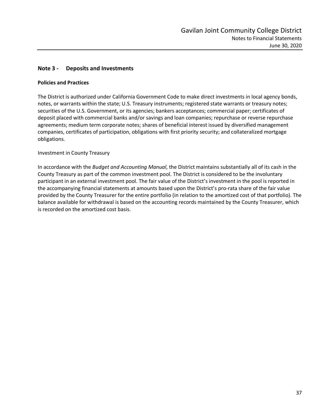# **Note 3 - Deposits and Investments**

### **Policies and Practices**

The District is authorized under California Government Code to make direct investments in local agency bonds, notes, or warrants within the state; U.S. Treasury instruments; registered state warrants or treasury notes; securities of the U.S. Government, or its agencies; bankers acceptances; commercial paper; certificates of deposit placed with commercial banks and/or savings and loan companies; repurchase or reverse repurchase agreements; medium term corporate notes; shares of beneficial interest issued by diversified management companies, certificates of participation, obligations with first priority security; and collateralized mortgage obligations.

### Investment in County Treasury

In accordance with the *Budget and Accounting Manual*, the District maintains substantially all of its cash in the County Treasury as part of the common investment pool. The District is considered to be the involuntary participant in an external investment pool. The fair value of the District's investment in the pool is reported in the accompanying financial statements at amounts based upon the District's pro-rata share of the fair value provided by the County Treasurer for the entire portfolio (in relation to the amortized cost of that portfolio). The balance available for withdrawal is based on the accounting records maintained by the County Treasurer, which is recorded on the amortized cost basis.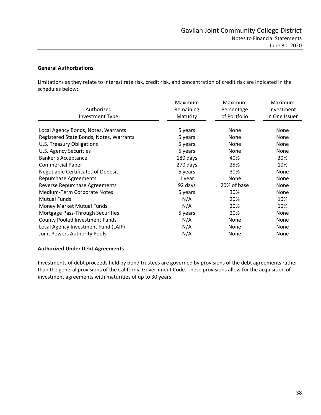### **General Authorizations**

Limitations as they relate to interest rate risk, credit risk, and concentration of credit risk are indicated in the schedules below:

| Authorized<br><b>Investment Type</b>    | Maximum<br>Remaining<br>Maturity | Maximum<br>Percentage<br>of Portfolio | Maximum<br>Investment<br>in One Issuer |
|-----------------------------------------|----------------------------------|---------------------------------------|----------------------------------------|
|                                         |                                  |                                       |                                        |
| Local Agency Bonds, Notes, Warrants     | 5 years                          | None                                  | None                                   |
| Registered State Bonds, Notes, Warrants | 5 years                          | None                                  | None                                   |
| U.S. Treasury Obligations               | 5 years                          | None                                  | None                                   |
| U.S. Agency Securities                  | 5 years                          | None                                  | None                                   |
| <b>Banker's Acceptance</b>              | 180 days                         | 40%                                   | 30%                                    |
| <b>Commercial Paper</b>                 | 270 days                         | 25%                                   | 10%                                    |
| Negotiable Certificates of Deposit      | 5 years                          | 30%                                   | None                                   |
| <b>Repurchase Agreements</b>            | 1 year                           | None                                  | None                                   |
| Reverse Repurchase Agreements           | 92 days                          | 20% of base                           | None                                   |
| Medium-Term Corporate Notes             | 5 years                          | 30%                                   | None                                   |
| <b>Mutual Funds</b>                     | N/A                              | 20%                                   | 10%                                    |
| Money Market Mutual Funds               | N/A                              | 20%                                   | 10%                                    |
| Mortgage Pass-Through Securities        | 5 years                          | 20%                                   | None                                   |
| <b>County Pooled Investment Funds</b>   | N/A                              | None                                  | None                                   |
| Local Agency Investment Fund (LAIF)     | N/A                              | None                                  | None                                   |
| Joint Powers Authority Pools            | N/A                              | None                                  | None                                   |

### **Authorized Under Debt Agreements**

Investments of debt proceeds held by bond trustees are governed by provisions of the debt agreements rather than the general provisions of the California Government Code. These provisions allow for the acquisition of investment agreements with maturities of up to 30 years.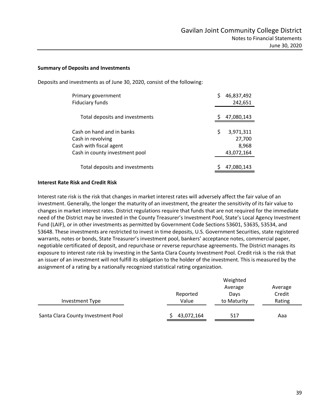#### **Summary of Deposits and Investments**

Deposits and investments as of June 30, 2020, consist of the following:

| Primary government<br>Fiduciary funds | Ś  | 46,837,492<br>242,651 |
|---------------------------------------|----|-----------------------|
| Total deposits and investments        |    | 47,080,143            |
| Cash on hand and in banks             | \$ | 3,971,311             |
| Cash in revolving                     |    | 27,700                |
| Cash with fiscal agent                |    | 8,968                 |
| Cash in county investment pool        |    | 43,072,164            |
| Total deposits and investments        |    | 47,080,143            |

#### **Interest Rate Risk and Credit Risk**

Interest rate risk is the risk that changes in market interest rates will adversely affect the fair value of an investment. Generally, the longer the maturity of an investment, the greater the sensitivity of its fair value to changes in market interest rates. District regulations require that funds that are not required for the immediate need of the District may be invested in the County Treasurer's Investment Pool, State's Local Agency Investment Fund (LAIF), or in other investments as permitted by Government Code Sections 53601, 53635, 53534, and 53648. These investments are restricted to invest in time deposits, U.S. Government Securities, state registered warrants, notes or bonds, State Treasurer's investment pool, bankers' acceptance notes, commercial paper, negotiable certificated of deposit, and repurchase or reverse repurchase agreements. The District manages its exposure to interest rate risk by investing in the Santa Clara County Investment Pool. Credit risk is the risk that an issuer of an investment will not fulfill its obligation to the holder of the investment. This is measured by the assignment of a rating by a nationally recognized statistical rating organization.

|                                    |            | Weighted    |         |
|------------------------------------|------------|-------------|---------|
|                                    |            | Average     | Average |
|                                    | Reported   | Days        | Credit  |
| Investment Type                    | Value      | to Maturity | Rating  |
| Santa Clara County Investment Pool | 43,072,164 | 517         | Aaa     |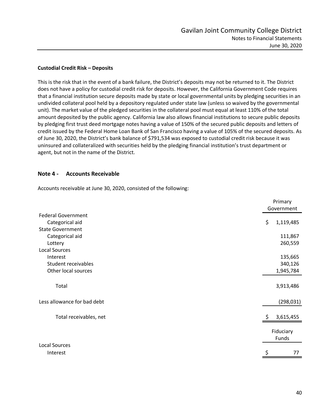# **Custodial Credit Risk – Deposits**

This is the risk that in the event of a bank failure, the District's deposits may not be returned to it. The District does not have a policy for custodial credit risk for deposits. However, the California Government Code requires that a financial institution secure deposits made by state or local governmental units by pledging securities in an undivided collateral pool held by a depository regulated under state law (unless so waived by the governmental unit). The market value of the pledged securities in the collateral pool must equal at least 110% of the total amount deposited by the public agency. California law also allows financial institutions to secure public deposits by pledging first trust deed mortgage notes having a value of 150% of the secured public deposits and letters of credit issued by the Federal Home Loan Bank of San Francisco having a value of 105% of the secured deposits. As of June 30, 2020, the District's bank balance of \$791,534 was exposed to custodial credit risk because it was uninsured and collateralized with securities held by the pledging financial institution's trust department or agent, but not in the name of the District.

# **Note 4 - Accounts Receivable**

Accounts receivable at June 30, 2020, consisted of the following:

|                                              | Primary<br>Government |                    |  |  |
|----------------------------------------------|-----------------------|--------------------|--|--|
| <b>Federal Government</b><br>Categorical aid | \$                    | 1,119,485          |  |  |
| <b>State Government</b>                      |                       |                    |  |  |
| Categorical aid                              |                       | 111,867            |  |  |
| Lottery                                      |                       | 260,559            |  |  |
| <b>Local Sources</b>                         |                       |                    |  |  |
| Interest                                     |                       | 135,665            |  |  |
| <b>Student receivables</b>                   |                       | 340,126            |  |  |
| Other local sources                          |                       | 1,945,784          |  |  |
| Total                                        |                       | 3,913,486          |  |  |
| Less allowance for bad debt                  |                       | (298, 031)         |  |  |
| Total receivables, net                       |                       | 3,615,455          |  |  |
|                                              |                       | Fiduciary<br>Funds |  |  |
| <b>Local Sources</b><br>Interest             |                       | 77                 |  |  |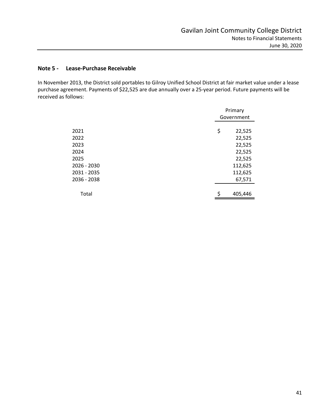# **Note 5 - Lease-Purchase Receivable**

In November 2013, the District sold portables to Gilroy Unified School District at fair market value under a lease purchase agreement. Payments of \$22,525 are due annually over a 25-year period. Future payments will be received as follows:

|             | Primary<br>Government |
|-------------|-----------------------|
|             |                       |
| 2021        | \$<br>22,525          |
| 2022        | 22,525                |
| 2023        | 22,525                |
| 2024        | 22,525                |
| 2025        | 22,525                |
| 2026 - 2030 | 112,625               |
| 2031 - 2035 | 112,625               |
| 2036 - 2038 | 67,571                |
|             |                       |
| Total       | \$<br>405,446         |
|             |                       |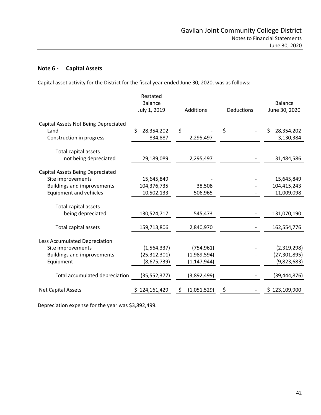# **Note 6 - Capital Assets**

Capital asset activity for the District for the fiscal year ended June 30, 2020, was as follows:

| Restated         |                                                                                           |                                                                       |                  |
|------------------|-------------------------------------------------------------------------------------------|-----------------------------------------------------------------------|------------------|
| <b>Balance</b>   |                                                                                           |                                                                       | <b>Balance</b>   |
| July 1, 2019     | Additions                                                                                 | <b>Deductions</b>                                                     | June 30, 2020    |
|                  |                                                                                           |                                                                       |                  |
|                  |                                                                                           |                                                                       |                  |
| Ś.<br>28,354,202 |                                                                                           | \$                                                                    | 28,354,202<br>\$ |
| 834,887          | 2,295,497                                                                                 |                                                                       | 3,130,384        |
|                  |                                                                                           |                                                                       |                  |
| 29,189,089       | 2,295,497                                                                                 |                                                                       | 31,484,586       |
|                  |                                                                                           |                                                                       |                  |
|                  |                                                                                           |                                                                       | 15,645,849       |
|                  |                                                                                           |                                                                       | 104,415,243      |
|                  |                                                                                           |                                                                       | 11,009,098       |
|                  |                                                                                           |                                                                       |                  |
|                  |                                                                                           |                                                                       |                  |
| 130,524,717      | 545,473                                                                                   |                                                                       | 131,070,190      |
| 159,713,806      | 2,840,970                                                                                 |                                                                       | 162,554,776      |
|                  |                                                                                           |                                                                       |                  |
|                  |                                                                                           |                                                                       |                  |
|                  |                                                                                           |                                                                       | (2,319,298)      |
|                  |                                                                                           |                                                                       | (27, 301, 895)   |
|                  |                                                                                           |                                                                       | (9,823,683)      |
| (35, 552, 377)   | (3,892,499)                                                                               |                                                                       | (39, 444, 876)   |
| \$124,161,429    | (1,051,529)                                                                               | \$                                                                    | \$123,109,900    |
|                  | 15,645,849<br>104,376,735<br>10,502,133<br>(1, 564, 337)<br>(25, 312, 301)<br>(8,675,739) | \$<br>38,508<br>506,965<br>(754, 961)<br>(1,989,594)<br>(1, 147, 944) |                  |

Depreciation expense for the year was \$3,892,499.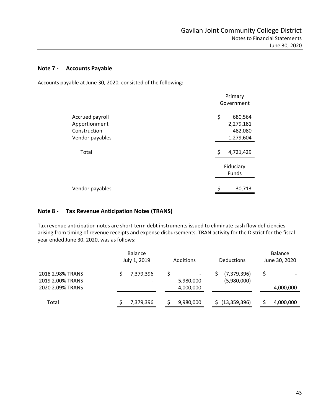### **Note 7 - Accounts Payable**

Accounts payable at June 30, 2020, consisted of the following:

|                                                                     |    | Primary<br>Government                        |  |  |
|---------------------------------------------------------------------|----|----------------------------------------------|--|--|
| Accrued payroll<br>Apportionment<br>Construction<br>Vendor payables |    | 680,564<br>2,279,181<br>482,080<br>1,279,604 |  |  |
| Total                                                               | S. | 4,721,429                                    |  |  |
|                                                                     |    | Fiduciary<br>Funds                           |  |  |
| Vendor payables                                                     | \$ | 30,713                                       |  |  |

# **Note 8 - Tax Revenue Anticipation Notes (TRANS)**

Tax revenue anticipation notes are short-term debt instruments issued to eliminate cash flow deficiencies arising from timing of revenue receipts and expense disbursements. TRAN activity for the District for the fiscal year ended June 30, 2020, was as follows:

|                                                          | Balance<br>July 1, 2019 |                                                                   | Additions<br>Deductions     |  |                              | <b>Balance</b><br>June 30, 2020 |           |  |
|----------------------------------------------------------|-------------------------|-------------------------------------------------------------------|-----------------------------|--|------------------------------|---------------------------------|-----------|--|
| 2018 2.98% TRANS<br>2019 2.00% TRANS<br>2020 2.09% TRANS |                         | 7,379,396<br>$\overline{\phantom{a}}$<br>$\overline{\phantom{a}}$ | -<br>5,980,000<br>4,000,000 |  | (7, 379, 396)<br>(5,980,000) |                                 | 4,000,000 |  |
| Total                                                    |                         | 7,379,396                                                         | 9,980,000                   |  | (13, 359, 396)               |                                 | 4,000,000 |  |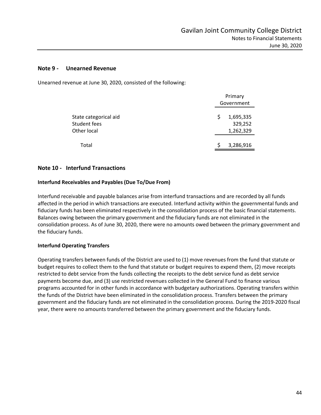#### **Note 9 - Unearned Revenue**

Unearned revenue at June 30, 2020, consisted of the following:

|                                                             | Primary<br>Government                  |
|-------------------------------------------------------------|----------------------------------------|
| State categorical aid<br><b>Student fees</b><br>Other local | 1,695,335<br>S<br>329,252<br>1,262,329 |
| Total                                                       | 3,286,916                              |

### **Note 10 - Interfund Transactions**

#### **Interfund Receivables and Payables (Due To/Due From)**

Interfund receivable and payable balances arise from interfund transactions and are recorded by all funds affected in the period in which transactions are executed. Interfund activity within the governmental funds and fiduciary funds has been eliminated respectively in the consolidation process of the basic financial statements. Balances owing between the primary government and the fiduciary funds are not eliminated in the consolidation process. As of June 30, 2020, there were no amounts owed between the primary government and the fiduciary funds.

### **Interfund Operating Transfers**

Operating transfers between funds of the District are used to (1) move revenues from the fund that statute or budget requires to collect them to the fund that statute or budget requires to expend them, (2) move receipts restricted to debt service from the funds collecting the receipts to the debt service fund as debt service payments become due, and (3) use restricted revenues collected in the General Fund to finance various programs accounted for in other funds in accordance with budgetary authorizations. Operating transfers within the funds of the District have been eliminated in the consolidation process. Transfers between the primary government and the fiduciary funds are not eliminated in the consolidation process. During the 2019-2020 fiscal year, there were no amounts transferred between the primary government and the fiduciary funds.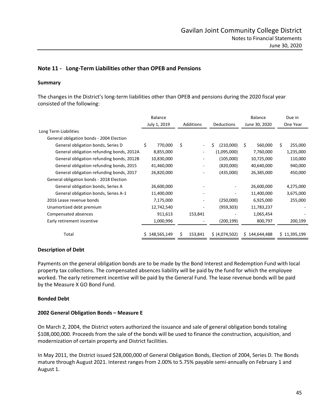# **Note 11 - Long-Term Liabilities other than OPEB and Pensions**

#### **Summary**

The changes in the District's long-term liabilities other than OPEB and pensions during the 2020 fiscal year consisted of the following:

|                                           | <b>Balance</b><br>July 1, 2019 |    | Additions | <b>Deductions</b> | <b>Balance</b><br>June 30, 2020 | Due in<br>One Year |
|-------------------------------------------|--------------------------------|----|-----------|-------------------|---------------------------------|--------------------|
| Long Term Liabilities                     |                                |    |           |                   |                                 |                    |
| General obligation bonds - 2004 Election  |                                |    |           |                   |                                 |                    |
| General obligation bonds, Series D        | Ś.<br>770,000                  | Ś. |           | Ś.<br>(210,000)   | Ś.<br>560,000                   | Š.<br>255,000      |
| General obligation refunding bonds, 2012A | 8,855,000                      |    |           | (1,095,000)       | 7,760,000                       | 1,235,000          |
| General obligation refunding bonds, 2012B | 10,830,000                     |    |           | (105,000)         | 10,725,000                      | 110,000            |
| General obligation refunding bonds, 2015  | 41,460,000                     |    |           | (820,000)         | 40,640,000                      | 940,000            |
| General obligation refunding bonds, 2017  | 26,820,000                     |    |           | (435,000)         | 26,385,000                      | 450,000            |
| General obligation bonds - 2018 Election  |                                |    |           |                   |                                 |                    |
| General obligation bonds, Series A        | 26,600,000                     |    |           |                   | 26,600,000                      | 4,275,000          |
| General obligation bonds, Series A-1      | 11,400,000                     |    |           |                   | 11,400,000                      | 3,675,000          |
| 2016 Lease revenue bonds                  | 7,175,000                      |    |           | (250,000)         | 6,925,000                       | 255,000            |
| Unamortized debt premium                  | 12,742,540                     |    |           | (959, 303)        | 11,783,237                      |                    |
| Compensated absences                      | 911,613                        |    | 153,841   |                   | 1,065,454                       |                    |
| Early retirement incentive                | 1,000,996                      |    |           | (200, 199)        | 800,797                         | 200,199            |
| Total                                     | 148,565,149                    |    | 153,841   | \$ (4,074,502)    | 144,644,488<br>S.               | \$11,395,199       |

### **Description of Debt**

Payments on the general obligation bonds are to be made by the Bond Interest and Redemption Fund with local property tax collections. The compensated absences liability will be paid by the fund for which the employee worked. The early retirement incentive will be paid by the General Fund. The lease revenue bonds will be paid by the Measure X GO Bond Fund.

### **Bonded Debt**

### **2002 General Obligation Bonds – Measure E**

On March 2, 2004, the District voters authorized the issuance and sale of general obligation bonds totaling \$108,000,000. Proceeds from the sale of the bonds will be used to finance the construction, acquisition, and modernization of certain property and District facilities.

In May 2011, the District issued \$28,000,000 of General Obligation Bonds, Election of 2004, Series D. The Bonds mature through August 2021. Interest ranges from 2.00% to 5.75% payable semi-annually on February 1 and August 1.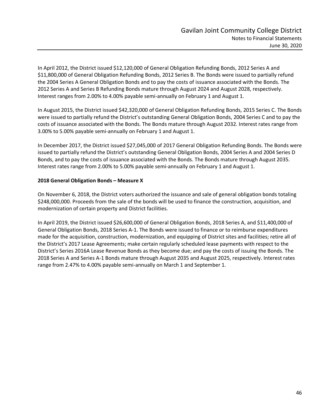In April 2012, the District issued \$12,120,000 of General Obligation Refunding Bonds, 2012 Series A and \$11,800,000 of General Obligation Refunding Bonds, 2012 Series B. The Bonds were issued to partially refund the 2004 Series A General Obligation Bonds and to pay the costs of issuance associated with the Bonds. The 2012 Series A and Series B Refunding Bonds mature through August 2024 and August 2028, respectively. Interest ranges from 2.00% to 4.00% payable semi-annually on February 1 and August 1.

In August 2015, the District issued \$42,320,000 of General Obligation Refunding Bonds, 2015 Series C. The Bonds were issued to partially refund the District's outstanding General Obligation Bonds, 2004 Series C and to pay the costs of issuance associated with the Bonds. The Bonds mature through August 2032. Interest rates range from 3.00% to 5.00% payable semi-annually on February 1 and August 1.

In December 2017, the District issued \$27,045,000 of 2017 General Obligation Refunding Bonds. The Bonds were issued to partially refund the District's outstanding General Obligation Bonds, 2004 Series A and 2004 Series D Bonds, and to pay the costs of issuance associated with the Bonds. The Bonds mature through August 2035. Interest rates range from 2.00% to 5.00% payable semi-annually on February 1 and August 1.

# **2018 General Obligation Bonds – Measure X**

On November 6, 2018, the District voters authorized the issuance and sale of general obligation bonds totaling \$248,000,000. Proceeds from the sale of the bonds will be used to finance the construction, acquisition, and modernization of certain property and District facilities.

In April 2019, the District issued \$26,600,000 of General Obligation Bonds, 2018 Series A, and \$11,400,000 of General Obligation Bonds, 2018 Series A-1. The Bonds were issued to finance or to reimburse expenditures made for the acquisition, construction, modernization, and equipping of District sites and facilities; retire all of the District's 2017 Lease Agreements; make certain regularly scheduled lease payments with respect to the District's Series 2016A Lease Revenue Bonds as they become due; and pay the costs of issuing the Bonds. The 2018 Series A and Series A-1 Bonds mature through August 2035 and August 2025, respectively. Interest rates range from 2.47% to 4.00% payable semi-annually on March 1 and September 1.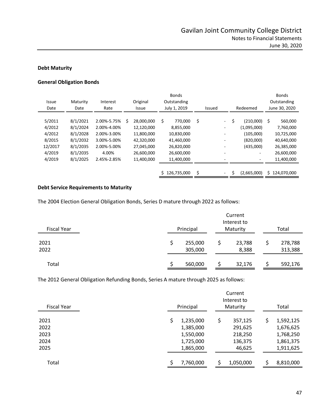## **Debt Maturity**

# **General Obligation Bonds**

| <b>Issue</b> | Maturity | Interest    |   | Original     |    | <b>Bonds</b><br>Outstanding |        |        |                 |    | <b>Bonds</b><br>Outstanding |
|--------------|----------|-------------|---|--------------|----|-----------------------------|--------|--------|-----------------|----|-----------------------------|
| Date         | Date     | Rate        |   | <b>Issue</b> |    | July 1, 2019                | Issued |        | Redeemed        |    | June 30, 2020               |
| 5/2011       | 8/1/2021 | 2.00%-5.75% | S | 28.000.000   | Ś. | 770.000                     | \$     | $\sim$ | \$<br>(210,000) | \$ | 560,000                     |
| 4/2012       | 8/1/2024 | 2.00%-4.00% |   | 12.120.000   |    | 8.855.000                   |        | ۰      | (1,095,000)     |    | 7,760,000                   |
| 4/2012       | 8/1/2028 | 2.00%-3.00% |   | 11,800,000   |    | 10,830,000                  |        |        | (105,000)       |    | 10,725,000                  |
| 8/2015       | 8/1/2032 | 3.00%-5.00% |   | 42,320,000   |    | 41,460,000                  |        |        | (820,000)       |    | 40,640,000                  |
| 12/2017      | 8/1/2035 | 2.00%-5.00% |   | 27,045,000   |    | 26,820,000                  |        |        | (435,000)       |    | 26,385,000                  |
| 4/2019       | 8/1/2035 | 4.00%       |   | 26,600,000   |    | 26,600,000                  |        |        | ۰.              |    | 26,600,000                  |
| 4/2019       | 8/1/2025 | 2.45%-2.85% |   | 11,400,000   |    | 11,400,000                  |        |        |                 |    | 11,400,000                  |
|              |          |             |   |              |    |                             |        |        |                 |    |                             |
|              |          |             |   |              |    | 126,735,000                 | \$     | $\sim$ | (2,665,000)     | Ś. | 124.070.000                 |

# **Debt Service Requirements to Maturity**

The 2004 Election General Obligation Bonds, Series D mature through 2022 as follows:

| <b>Fiscal Year</b> | Principal | Current<br>Interest to<br>Maturity | Total |                 |  |                    |
|--------------------|-----------|------------------------------------|-------|-----------------|--|--------------------|
| 2021<br>2022       |           | 255,000<br>305,000                 |       | 23,788<br>8,388 |  | 278,788<br>313,388 |
| Total              |           | 560,000                            |       | 32,176          |  | 592,176            |

The 2012 General Obligation Refunding Bonds, Series A mature through 2025 as follows:

| <b>Fiscal Year</b> | Principal       |               | Total |           |  |
|--------------------|-----------------|---------------|-------|-----------|--|
| 2021               | \$<br>1,235,000 | \$<br>357,125 | \$    | 1,592,125 |  |
| 2022               | 1,385,000       | 291,625       |       | 1,676,625 |  |
| 2023               | 1,550,000       | 218,250       |       | 1,768,250 |  |
| 2024               | 1,725,000       | 136,375       |       | 1,861,375 |  |
| 2025               | 1,865,000       | 46,625        |       | 1,911,625 |  |
| Total              | 7,760,000       | 1,050,000     | Ś     | 8,810,000 |  |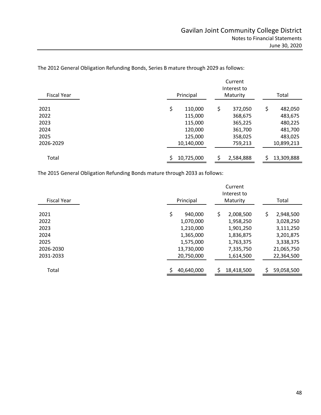The 2012 General Obligation Refunding Bonds, Series B mature through 2029 as follows:

| <b>Fiscal Year</b> | Current<br>Interest to<br>Principal<br>Total<br>Maturity |                |                 |  |  |  |  |
|--------------------|----------------------------------------------------------|----------------|-----------------|--|--|--|--|
| 2021               | \$<br>110,000                                            | \$<br>372,050  | \$<br>482,050   |  |  |  |  |
| 2022               | 115,000                                                  | 368,675        | 483,675         |  |  |  |  |
| 2023               | 115,000                                                  | 365,225        | 480,225         |  |  |  |  |
| 2024               | 120,000                                                  | 361,700        | 481,700         |  |  |  |  |
| 2025               | 125,000                                                  | 358,025        | 483,025         |  |  |  |  |
| 2026-2029          | 10,140,000                                               | 759,213        | 10,899,213      |  |  |  |  |
| Total              | 10,725,000<br>S                                          | 2,584,888<br>ς | 13,309,888<br>ς |  |  |  |  |

The 2015 General Obligation Refunding Bonds mature through 2033 as follows:

| <b>Fiscal Year</b> | Principal     | Current<br>Interest to<br>Maturity |                 |  |  |  |
|--------------------|---------------|------------------------------------|-----------------|--|--|--|
| 2021               | \$<br>940,000 | \$<br>2,008,500                    | \$<br>2,948,500 |  |  |  |
| 2022               | 1,070,000     | 1,958,250                          | 3,028,250       |  |  |  |
| 2023               | 1,210,000     | 1,901,250                          | 3,111,250       |  |  |  |
| 2024               | 1,365,000     | 1,836,875                          | 3,201,875       |  |  |  |
| 2025               | 1,575,000     | 1,763,375                          | 3,338,375       |  |  |  |
| 2026-2030          | 13,730,000    | 7,335,750                          | 21,065,750      |  |  |  |
| 2031-2033          | 20,750,000    | 1,614,500                          | 22,364,500      |  |  |  |
| Total              | 40,640,000    | Ś<br>18,418,500                    | ς<br>59,058,500 |  |  |  |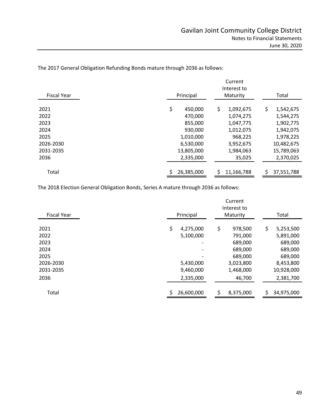The 2017 General Obligation Refunding Bonds mature through 2036 as follows:

|                    |                 | Current<br>Interest to |                 |  |
|--------------------|-----------------|------------------------|-----------------|--|
| <b>Fiscal Year</b> | Principal       | Maturity               |                 |  |
| 2021               | \$<br>450,000   | \$<br>1,092,675        | \$<br>1,542,675 |  |
| 2022               | 470,000         | 1,074,275              | 1,544,275       |  |
| 2023               | 855,000         | 1,047,775              | 1,902,775       |  |
| 2024               | 930,000         | 1,012,075              | 1,942,075       |  |
| 2025               | 1,010,000       | 968,225                | 1,978,225       |  |
| 2026-2030          | 6,530,000       | 3,952,675              | 10,482,675      |  |
| 2031-2035          | 13,805,000      | 1,984,063              | 15,789,063      |  |
| 2036               | 2,335,000       | 35,025                 | 2,370,025       |  |
| Total              | ς<br>26,385,000 | ς<br>11,166,788        | ς<br>37,551,788 |  |

The 2018 Election General Obligation Bonds, Series A mature through 2036 as follows:

|                    |                          | Current<br>Interest to |                 |
|--------------------|--------------------------|------------------------|-----------------|
| <b>Fiscal Year</b> | Principal                | Maturity               | Total           |
| 2021               | \$<br>4,275,000          | \$<br>978,500          | \$<br>5,253,500 |
| 2022               | 5,100,000                | 791,000                | 5,891,000       |
| 2023               | $\overline{\phantom{0}}$ | 689,000                | 689,000         |
| 2024               |                          | 689,000                | 689,000         |
| 2025               |                          | 689,000                | 689,000         |
| 2026-2030          | 5,430,000                | 3,023,800              | 8,453,800       |
| 2031-2035          | 9,460,000                | 1,468,000              | 10,928,000      |
| 2036               | 2,335,000                | 46,700                 | 2,381,700       |
| Total              | 26,600,000               | ς<br>8,375,000         | Ś<br>34,975,000 |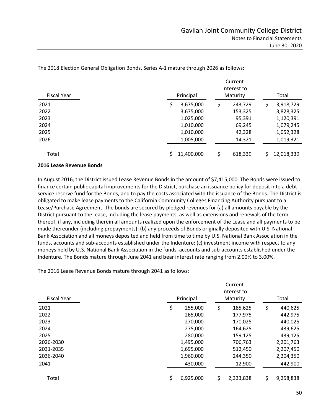| <b>Fiscal Year</b> | Principal      | Current<br>Interest to<br>Maturity<br>Total |         |    |            |  |  |
|--------------------|----------------|---------------------------------------------|---------|----|------------|--|--|
| 2021               | 3,675,000<br>Ş | \$                                          | 243,729 | \$ | 3,918,729  |  |  |
| 2022               | 3,675,000      |                                             | 153,325 |    | 3,828,325  |  |  |
| 2023               | 1,025,000      |                                             | 95,391  |    | 1,120,391  |  |  |
| 2024               | 1,010,000      |                                             | 69,245  |    | 1,079,245  |  |  |
| 2025               | 1,010,000      |                                             | 42,328  |    | 1,052,328  |  |  |
| 2026               | 1,005,000      |                                             | 14,321  |    | 1,019,321  |  |  |
| Total              | 11,400,000     | ς                                           | 618,339 | ς  | 12,018,339 |  |  |

The 2018 Election General Obligation Bonds, Series A-1 mature through 2026 as follows:

### **2016 Lease Revenue Bonds**

In August 2016, the District issued Lease Revenue Bonds in the amount of \$7,415,000. The Bonds were issued to finance certain public capital improvements for the District, purchase an issuance policy for deposit into a debt service reserve fund for the Bonds, and to pay the costs associated with the issuance of the Bonds. The District is obligated to make lease payments to the California Community Colleges Financing Authority pursuant to a Lease/Purchase Agreement. The bonds are secured by pledged revenues for (a) all amounts payable by the District pursuant to the lease, including the lease payments, as well as extensions and renewals of the term thereof, if any, including therein all amounts realized upon the enforcement of the Lease and all payments to be made thereunder (including prepayments); (b) any proceeds of Bonds originally deposited with U.S. National Bank Association and all moneys deposited and held from time to time by U.S. National Bank Association in the funds, accounts and sub-accounts established under the Indenture; (c) investment income with respect to any moneys held by U.S. National Bank Association in the funds, accounts and sub-accounts established under the Indenture. The Bonds mature through June 2041 and bear interest rate ranging from 2.00% to 3.00%.

The 2016 Lease Revenue Bonds mature through 2041 as follows:

| <b>Fiscal Year</b> | Principal     |    | Current<br>Interest to<br>Maturity | Total |  |           |  |  |  |  |
|--------------------|---------------|----|------------------------------------|-------|--|-----------|--|--|--|--|
| 2021               | \$<br>255,000 | \$ | 185,625                            | \$    |  | 440,625   |  |  |  |  |
| 2022               | 265,000       |    | 177,975                            |       |  | 442,975   |  |  |  |  |
| 2023               | 270,000       |    | 170,025                            |       |  | 440,025   |  |  |  |  |
| 2024               | 275,000       |    | 164,625                            |       |  | 439,625   |  |  |  |  |
| 2025               | 280,000       |    | 159,125                            |       |  | 439,125   |  |  |  |  |
| 2026-2030          | 1,495,000     |    | 706,763                            |       |  | 2,201,763 |  |  |  |  |
| 2031-2035          | 1,695,000     |    | 512,450                            |       |  | 2,207,450 |  |  |  |  |
| 2036-2040          | 1,960,000     |    | 244,350                            |       |  | 2,204,350 |  |  |  |  |
| 2041               | 430,000       |    | 12,900                             |       |  | 442,900   |  |  |  |  |
| Total              | 6,925,000     | ς  | 2,333,838                          | Ś     |  | 9,258,838 |  |  |  |  |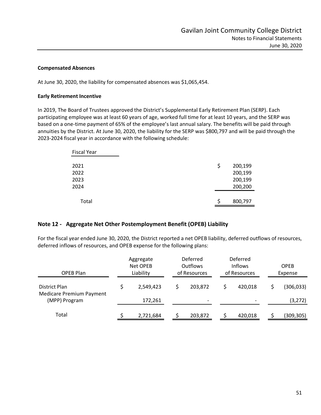### **Compensated Absences**

At June 30, 2020, the liability for compensated absences was \$1,065,454.

# **Early Retirement Incentive**

In 2019, The Board of Trustees approved the District's Supplemental Early Retirement Plan (SERP). Each participating employee was at least 60 years of age, worked full time for at least 10 years, and the SERP was based on a one-time payment of 65% of the employee's last annual salary. The benefits will be paid through annuities by the District. At June 30, 2020, the liability for the SERP was \$800,797 and will be paid through the 2023-2024 fiscal year in accordance with the following schedule:

| <b>Fiscal Year</b>           |    |                                          |
|------------------------------|----|------------------------------------------|
| 2021<br>2022<br>2023<br>2024 | \$ | 200,199<br>200,199<br>200,199<br>200,200 |
|                              |    |                                          |
| Total                        | Ś  | 800,797                                  |

# **Note 12 - Aggregate Net Other Postemployment Benefit (OPEB) Liability**

For the fiscal year ended June 30, 2020, the District reported a net OPEB liability, deferred outflows of resources, deferred inflows of resources, and OPEB expense for the following plans:

| OPEB Plan                                        | Aggregate<br>Net OPEB<br>Liability |  | Deferred<br><b>Outflows</b><br>of Resources |  | Deferred<br><b>Inflows</b><br>of Resources |  | <b>OPEB</b><br>Expense |
|--------------------------------------------------|------------------------------------|--|---------------------------------------------|--|--------------------------------------------|--|------------------------|
| District Plan<br><b>Medicare Premium Payment</b> | 2,549,423                          |  | 203,872                                     |  | 420,018                                    |  | (306,033)              |
| (MPP) Program                                    | 172,261                            |  | $\overline{\phantom{0}}$                    |  | $\overline{\phantom{a}}$                   |  | (3, 272)               |
| Total                                            | 2,721,684                          |  | 203,872                                     |  | 420.018                                    |  | (309,305)              |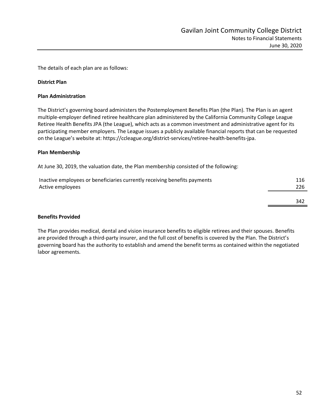The details of each plan are as follows:

#### **District Plan**

#### **Plan Administration**

The District's governing board administers the Postemployment Benefits Plan (the Plan). The Plan is an agent multiple-employer defined retiree healthcare plan administered by the California Community College League Retiree Health Benefits JPA (the League), which acts as a common investment and administrative agent for its participating member employers. The League issues a publicly available financial reports that can be requested on the League's website at: https://ccleague.org/district-services/retiree-health-benefits-jpa.

#### **Plan Membership**

At June 30, 2019, the valuation date, the Plan membership consisted of the following:

| Active employees | 226 |
|------------------|-----|
|                  | 342 |

### **Benefits Provided**

The Plan provides medical, dental and vision insurance benefits to eligible retirees and their spouses. Benefits are provided through a third-party insurer, and the full cost of benefits is covered by the Plan. The District's governing board has the authority to establish and amend the benefit terms as contained within the negotiated labor agreements.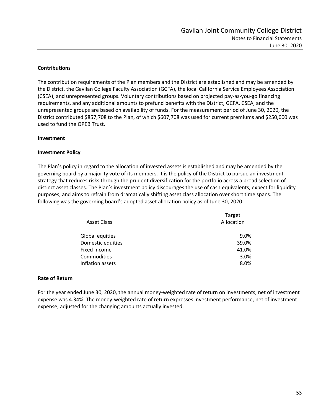# **Contributions**

The contribution requirements of the Plan members and the District are established and may be amended by the District, the Gavilan College Faculty Association (GCFA), the local California Service Employees Association (CSEA), and unrepresented groups. Voluntary contributions based on projected pay-as-you-go financing requirements, and any additional amounts to prefund benefits with the District, GCFA, CSEA, and the unrepresented groups are based on availability of funds. For the measurement period of June 30, 2020, the District contributed \$857,708 to the Plan, of which \$607,708 was used for current premiums and \$250,000 was used to fund the OPEB Trust.

### **Investment**

### **Investment Policy**

The Plan's policy in regard to the allocation of invested assets is established and may be amended by the governing board by a majority vote of its members. It is the policy of the District to pursue an investment strategy that reduces risks through the prudent diversification for the portfolio across a broad selection of distinct asset classes. The Plan's investment policy discourages the use of cash equivalents, expect for liquidity purposes, and aims to refrain from dramatically shifting asset class allocation over short time spans. The following was the governing board's adopted asset allocation policy as of June 30, 2020:

| Target<br>Allocation |
|----------------------|
| 9.0%                 |
| 39.0%                |
| 41.0%                |
| 3.0%                 |
| 8.0%                 |
|                      |

### **Rate of Return**

For the year ended June 30, 2020, the annual money-weighted rate of return on investments, net of investment expense was 4.34%. The money-weighted rate of return expresses investment performance, net of investment expense, adjusted for the changing amounts actually invested.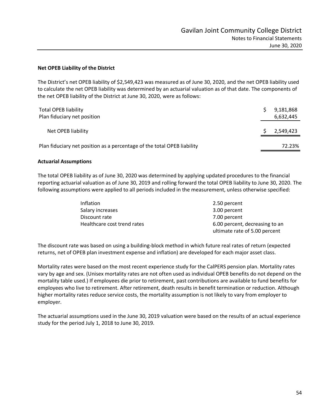### **Net OPEB Liability of the District**

The District's net OPEB liability of \$2,549,423 was measured as of June 30, 2020, and the net OPEB liability used to calculate the net OPEB liability was determined by an actuarial valuation as of that date. The components of the net OPEB liability of the District at June 30, 2020, were as follows:

| <b>Total OPEB liability</b><br>Plan fiduciary net position              | 9,181,868<br>6,632,445 |
|-------------------------------------------------------------------------|------------------------|
| Net OPEB liability                                                      | 2,549,423              |
| Plan fiduciary net position as a percentage of the total OPEB liability | 72.23%                 |

#### **Actuarial Assumptions**

The total OPEB liability as of June 30, 2020 was determined by applying updated procedures to the financial reporting actuarial valuation as of June 30, 2019 and rolling forward the total OPEB liability to June 30, 2020. The following assumptions were applied to all periods included in the measurement, unless otherwise specified:

| Inflation                   | 2.50 percent                   |
|-----------------------------|--------------------------------|
| Salary increases            | 3.00 percent                   |
| Discount rate               | 7.00 percent                   |
| Healthcare cost trend rates | 6.00 percent, decreasing to an |
|                             | ultimate rate of 5.00 percent  |

The discount rate was based on using a building-block method in which future real rates of return (expected returns, net of OPEB plan investment expense and inflation) are developed for each major asset class.

Mortality rates were based on the most recent experience study for the CalPERS pension plan. Mortality rates vary by age and sex. (Unisex mortality rates are not often used as individual OPEB benefits do not depend on the mortality table used.) If employees die prior to retirement, past contributions are available to fund benefits for employees who live to retirement. After retirement, death results in benefit termination or reduction. Although higher mortality rates reduce service costs, the mortality assumption is not likely to vary from employer to employer.

The actuarial assumptions used in the June 30, 2019 valuation were based on the results of an actual experience study for the period July 1, 2018 to June 30, 2019.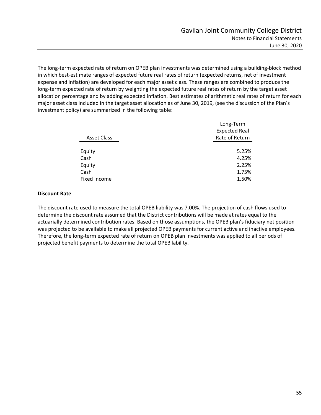The long-term expected rate of return on OPEB plan investments was determined using a building-block method in which best-estimate ranges of expected future real rates of return (expected returns, net of investment expense and inflation) are developed for each major asset class. These ranges are combined to produce the long-term expected rate of return by weighting the expected future real rates of return by the target asset allocation percentage and by adding expected inflation. Best estimates of arithmetic real rates of return for each major asset class included in the target asset allocation as of June 30, 2019, (see the discussion of the Plan's investment policy) are summarized in the following table:

| Long-Term            |
|----------------------|
| <b>Expected Real</b> |
| Rate of Return       |
|                      |
| 5.25%                |
| 4.25%                |
| 2.25%                |
| 1.75%                |
| 1.50%                |
|                      |

# **Discount Rate**

The discount rate used to measure the total OPEB liability was 7.00%. The projection of cash flows used to determine the discount rate assumed that the District contributions will be made at rates equal to the actuarially determined contribution rates. Based on those assumptions, the OPEB plan's fiduciary net position was projected to be available to make all projected OPEB payments for current active and inactive employees. Therefore, the long-term expected rate of return on OPEB plan investments was applied to all periods of projected benefit payments to determine the total OPEB lability.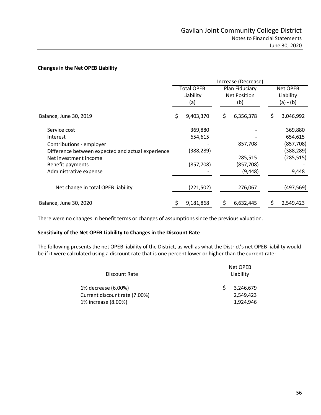### **Changes in the Net OPEB Liability**

|                                                   | Increase (Decrease) |                                       |   |                                              |  |    |                                      |
|---------------------------------------------------|---------------------|---------------------------------------|---|----------------------------------------------|--|----|--------------------------------------|
|                                                   |                     | <b>Total OPEB</b><br>Liability<br>(a) |   | Plan Fiduciary<br><b>Net Position</b><br>(b) |  |    | Net OPEB<br>Liability<br>$(a) - (b)$ |
| Balance, June 30, 2019                            |                     | 9,403,370                             | S | 6,356,378                                    |  | -Ş | 3,046,992                            |
| Service cost                                      |                     | 369,880                               |   |                                              |  |    | 369,880                              |
| Interest                                          |                     | 654,615                               |   |                                              |  |    | 654,615                              |
| Contributions - employer                          |                     |                                       |   | 857,708                                      |  |    | (857,708)                            |
| Difference between expected and actual experience |                     | (388, 289)                            |   |                                              |  |    | (388, 289)                           |
| Net investment income                             |                     |                                       |   | 285,515                                      |  |    | (285, 515)                           |
| Benefit payments                                  |                     | (857,708)                             |   | (857, 708)                                   |  |    |                                      |
| Administrative expense                            |                     |                                       |   | (9, 448)                                     |  |    | 9,448                                |
| Net change in total OPEB liability                |                     | (221, 502)                            |   | 276,067                                      |  |    | (497, 569)                           |
| Balance, June 30, 2020                            |                     | 9,181,868                             |   | 6,632,445                                    |  |    | 2,549,423                            |

There were no changes in benefit terms or changes of assumptions since the previous valuation.

### **Sensitivity of the Net OPEB Liability to Changes in the Discount Rate**

The following presents the net OPEB liability of the District, as well as what the District's net OPEB liability would be if it were calculated using a discount rate that is one percent lower or higher than the current rate:

| Discount Rate                                                               |  | Net OPEB<br>Liability               |  |  |  |
|-----------------------------------------------------------------------------|--|-------------------------------------|--|--|--|
| 1% decrease (6.00%)<br>Current discount rate (7.00%)<br>1% increase (8.00%) |  | 3,246,679<br>2.549.423<br>1,924,946 |  |  |  |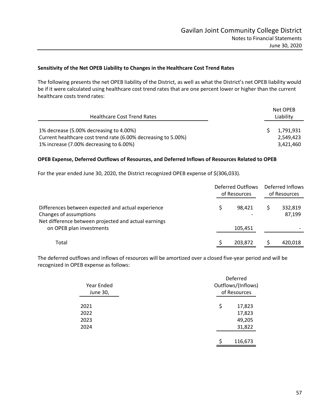### **Sensitivity of the Net OPEB Liability to Changes in the Healthcare Cost Trend Rates**

The following presents the net OPEB liability of the District, as well as what the District's net OPEB liability would be if it were calculated using healthcare cost trend rates that are one percent lower or higher than the current healthcare costs trend rates:

| <b>Healthcare Cost Trend Rates</b>                                                                                                                   |  |                                     |
|------------------------------------------------------------------------------------------------------------------------------------------------------|--|-------------------------------------|
| 1% decrease (5.00% decreasing to 4.00%)<br>Current healthcare cost trend rate (6.00% decreasing to 5.00%)<br>1% increase (7.00% decreasing to 6.00%) |  | 1,791,931<br>2.549.423<br>3,421,460 |

#### **OPEB Expense, Deferred Outflows of Resources, and Deferred Inflows of Resources Related to OPEB**

For the year ended June 30, 2020, the District recognized OPEB expense of \$(306,033).

|                                                                                                                                      | Deferred Outflows<br>of Resources | Deferred Inflows<br>of Resources |  |                   |
|--------------------------------------------------------------------------------------------------------------------------------------|-----------------------------------|----------------------------------|--|-------------------|
| Differences between expected and actual experience<br>Changes of assumptions<br>Net difference between projected and actual earnings |                                   | 98.421                           |  | 332,819<br>87,199 |
| on OPEB plan investments                                                                                                             |                                   | 105,451                          |  |                   |
| Total                                                                                                                                |                                   | 203,872                          |  | 420,018           |

The deferred outflows and inflows of resources will be amortized over a closed five-year period and will be recognized in OPEB expense as follows:

| Year Ended<br>June 30, | Deferred<br>Outflows/(Inflows)<br>of Resources |
|------------------------|------------------------------------------------|
| 2021                   | \$<br>17,823                                   |
| 2022                   | 17,823                                         |
| 2023                   | 49,205                                         |
| 2024                   | 31,822                                         |
|                        | 116,673                                        |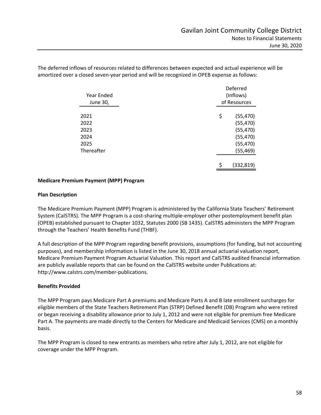| Year Ended<br>June 30,                             | Deferred<br>(Inflows)<br>of Resources                                            |
|----------------------------------------------------|----------------------------------------------------------------------------------|
| 2021<br>2022<br>2023<br>2024<br>2025<br>Thereafter | \$<br>(55, 470)<br>(55, 470)<br>(55, 470)<br>(55, 470)<br>(55, 470)<br>(55, 469) |
|                                                    | Ś<br>(332, 819)                                                                  |

The deferred inflows of resources related to differences between expected and actual experience will be amortized over a closed seven-year period and will be recognized in OPEB expense as follows:

#### **Medicare Premium Payment (MPP) Program**

#### **Plan Description**

The Medicare Premium Payment (MPP) Program is administered by the California State Teachers' Retirement System (CalSTRS). The MPP Program is a cost-sharing multiple-employer other postemployment benefit plan (OPEB) established pursuant to Chapter 1032, Statutes 2000 (SB 1435). CalSTRS administers the MPP Program through the Teachers' Health Benefits Fund (THBF).

A full description of the MPP Program regarding benefit provisions, assumptions (for funding, but not accounting purposes), and membership information is listed in the June 30, 2018 annual actuarial valuation report, Medicare Premium Payment Program Actuarial Valuation. This report and CalSTRS audited financial information are publicly available reports that can be found on the CalSTRS website under Publications at: http://www.calstrs.com/member-publications.

#### **Benefits Provided**

The MPP Program pays Medicare Part A premiums and Medicare Parts A and B late enrollment surcharges for eligible members of the State Teachers Retirement Plan (STRP) Defined Benefit (DB) Program who were retired or began receiving a disability allowance prior to July 1, 2012 and were not eligible for premium free Medicare Part A. The payments are made directly to the Centers for Medicare and Medicaid Services (CMS) on a monthly basis.

The MPP Program is closed to new entrants as members who retire after July 1, 2012, are not eligible for coverage under the MPP Program.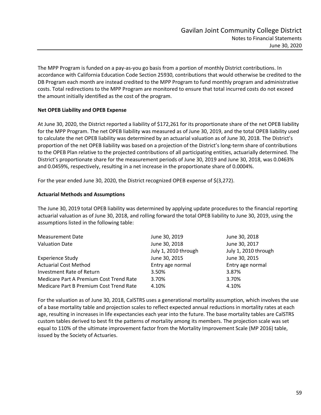The MPP Program is funded on a pay-as-you go basis from a portion of monthly District contributions. In accordance with California Education Code Section 25930, contributions that would otherwise be credited to the DB Program each month are instead credited to the MPP Program to fund monthly program and administrative costs. Total redirections to the MPP Program are monitored to ensure that total incurred costs do not exceed the amount initially identified as the cost of the program.

# **Net OPEB Liability and OPEB Expense**

At June 30, 2020, the District reported a liability of \$172,261 for its proportionate share of the net OPEB liability for the MPP Program. The net OPEB liability was measured as of June 30, 2019, and the total OPEB liability used to calculate the net OPEB liability was determined by an actuarial valuation as of June 30, 2018. The District's proportion of the net OPEB liability was based on a projection of the District's long-term share of contributions to the OPEB Plan relative to the projected contributions of all participating entities, actuarially determined. The District's proportionate share for the measurement periods of June 30, 2019 and June 30, 2018, was 0.0463% and 0.0459%, respectively, resulting in a net increase in the proportionate share of 0.0004%.

For the year ended June 30, 2020, the District recognized OPEB expense of \$(3,272).

# **Actuarial Methods and Assumptions**

The June 30, 2019 total OPEB liability was determined by applying update procedures to the financial reporting actuarial valuation as of June 30, 2018, and rolling forward the total OPEB liability to June 30, 2019, using the assumptions listed in the following table:

| <b>Measurement Date</b>                 | June 30, 2019        | June 30, 2018        |
|-----------------------------------------|----------------------|----------------------|
| <b>Valuation Date</b>                   | June 30, 2018        | June 30, 2017        |
|                                         | July 1, 2010 through | July 1, 2010 through |
| <b>Experience Study</b>                 | June 30, 2015        | June 30, 2015        |
| <b>Actuarial Cost Method</b>            | Entry age normal     | Entry age normal     |
| Investment Rate of Return               | 3.50%                | 3.87%                |
| Medicare Part A Premium Cost Trend Rate | 3.70%                | 3.70%                |
| Medicare Part B Premium Cost Trend Rate | 4.10%                | 4.10%                |

For the valuation as of June 30, 2018, CalSTRS uses a generational mortality assumption, which involves the use of a base mortality table and projection scales to reflect expected annual reductions in mortality rates at each age, resulting in increases in life expectancies each year into the future. The base mortality tables are CalSTRS custom tables derived to best fit the patterns of mortality among its members. The projection scale was set equal to 110% of the ultimate improvement factor from the Mortality Improvement Scale (MP 2016) table, issued by the Society of Actuaries.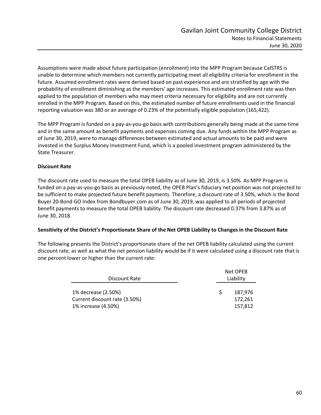Assumptions were made about future participation (enrollment) into the MPP Program because CalSTRS is unable to determine which members not currently participating meet all eligibility criteria for enrollment in the future. Assumed enrollment rates were derived based on past experience and are stratified by age with the probability of enrollment diminishing as the members' age increases. This estimated enrollment rate was then applied to the population of members who may meet criteria necessary for eligibility and are not currently enrolled in the MPP Program. Based on this, the estimated number of future enrollments used in the financial reporting valuation was 380 or an average of 0.23% of the potentially eligible population (165,422).

The MPP Program is funded on a pay-as-you-go basis with contributions generally being made at the same time and in the same amount as benefit payments and expenses coming due. Any funds within the MPP Program as of June 30, 2019, were to manage differences between estimated and actual amounts to be paid and were invested in the Surplus Money Investment Fund, which is a pooled investment program administered by the State Treasurer.

# **Discount Rate**

The discount rate used to measure the total OPEB liability as of June 30, 2019, is 3.50%. As MPP Program is funded on a pay-as-you-go basis as previously noted, the OPEB Plan's fiduciary net position was not projected to be sufficient to make projected future benefit payments. Therefore, a discount rate of 3.50%, which is the Bond Buyer 20-Bond GO Index from Bondbuyer.com as of June 30, 2019, was applied to all periods of projected benefit payments to measure the total OPEB liability. The discount rate decreased 0.37% from 3.87% as of June 30, 2018.

### **Sensitivity of the District's Proportionate Share of the Net OPEB Liability to Changes in the Discount Rate**

The following presents the District's proportionate share of the net OPEB liability calculated using the current discount rate, as well as what the net pension liability would be if it were calculated using a discount rate that is one percent lower or higher than the current rate:

|                                                                             | Net OPEB |                               |  |  |
|-----------------------------------------------------------------------------|----------|-------------------------------|--|--|
| Discount Rate                                                               |          | Liability                     |  |  |
| 1% decrease (2.50%)<br>Current discount rate (3.50%)<br>1% increase (4.50%) |          | 187,976<br>172,261<br>157,812 |  |  |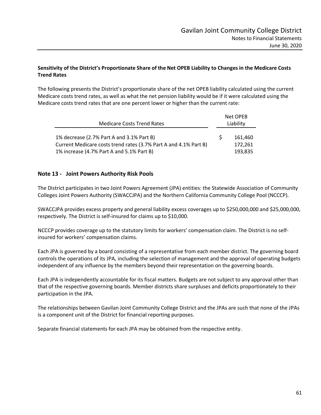# **Sensitivity of the District's Proportionate Share of the Net OPEB Liability to Changes in the Medicare Costs Trend Rates**

The following presents the District's proportionate share of the net OPEB liability calculated using the current Medicare costs trend rates, as well as what the net pension liability would be if it were calculated using the Medicare costs trend rates that are one percent lower or higher than the current rate:

| <b>Medicare Costs Trend Rates</b>                                | Net OPEB<br>Liability |  |  |
|------------------------------------------------------------------|-----------------------|--|--|
| 1% decrease (2.7% Part A and 3.1% Part B)                        | 161.460               |  |  |
| Current Medicare costs trend rates (3.7% Part A and 4.1% Part B) | 172.261               |  |  |
| 1% increase (4.7% Part A and 5.1% Part B)                        | 193.835               |  |  |

# **Note 13 - Joint Powers Authority Risk Pools**

The District participates in two Joint Powers Agreement (JPA) entities: the Statewide Association of Community Colleges Joint Powers Authority (SWACCJPA) and the Northern California Community College Pool (NCCCP).

SWACCJPA provides excess property and general liability excess coverages up to \$250,000,000 and \$25,000,000, respectively. The District is self-insured for claims up to \$10,000.

NCCCP provides coverage up to the statutory limits for workers' compensation claim. The District is no selfinsured for workers' compensation claims.

Each JPA is governed by a board consisting of a representative from each member district. The governing board controls the operations of its JPA, including the selection of management and the approval of operating budgets independent of any influence by the members beyond their representation on the governing boards.

Each JPA is independently accountable for its fiscal matters. Budgets are not subject to any approval other than that of the respective governing boards. Member districts share surpluses and deficits proportionately to their participation in the JPA.

The relationships between Gavilan Joint Community College District and the JPAs are such that none of the JPAs is a component unit of the District for financial reporting purposes.

Separate financial statements for each JPA may be obtained from the respective entity.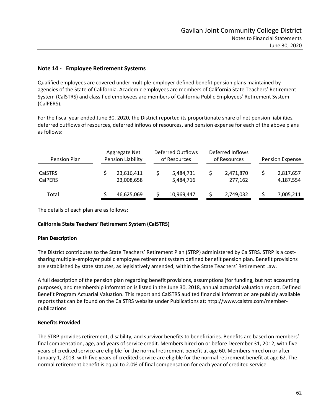# **Note 14 - Employee Retirement Systems**

Qualified employees are covered under multiple-employer defined benefit pension plans maintained by agencies of the State of California. Academic employees are members of California State Teachers' Retirement System (CalSTRS) and classified employees are members of California Public Employees' Retirement System (CalPERS).

For the fiscal year ended June 30, 2020, the District reported its proportionate share of net pension liabilities, deferred outflows of resources, deferred inflows of resources, and pension expense for each of the above plans as follows:

| <b>Pension Plan</b>              | Aggregate Net<br>Pension Liability |  | Deferred Outflows<br>of Resources |  | Deferred Inflows<br>of Resources | <b>Pension Expense</b> |
|----------------------------------|------------------------------------|--|-----------------------------------|--|----------------------------------|------------------------|
| <b>CalSTRS</b><br><b>CalPERS</b> | 23,616,411<br>23,008,658           |  | 5,484,731<br>5,484,716            |  | 2,471,870<br>277,162             | 2,817,657<br>4,187,554 |
| Total                            | 46,625,069                         |  | 10,969,447                        |  | 2,749,032                        | 7,005,211              |

The details of each plan are as follows:

### **California State Teachers' Retirement System (CalSTRS)**

#### **Plan Description**

The District contributes to the State Teachers' Retirement Plan (STRP) administered by CalSTRS. STRP is a costsharing multiple-employer public employee retirement system defined benefit pension plan. Benefit provisions are established by state statutes, as legislatively amended, within the State Teachers' Retirement Law.

A full description of the pension plan regarding benefit provisions, assumptions (for funding, but not accounting purposes), and membership information is listed in the June 30, 2018, annual actuarial valuation report, Defined Benefit Program Actuarial Valuation. This report and CalSTRS audited financial information are publicly available reports that can be found on the CalSTRS website under Publications at: http://www.calstrs.com/memberpublications.

### **Benefits Provided**

The STRP provides retirement, disability, and survivor benefits to beneficiaries. Benefits are based on members' final compensation, age, and years of service credit. Members hired on or before December 31, 2012, with five years of credited service are eligible for the normal retirement benefit at age 60. Members hired on or after January 1, 2013, with five years of credited service are eligible for the normal retirement benefit at age 62. The normal retirement benefit is equal to 2.0% of final compensation for each year of credited service.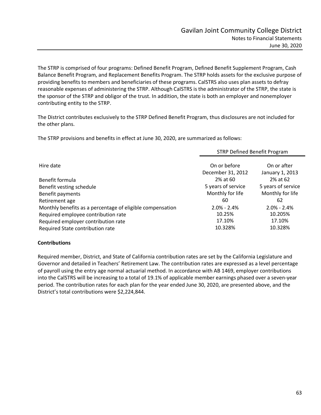The STRP is comprised of four programs: Defined Benefit Program, Defined Benefit Supplement Program, Cash Balance Benefit Program, and Replacement Benefits Program. The STRP holds assets for the exclusive purpose of providing benefits to members and beneficiaries of these programs. CalSTRS also uses plan assets to defray reasonable expenses of administering the STRP. Although CalSTRS is the administrator of the STRP, the state is the sponsor of the STRP and obligor of the trust. In addition, the state is both an employer and nonemployer contributing entity to the STRP.

The District contributes exclusively to the STRP Defined Benefit Program, thus disclosures are not included for the other plans.

The STRP provisions and benefits in effect at June 30, 2020, are summarized as follows:

|                                                           |                                                                     | <b>STRP Defined Benefit Program</b> |  |  |
|-----------------------------------------------------------|---------------------------------------------------------------------|-------------------------------------|--|--|
| Hire date                                                 | On or before<br>On or after<br>December 31, 2012<br>January 1, 2013 |                                     |  |  |
| Benefit formula                                           | 2% at 60                                                            | 2% at 62                            |  |  |
| Benefit vesting schedule                                  | 5 years of service                                                  | 5 years of service                  |  |  |
| Benefit payments                                          | Monthly for life                                                    | Monthly for life                    |  |  |
| Retirement age                                            | 60                                                                  | 62                                  |  |  |
| Monthly benefits as a percentage of eligible compensation | $2.0\% - 2.4\%$                                                     | $2.0\% - 2.4\%$                     |  |  |
| Required employee contribution rate                       | 10.25%                                                              | 10.205%                             |  |  |
| Required employer contribution rate                       | 17.10%                                                              | 17.10%                              |  |  |
| Required State contribution rate                          | 10.328%                                                             | 10.328%                             |  |  |

### **Contributions**

Required member, District, and State of California contribution rates are set by the California Legislature and Governor and detailed in Teachers' Retirement Law. The contribution rates are expressed as a level percentage of payroll using the entry age normal actuarial method. In accordance with AB 1469, employer contributions into the CalSTRS will be increasing to a total of 19.1% of applicable member earnings phased over a seven-year period. The contribution rates for each plan for the year ended June 30, 2020, are presented above, and the District's total contributions were \$2,224,844.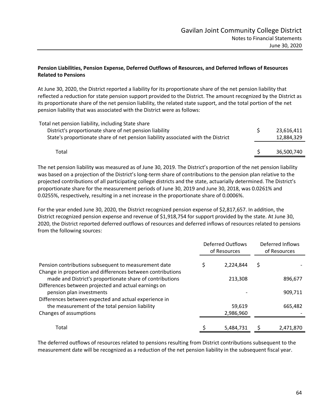# **Pension Liabilities, Pension Expense, Deferred Outflows of Resources, and Deferred Inflows of Resources Related to Pensions**

At June 30, 2020, the District reported a liability for its proportionate share of the net pension liability that reflected a reduction for state pension support provided to the District. The amount recognized by the District as its proportionate share of the net pension liability, the related state support, and the total portion of the net pension liability that was associated with the District were as follows:

| Total net pension liability, including State share                                |            |
|-----------------------------------------------------------------------------------|------------|
| District's proportionate share of net pension liability                           | 23,616,411 |
| State's proportionate share of net pension liability associated with the District | 12.884.329 |
|                                                                                   |            |
| Total                                                                             | 36.500.740 |

The net pension liability was measured as of June 30, 2019. The District's proportion of the net pension liability was based on a projection of the District's long-term share of contributions to the pension plan relative to the projected contributions of all participating college districts and the state, actuarially determined. The District's proportionate share for the measurement periods of June 30, 2019 and June 30, 2018, was 0.0261% and 0.0255%, respectively, resulting in a net increase in the proportionate share of 0.0006%.

For the year ended June 30, 2020, the District recognized pension expense of \$2,817,657. In addition, the District recognized pension expense and revenue of \$1,918,754 for support provided by the state. At June 30, 2020, the District reported deferred outflows of resources and deferred inflows of resources related to pensions from the following sources:

|                                                                                                                        | Deferred Outflows<br>of Resources |           | Deferred Inflows<br>of Resources |           |
|------------------------------------------------------------------------------------------------------------------------|-----------------------------------|-----------|----------------------------------|-----------|
| Pension contributions subsequent to measurement date                                                                   | \$                                | 2,224,844 | S                                |           |
| Change in proportion and differences between contributions<br>made and District's proportionate share of contributions |                                   | 213,308   |                                  | 896,677   |
| Differences between projected and actual earnings on<br>pension plan investments                                       |                                   |           |                                  | 909.711   |
| Differences between expected and actual experience in<br>the measurement of the total pension liability                |                                   | 59,619    |                                  | 665,482   |
| Changes of assumptions                                                                                                 |                                   | 2,986,960 |                                  |           |
| Total                                                                                                                  |                                   | 5,484,731 |                                  | 2,471,870 |

The deferred outflows of resources related to pensions resulting from District contributions subsequent to the measurement date will be recognized as a reduction of the net pension liability in the subsequent fiscal year.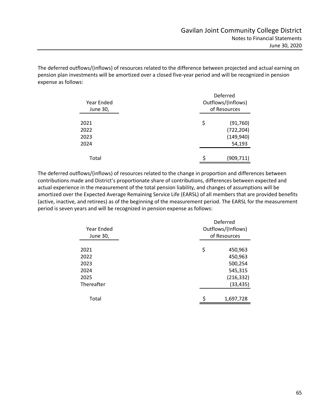The deferred outflows/(inflows) of resources related to the difference between projected and actual earning on pension plan investments will be amortized over a closed five-year period and will be recognized in pension expense as follows:

| Year Ended<br>June 30,       | Deferred<br>Outflows/(Inflows)<br>of Resources |                                                |  |
|------------------------------|------------------------------------------------|------------------------------------------------|--|
| 2021<br>2022<br>2023<br>2024 | \$                                             | (91,760)<br>(722, 204)<br>(149, 940)<br>54,193 |  |
| Total                        | \$                                             | (909, 711)                                     |  |

The deferred outflows/(inflows) of resources related to the change in proportion and differences between contributions made and District's proportionate share of contributions, differences between expected and actual experience in the measurement of the total pension liability, and changes of assumptions will be amortized over the Expected Average Remaining Service Life (EARSL) of all members that are provided benefits (active, inactive, and retirees) as of the beginning of the measurement period. The EARSL for the measurement period is seven years and will be recognized in pension expense as follows:

| Year Ended<br>June 30,                             | Deferred<br>Outflows/(Inflows)<br>of Resources |                                                                     |  |
|----------------------------------------------------|------------------------------------------------|---------------------------------------------------------------------|--|
| 2021<br>2022<br>2023<br>2024<br>2025<br>Thereafter | \$                                             | 450,963<br>450,963<br>500,254<br>545,315<br>(216, 332)<br>(33, 435) |  |
| Total                                              |                                                | 1,697,728                                                           |  |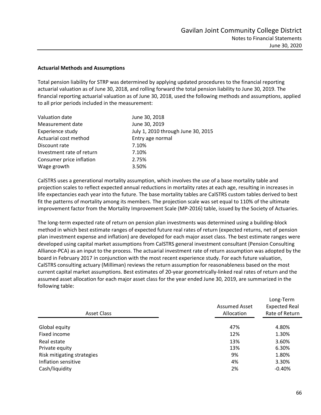#### **Actuarial Methods and Assumptions**

Total pension liability for STRP was determined by applying updated procedures to the financial reporting actuarial valuation as of June 30, 2018, and rolling forward the total pension liability to June 30, 2019. The financial reporting actuarial valuation as of June 30, 2018, used the following methods and assumptions, applied to all prior periods included in the measurement:

| Valuation date            | June 30, 2018                      |
|---------------------------|------------------------------------|
| Measurement date          | June 30, 2019                      |
| Experience study          | July 1, 2010 through June 30, 2015 |
| Actuarial cost method     | Entry age normal                   |
| Discount rate             | 7.10%                              |
| Investment rate of return | 7.10%                              |
| Consumer price inflation  | 2.75%                              |
| Wage growth               | 3.50%                              |

CalSTRS uses a generational mortality assumption, which involves the use of a base mortality table and projection scales to reflect expected annual reductions in mortality rates at each age, resulting in increases in life expectancies each year into the future. The base mortality tables are CalSTRS custom tables derived to best fit the patterns of mortality among its members. The projection scale was set equal to 110% of the ultimate improvement factor from the Mortality Improvement Scale (MP-2016) table, issued by the Society of Actuaries.

The long-term expected rate of return on pension plan investments was determined using a building-block method in which best estimate ranges of expected future real rates of return (expected returns, net of pension plan investment expense and inflation) are developed for each major asset class. The best estimate ranges were developed using capital market assumptions from CalSTRS general investment consultant (Pension Consulting Alliance-PCA) as an input to the process. The actuarial investment rate of return assumption was adopted by the board in February 2017 in conjunction with the most recent experience study. For each future valuation, CalSTRS consulting actuary (Milliman) reviews the return assumption for reasonableness based on the most current capital market assumptions. Best estimates of 20-year geometrically-linked real rates of return and the assumed asset allocation for each major asset class for the year ended June 30, 2019, are summarized in the following table:

|                            | <b>Assumed Asset</b> | Long-Term<br><b>Expected Real</b> |  |  |
|----------------------------|----------------------|-----------------------------------|--|--|
| <b>Asset Class</b>         | Allocation           | Rate of Return                    |  |  |
| Global equity              | 47%                  | 4.80%                             |  |  |
| Fixed income               | 12%                  | 1.30%                             |  |  |
| Real estate                | 13%                  | 3.60%                             |  |  |
| Private equity             | 13%                  | 6.30%                             |  |  |
| Risk mitigating strategies | 9%                   | 1.80%                             |  |  |
| Inflation sensitive        | 4%                   | 3.30%                             |  |  |
| Cash/liquidity             | 2%                   | $-0.40%$                          |  |  |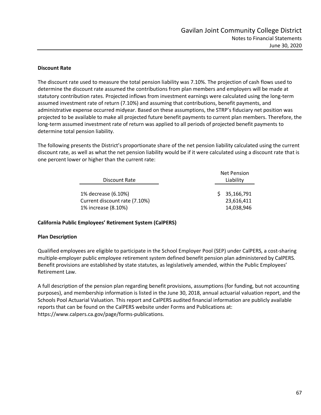# **Discount Rate**

The discount rate used to measure the total pension liability was 7.10%. The projection of cash flows used to determine the discount rate assumed the contributions from plan members and employers will be made at statutory contribution rates. Projected inflows from investment earnings were calculated using the long-term assumed investment rate of return (7.10%) and assuming that contributions, benefit payments, and administrative expense occurred midyear. Based on these assumptions, the STRP's fiduciary net position was projected to be available to make all projected future benefit payments to current plan members. Therefore, the long-term assumed investment rate of return was applied to all periods of projected benefit payments to determine total pension liability.

The following presents the District's proportionate share of the net pension liability calculated using the current discount rate, as well as what the net pension liability would be if it were calculated using a discount rate that is one percent lower or higher than the current rate:

| Discount Rate                                        | <b>Net Pension</b><br>Liability |  |
|------------------------------------------------------|---------------------------------|--|
| 1% decrease (6.10%)<br>Current discount rate (7.10%) | \$35,166,791<br>23,616,411      |  |
| 1% increase (8.10%)                                  | 14,038,946                      |  |

# **California Public Employees' Retirement System (CalPERS)**

### **Plan Description**

Qualified employees are eligible to participate in the School Employer Pool (SEP) under CalPERS, a cost-sharing multiple-employer public employee retirement system defined benefit pension plan administered by CalPERS. Benefit provisions are established by state statutes, as legislatively amended, within the Public Employees' Retirement Law.

A full description of the pension plan regarding benefit provisions, assumptions (for funding, but not accounting purposes), and membership information is listed in the June 30, 2018, annual actuarial valuation report, and the Schools Pool Actuarial Valuation. This report and CalPERS audited financial information are publicly available reports that can be found on the CalPERS website under Forms and Publications at: https://www.calpers.ca.gov/page/forms-publications.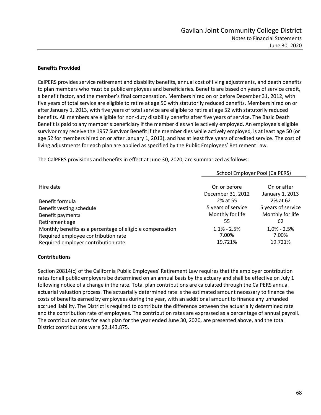### **Benefits Provided**

CalPERS provides service retirement and disability benefits, annual cost of living adjustments, and death benefits to plan members who must be public employees and beneficiaries. Benefits are based on years of service credit, a benefit factor, and the member's final compensation. Members hired on or before December 31, 2012, with five years of total service are eligible to retire at age 50 with statutorily reduced benefits. Members hired on or after January 1, 2013, with five years of total service are eligible to retire at age 52 with statutorily reduced benefits. All members are eligible for non-duty disability benefits after five years of service. The Basic Death Benefit is paid to any member's beneficiary if the member dies while actively employed. An employee's eligible survivor may receive the 1957 Survivor Benefit if the member dies while actively employed, is at least age 50 (or age 52 for members hired on or after January 1, 2013), and has at least five years of credited service. The cost of living adjustments for each plan are applied as specified by the Public Employees' Retirement Law.

The CalPERS provisions and benefits in effect at June 30, 2020, are summarized as follows:

|                                                           | School Employer Pool (CalPERS)    |                                |  |
|-----------------------------------------------------------|-----------------------------------|--------------------------------|--|
| Hire date                                                 | On or before<br>December 31, 2012 | On or after<br>January 1, 2013 |  |
| Benefit formula                                           | 2% at 55                          | 2% at 62                       |  |
| Benefit vesting schedule                                  | 5 years of service                | 5 years of service             |  |
| Benefit payments                                          | Monthly for life                  | Monthly for life               |  |
| Retirement age                                            | 55                                | 62                             |  |
| Monthly benefits as a percentage of eligible compensation | $1.1\% - 2.5\%$                   | $1.0\% - 2.5\%$                |  |
| Required employee contribution rate                       | 7.00%                             | 7.00%                          |  |
| Required employer contribution rate                       | 19.721%                           | 19.721%                        |  |

### **Contributions**

Section 20814(c) of the California Public Employees' Retirement Law requires that the employer contribution rates for all public employers be determined on an annual basis by the actuary and shall be effective on July 1 following notice of a change in the rate. Total plan contributions are calculated through the CalPERS annual actuarial valuation process. The actuarially determined rate is the estimated amount necessary to finance the costs of benefits earned by employees during the year, with an additional amount to finance any unfunded accrued liability. The District is required to contribute the difference between the actuarially determined rate and the contribution rate of employees. The contribution rates are expressed as a percentage of annual payroll. The contribution rates for each plan for the year ended June 30, 2020, are presented above, and the total District contributions were \$2,143,875.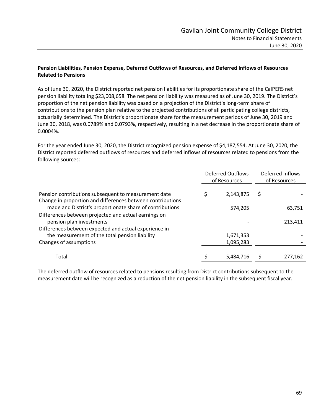# **Pension Liabilities, Pension Expense, Deferred Outflows of Resources, and Deferred Inflows of Resources Related to Pensions**

As of June 30, 2020, the District reported net pension liabilities for its proportionate share of the CalPERS net pension liability totaling \$23,008,658. The net pension liability was measured as of June 30, 2019. The District's proportion of the net pension liability was based on a projection of the District's long-term share of contributions to the pension plan relative to the projected contributions of all participating college districts, actuarially determined. The District's proportionate share for the measurement periods of June 30, 2019 and June 30, 2018, was 0.0789% and 0.0793%, respectively, resulting in a net decrease in the proportionate share of 0.0004%.

For the year ended June 30, 2020, the District recognized pension expense of \$4,187,554. At June 30, 2020, the District reported deferred outflows of resources and deferred inflows of resources related to pensions from the following sources:

|                                                            | Deferred Outflows<br>of Resources |           | Deferred Inflows<br>of Resources |         |
|------------------------------------------------------------|-----------------------------------|-----------|----------------------------------|---------|
|                                                            |                                   |           |                                  |         |
| Pension contributions subsequent to measurement date       |                                   | 2,143,875 | S                                |         |
| Change in proportion and differences between contributions |                                   |           |                                  |         |
| made and District's proportionate share of contributions   |                                   | 574.205   |                                  | 63,751  |
| Differences between projected and actual earnings on       |                                   |           |                                  |         |
| pension plan investments                                   |                                   |           |                                  | 213,411 |
| Differences between expected and actual experience in      |                                   |           |                                  |         |
| the measurement of the total pension liability             |                                   | 1,671,353 |                                  |         |
| Changes of assumptions                                     |                                   | 1,095,283 |                                  |         |
|                                                            |                                   |           |                                  |         |
| Total                                                      |                                   | 5,484,716 |                                  | 277,162 |

The deferred outflow of resources related to pensions resulting from District contributions subsequent to the measurement date will be recognized as a reduction of the net pension liability in the subsequent fiscal year.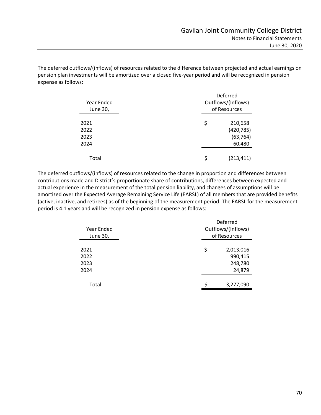The deferred outflows/(inflows) of resources related to the difference between projected and actual earnings on pension plan investments will be amortized over a closed five-year period and will be recognized in pension expense as follows:

| Year Ended<br>June 30,       | Deferred<br>Outflows/(Inflows)<br>of Resources     |
|------------------------------|----------------------------------------------------|
| 2021<br>2022<br>2023<br>2024 | \$<br>210,658<br>(420, 785)<br>(63, 764)<br>60,480 |
| Total                        | \$<br>(213, 411)                                   |

The deferred outflows/(inflows) of resources related to the change in proportion and differences between contributions made and District's proportionate share of contributions, differences between expected and actual experience in the measurement of the total pension liability, and changes of assumptions will be amortized over the Expected Average Remaining Service Life (EARSL) of all members that are provided benefits (active, inactive, and retirees) as of the beginning of the measurement period. The EARSL for the measurement period is 4.1 years and will be recognized in pension expense as follows:

| Year Ended<br>June 30, | Deferred<br>Outflows/(Inflows)<br>of Resources |                      |  |  |  |  |
|------------------------|------------------------------------------------|----------------------|--|--|--|--|
| 2021<br>2022           | \$                                             | 2,013,016<br>990,415 |  |  |  |  |
| 2023<br>2024           |                                                | 248,780<br>24,879    |  |  |  |  |
| Total                  | Ś                                              | 3,277,090            |  |  |  |  |
|                        |                                                |                      |  |  |  |  |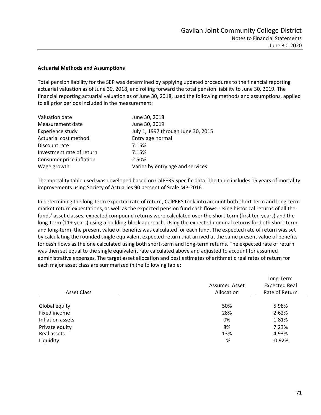#### **Actuarial Methods and Assumptions**

Total pension liability for the SEP was determined by applying updated procedures to the financial reporting actuarial valuation as of June 30, 2018, and rolling forward the total pension liability to June 30, 2019. The financial reporting actuarial valuation as of June 30, 2018, used the following methods and assumptions, applied to all prior periods included in the measurement:

| Valuation date            | June 30, 2018                      |
|---------------------------|------------------------------------|
| Measurement date          | June 30, 2019                      |
| Experience study          | July 1, 1997 through June 30, 2015 |
| Actuarial cost method     | Entry age normal                   |
| Discount rate             | 7.15%                              |
| Investment rate of return | 7.15%                              |
| Consumer price inflation  | 2.50%                              |
| Wage growth               | Varies by entry age and services   |

The mortality table used was developed based on CalPERS-specific data. The table includes 15 years of mortality improvements using Society of Actuaries 90 percent of Scale MP-2016.

In determining the long-term expected rate of return, CalPERS took into account both short-term and long-term market return expectations, as well as the expected pension fund cash flows. Using historical returns of all the funds' asset classes, expected compound returns were calculated over the short-term (first ten years) and the long-term (11+ years) using a building-block approach. Using the expected nominal returns for both short-term and long-term, the present value of benefits was calculated for each fund. The expected rate of return was set by calculating the rounded single equivalent expected return that arrived at the same present value of benefits for cash flows as the one calculated using both short-term and long-term returns. The expected rate of return was then set equal to the single equivalent rate calculated above and adjusted to account for assumed administrative expenses. The target asset allocation and best estimates of arithmetic real rates of return for each major asset class are summarized in the following table:

| <b>Asset Class</b> | <b>Assumed Asset</b><br>Allocation | Long-Term<br><b>Expected Real</b><br>Rate of Return |
|--------------------|------------------------------------|-----------------------------------------------------|
| Global equity      | 50%                                | 5.98%                                               |
| Fixed income       | 28%                                | 2.62%                                               |
| Inflation assets   | 0%                                 | 1.81%                                               |
| Private equity     | 8%                                 | 7.23%                                               |
| Real assets        | 13%                                | 4.93%                                               |
| Liquidity          | 1%                                 | $-0.92%$                                            |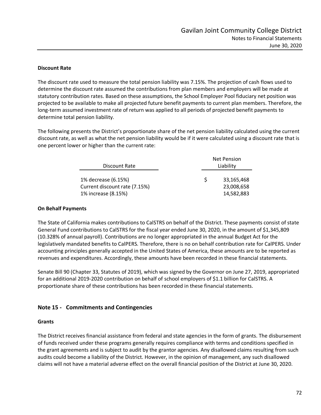## **Discount Rate**

The discount rate used to measure the total pension liability was 7.15%. The projection of cash flows used to determine the discount rate assumed the contributions from plan members and employers will be made at statutory contribution rates. Based on these assumptions, the School Employer Pool fiduciary net position was projected to be available to make all projected future benefit payments to current plan members. Therefore, the long-term assumed investment rate of return was applied to all periods of projected benefit payments to determine total pension liability.

The following presents the District's proportionate share of the net pension liability calculated using the current discount rate, as well as what the net pension liability would be if it were calculated using a discount rate that is one percent lower or higher than the current rate:

| Discount Rate                                                               |   | <b>Net Pension</b><br>Liability        |
|-----------------------------------------------------------------------------|---|----------------------------------------|
| 1% decrease (6.15%)<br>Current discount rate (7.15%)<br>1% increase (8.15%) | S | 33,165,468<br>23,008,658<br>14,582,883 |

## **On Behalf Payments**

The State of California makes contributions to CalSTRS on behalf of the District. These payments consist of state General Fund contributions to CalSTRS for the fiscal year ended June 30, 2020, in the amount of \$1,345,809 (10.328% of annual payroll). Contributions are no longer appropriated in the annual Budget Act for the legislatively mandated benefits to CalPERS. Therefore, there is no on behalf contribution rate for CalPERS. Under accounting principles generally accepted in the United States of America, these amounts are to be reported as revenues and expenditures. Accordingly, these amounts have been recorded in these financial statements.

Senate Bill 90 (Chapter 33, Statutes of 2019), which was signed by the Governor on June 27, 2019, appropriated for an additional 2019-2020 contribution on behalf of school employers of \$1.1 billion for CalSTRS. A proportionate share of these contributions has been recorded in these financial statements.

## **Note 15 - Commitments and Contingencies**

#### **Grants**

The District receives financial assistance from federal and state agencies in the form of grants. The disbursement of funds received under these programs generally requires compliance with terms and conditions specified in the grant agreements and is subject to audit by the grantor agencies. Any disallowed claims resulting from such audits could become a liability of the District. However, in the opinion of management, any such disallowed claims will not have a material adverse effect on the overall financial position of the District at June 30, 2020.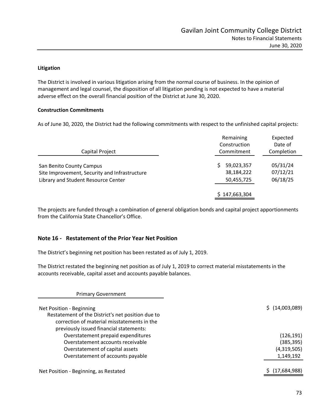#### **Litigation**

The District is involved in various litigation arising from the normal course of business. In the opinion of management and legal counsel, the disposition of all litigation pending is not expected to have a material adverse effect on the overall financial position of the District at June 30, 2020.

#### **Construction Commitments**

As of June 30, 2020, the District had the following commitments with respect to the unfinished capital projects:

| Capital Project                                                                                                  | Remaining<br>Construction<br>Commitment     | Expected<br>Date of<br>Completion |
|------------------------------------------------------------------------------------------------------------------|---------------------------------------------|-----------------------------------|
| San Benito County Campus<br>Site Improvement, Security and Infrastructure<br>Library and Student Resource Center | 59,023,357<br>S<br>38,184,222<br>50,455,725 | 05/31/24<br>07/12/21<br>06/18/25  |
|                                                                                                                  | \$147,663,304                               |                                   |

The projects are funded through a combination of general obligation bonds and capital project apportionments from the California State Chancellor's Office.

## **Note 16 - Restatement of the Prior Year Net Position**

The District's beginning net position has been restated as of July 1, 2019.

The District restated the beginning net position as of July 1, 2019 to correct material misstatements in the accounts receivable, capital asset and accounts payable balances.

| <b>Primary Government</b>                         |                 |
|---------------------------------------------------|-----------------|
| Net Position - Beginning                          | \$ (14,003,089) |
| Restatement of the District's net position due to |                 |
| correction of material misstatements in the       |                 |
| previously issued financial statements:           |                 |
| Overstatement prepaid expenditures                | (126, 191)      |
| Overstatement accounts receivable                 | (385, 395)      |
| Overstatement of capital assets                   | (4,319,505)     |
| Overstatement of accounts payable                 | 1,149,192       |
|                                                   |                 |
| Net Position - Beginning, as Restated             | (17,684,988)    |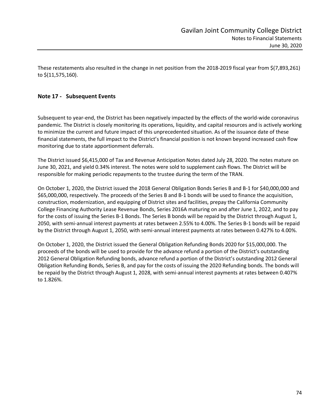These restatements also resulted in the change in net position from the 2018-2019 fiscal year from \$(7,893,261) to \$(11,575,160).

## **Note 17 - Subsequent Events**

Subsequent to year-end, the District has been negatively impacted by the effects of the world-wide coronavirus pandemic. The District is closely monitoring its operations, liquidity, and capital resources and is actively working to minimize the current and future impact of this unprecedented situation. As of the issuance date of these financial statements, the full impact to the District's financial position is not known beyond increased cash flow monitoring due to state apportionment deferrals.

The District issued \$6,415,000 of Tax and Revenue Anticipation Notes dated July 28, 2020. The notes mature on June 30, 2021, and yield 0.34% interest. The notes were sold to supplement cash flows. The District will be responsible for making periodic repayments to the trustee during the term of the TRAN.

On October 1, 2020, the District issued the 2018 General Obligation Bonds Series B and B-1 for \$40,000,000 and \$65,000,000, respectively. The proceeds of the Series B and B-1 bonds will be used to finance the acquisition, construction, modernization, and equipping of District sites and facilities, prepay the California Community College Financing Authority Lease Revenue Bonds, Series 2016A maturing on and after June 1, 2022, and to pay for the costs of issuing the Series B-1 Bonds. The Series B bonds will be repaid by the District through August 1, 2050, with semi-annual interest payments at rates between 2.55% to 4.00%. The Series B-1 bonds will be repaid by the District through August 1, 2050, with semi-annual interest payments at rates between 0.427% to 4.00%.

On October 1, 2020, the District issued the General Obligation Refunding Bonds 2020 for \$15,000,000. The proceeds of the bonds will be used to provide for the advance refund a portion of the District's outstanding 2012 General Obligation Refunding bonds, advance refund a portion of the District's outstanding 2012 General Obligation Refunding Bonds, Series B, and pay for the costs of issuing the 2020 Refunding bonds. The bonds will be repaid by the District through August 1, 2028, with semi-annual interest payments at rates between 0.407% to 1.826%.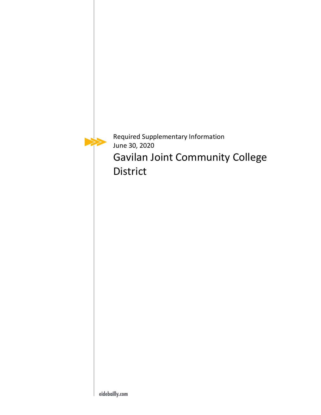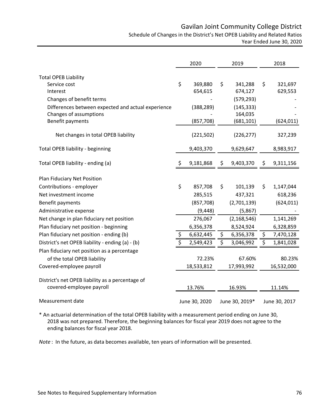## Gavilan Joint Community College District

Schedule of Changes in the District's Net OPEB Liability and Related Ratios

Year Ended June 30, 2020

|                                                    | 2020            | 2019            | 2018 |               |
|----------------------------------------------------|-----------------|-----------------|------|---------------|
| <b>Total OPEB Liability</b>                        |                 |                 |      |               |
| Service cost                                       | \$<br>369,880   | \$<br>341,288   | \$   | 321,697       |
| Interest                                           | 654,615         | 674,127         |      | 629,553       |
| Changes of benefit terms                           |                 | (579, 293)      |      |               |
| Differences between expected and actual experience | (388, 289)      | (145, 333)      |      |               |
| Changes of assumptions                             |                 | 164,035         |      |               |
| Benefit payments                                   | (857, 708)      | (681, 101)      |      | (624, 011)    |
| Net changes in total OPEB liability                | (221, 502)      | (226, 277)      |      | 327,239       |
| <b>Total OPEB liability - beginning</b>            | 9,403,370       | 9,629,647       |      | 8,983,917     |
|                                                    |                 |                 |      |               |
| Total OPEB liability - ending (a)                  | \$<br>9,181,868 | \$<br>9,403,370 | \$   | 9,311,156     |
| Plan Fiduciary Net Position                        |                 |                 |      |               |
| Contributions - employer                           | \$<br>857,708   | \$<br>101,139   | \$   | 1,147,044     |
| Net investment income                              | 285,515         | 437,321         |      | 618,236       |
| Benefit payments                                   | (857,708)       | (2,701,139)     |      | (624, 011)    |
| Administrative expense                             | (9, 448)        | (5,867)         |      |               |
| Net change in plan fiduciary net position          | 276,067         | (2, 168, 546)   |      | 1,141,269     |
| Plan fiduciary net position - beginning            | 6,356,378       | 8,524,924       |      | 6,328,859     |
| Plan fiduciary net position - ending (b)           | 6,632,445       | \$<br>6,356,378 | \$   | 7,470,128     |
| District's net OPEB liability - ending (a) - (b)   | 2,549,423       | \$<br>3,046,992 | \$   | 1,841,028     |
| Plan fiduciary net position as a percentage        |                 |                 |      |               |
| of the total OPEB liability                        | 72.23%          | 67.60%          |      | 80.23%        |
| Covered-employee payroll                           | 18,533,812      | 17,993,992      |      | 16,532,000    |
| District's net OPEB liability as a percentage of   |                 |                 |      |               |
| covered-employee payroll                           | 13.76%          | 16.93%          |      | 11.14%        |
|                                                    |                 |                 |      |               |
| Measurement date                                   | June 30, 2020   | June 30, 2019*  |      | June 30, 2017 |

\* An actuarial determination of the total OPEB liability with a measurement period ending on June 30, 2018 was not prepared. Therefore, the beginning balances for fiscal year 2019 does not agree to the ending balances for fiscal year 2018.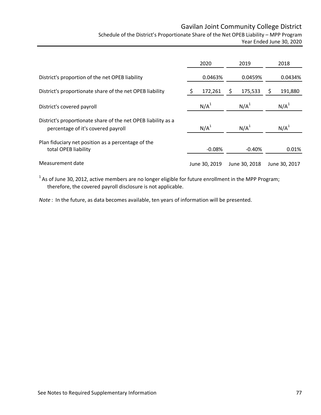## Gavilan Joint Community College District

Schedule of the District's Proportionate Share of the Net OPEB Liability – MPP Program

Year Ended June 30, 2020

|                                                                                                     |                                      | 2020             |    | 2019             |                  | 2018             |  |
|-----------------------------------------------------------------------------------------------------|--------------------------------------|------------------|----|------------------|------------------|------------------|--|
| District's proportion of the net OPEB liability                                                     |                                      | 0.0463%          |    | 0.0459%          |                  | 0.0434%          |  |
| District's proportionate share of the net OPEB liability                                            |                                      | 172,261          | \$ | 175,533          |                  | 191,880          |  |
| District's covered payroll                                                                          | N/A <sup>1</sup><br>N/A <sup>1</sup> |                  |    |                  | N/A <sup>1</sup> |                  |  |
| District's proportionate share of the net OPEB liability as a<br>percentage of it's covered payroll |                                      | N/A <sup>1</sup> |    | N/A <sup>1</sup> |                  | N/A <sup>1</sup> |  |
| Plan fiduciary net position as a percentage of the<br>total OPEB liability                          |                                      | $-0.08%$         |    | $-0.40%$         |                  | 0.01%            |  |
| Measurement date                                                                                    |                                      | June 30, 2019    |    | June 30, 2018    |                  | June 30, 2017    |  |

 $1$ As of June 30, 2012, active members are no longer eligible for future enrollment in the MPP Program; therefore, the covered payroll disclosure is not applicable.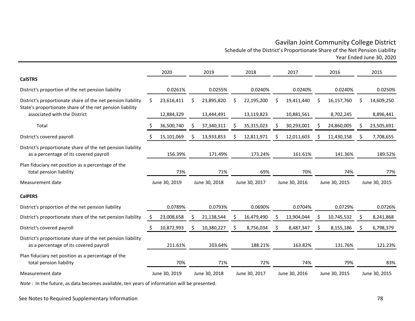## Gavilan Joint Community College District Schedule of the District's Proportionate Share of the Net Pension Liability Year Ended June 30, 2020

20200 2019 2018 2017 2016 2015 **CalSTRS**District's proportion of the net pension liability 0.0261%  $\frac{\%}{\mathrm{m}}$  0.0255% 0.0240% 0.0240% 0.0240% 0.0250% 0.0250% District's proportionate share of the net pension liability  $\lesssim 23,616,411$  \$ 23,895,820 \$ 22,195,200 \$ 19,411,440 \$ 16,157,760 \$ 14,609,250 State's proportionate share of the net pension liabilityassociated with the District 12,884,329<u>9 13,444,491 13,119,823 10,881,561 8,702,245 8,896,441 and Base and Base and Base and Base and Base and</u> Total36,500,740 \$ 37,340,311 36,500,740 \$ 37,340,311 \$ 35,315,023 \$ 30,293,001 \$ 24,860,005 \$ 23,505,691 District's covered payroll \$ 15,101,0699 \$ 13,933,853 \$ 12,811,971 \$ 12,011,603 \$ 11,430,158 \$ 7,708,655 District's proportionate share of the net pension liabilityas a percentage of its covered payroll 156.39% 171.49% 173.24% 161.61% 141.36% 189.52% Plan fiduciary net position as a percentage of thetotal pension liabilityy 73% 71% 69% 70% 74% 77% Measurement date June 30, 2019 June 30, 2018 June 30, 2017 June 30, 2016 June 30, 2015 June 30, 2015 **CalPERS**District's proportion of the net pension liability 0.0789% 0.0793% 0.0690% 0.0704% 0.0729% 0.0726% District's proportionate share of the net pension liability  $\lesssim 23,008,658$ 8 \$ 21,138,544 \$ 16,479,490 \$ 13,904,044 \$ 10,745,532 \$ 8,241,868 District's covered payroll \$ 10,872,9933 \$ 10,380,227 \$ 8,756,034 \$ 8,487,347 \$ 8,155,186 \$ 6,798,379 District's proportionate share of the net pension liabilityas a percentage of its covered payroll 211.61% $\frac{\%}{\mathrm{203.64\%}}$  203.64% 2008.21% 163.82% 163.82% 131.76% 121.23% Plan fiduciary net position as a percentage of thetotal pension liabilityy 70% 71% 72% 74% 79% 83% Measurement date June 30, 2019June 30, 2018 June 30, 2017 June 30, 2016 June 30, 2015 June 30, 2015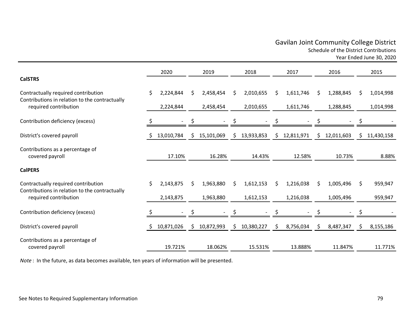## Gavilan Joint Community College District Schedule of the District Contributions Year Ended June 30, 2020

|                                                                         |     | 2020       |     | 2019       |    | 2018       |     | 2017       | 2016             |     | 2015       |
|-------------------------------------------------------------------------|-----|------------|-----|------------|----|------------|-----|------------|------------------|-----|------------|
| <b>CalSTRS</b>                                                          |     |            |     |            |    |            |     |            |                  |     |            |
| Contractually required contribution                                     | \$. | 2,224,844  | Ŝ.  | 2,458,454  | S. | 2,010,655  | S.  | 1,611,746  | \$<br>1,288,845  | S   | 1,014,998  |
| Contributions in relation to the contractually<br>required contribution |     | 2,224,844  |     | 2,458,454  |    | 2,010,655  |     | 1,611,746  | 1,288,845        |     | 1,014,998  |
| Contribution deficiency (excess)                                        |     |            | \$  |            |    |            |     |            |                  |     |            |
| District's covered payroll                                              | S   | 13,010,784 | \$. | 15,101,069 | S. | 13,933,853 | \$. | 12,811,971 | \$<br>12,011,603 | \$. | 11,430,158 |
| Contributions as a percentage of<br>covered payroll                     |     | 17.10%     |     | 16.28%     |    | 14.43%     |     | 12.58%     | 10.73%           |     | 8.88%      |
| <b>CalPERS</b>                                                          |     |            |     |            |    |            |     |            |                  |     |            |
| Contractually required contribution                                     | \$  | 2,143,875  | \$  | 1,963,880  | \$ | 1,612,153  | \$. | 1,216,038  | \$<br>1,005,496  | \$  | 959,947    |
| Contributions in relation to the contractually<br>required contribution |     | 2,143,875  |     | 1,963,880  |    | 1,612,153  |     | 1,216,038  | 1,005,496        |     | 959,947    |
| Contribution deficiency (excess)                                        |     |            |     |            |    |            |     |            |                  |     |            |
| District's covered payroll                                              |     | 10,871,026 | Ŝ.  | 10,872,993 | S. | 10,380,227 | \$  | 8,756,034  | \$<br>8,487,347  | Ŝ.  | 8,155,186  |
| Contributions as a percentage of<br>covered payroll                     |     | 19.721%    |     | 18.062%    |    | 15.531%    |     | 13.888%    | 11.847%          |     | 11.771%    |
|                                                                         |     |            |     |            |    |            |     |            |                  |     |            |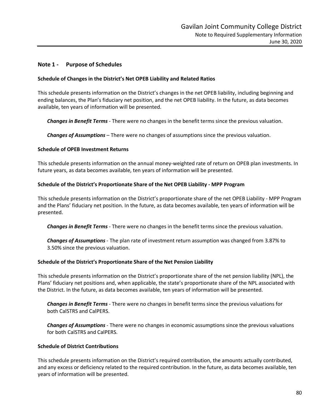#### **Note 1 - Purpose of Schedules**

#### **Schedule of Changes in the District's Net OPEB Liability and Related Ratios**

This schedule presents information on the District's changes in the net OPEB liability, including beginning and ending balances, the Plan's fiduciary net position, and the net OPEB liability. In the future, as data becomes available, ten years of information will be presented.

*Changes in Benefit Terms* - There were no changes in the benefit terms since the previous valuation.

*Changes of Assumptions* – There were no changes of assumptions since the previous valuation.

#### **Schedule of OPEB Investment Returns**

This schedule presents information on the annual money-weighted rate of return on OPEB plan investments. In future years, as data becomes available, ten years of information will be presented.

#### **Schedule of the District's Proportionate Share of the Net OPEB Liability - MPP Program**

This schedule presents information on the District's proportionate share of the net OPEB Liability - MPP Program and the Plans' fiduciary net position. In the future, as data becomes available, ten years of information will be presented.

*Changes in Benefit Terms* - There were no changes in the benefit terms since the previous valuation.

*Changes of Assumptions* - The plan rate of investment return assumption was changed from 3.87% to 3.50% since the previous valuation.

#### **Schedule of the District's Proportionate Share of the Net Pension Liability**

This schedule presents information on the District's proportionate share of the net pension liability (NPL), the Plans' fiduciary net positions and, when applicable, the state's proportionate share of the NPL associated with the District. In the future, as data becomes available, ten years of information will be presented.

*Changes in Benefit Terms* - There were no changes in benefit terms since the previous valuations for both CalSTRS and CalPERS.

*Changes of Assumptions* - There were no changes in economic assumptions since the previous valuations for both CalSTRS and CalPERS.

#### **Schedule of District Contributions**

This schedule presents information on the District's required contribution, the amounts actually contributed, and any excess or deficiency related to the required contribution. In the future, as data becomes available, ten years of information will be presented.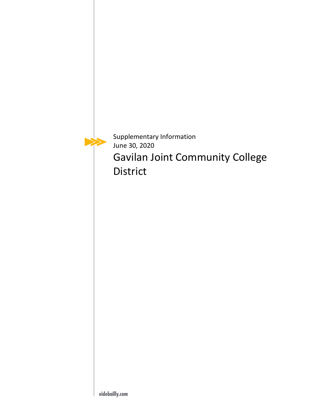Supplementary Information June 30, 2020 Gavilan Joint Community College **District** 

 $\blacktriangleright$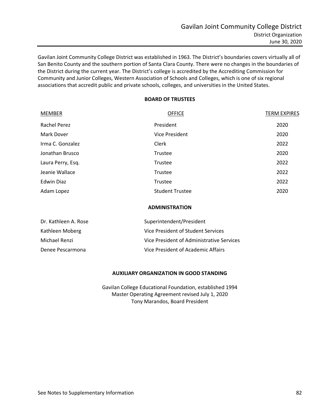Gavilan Joint Community College District was established in 1963. The District's boundaries covers virtually all of San Benito County and the southern portion of Santa Clara County. There were no changes in the boundaries of the District during the current year. The District's college is accredited by the Accrediting Commission for Community and Junior Colleges, Western Association of Schools and Colleges, which is one of six regional associations that accredit public and private schools, colleges, and universities in the United States.

#### **BOARD OF TRUSTEES**

| <b>MEMBER</b>       | <b>OFFICE</b>          | <b>TERM EXPIRES</b> |
|---------------------|------------------------|---------------------|
| <b>Rachel Perez</b> | President              | 2020                |
| Mark Dover          | Vice President         | 2020                |
| Irma C. Gonzalez    | Clerk                  | 2022                |
| Jonathan Brusco     | Trustee                | 2020                |
| Laura Perry, Esq.   | Trustee                | 2022                |
| Jeanie Wallace      | Trustee                | 2022                |
| <b>Edwin Diaz</b>   | Trustee                | 2022                |
| Adam Lopez          | <b>Student Trustee</b> | 2020                |

#### **ADMINISTRATION**

| Dr. Kathleen A. Rose | Superintendent/President                  |
|----------------------|-------------------------------------------|
| Kathleen Moberg      | Vice President of Student Services        |
| Michael Renzi        | Vice President of Administrative Services |
| Denee Pescarmona     | Vice President of Academic Affairs        |

#### **AUXILIARY ORGANIZATION IN GOOD STANDING**

Gavilan College Educational Foundation, established 1994 Master Operating Agreement revised July 1, 2020 Tony Marandos, Board President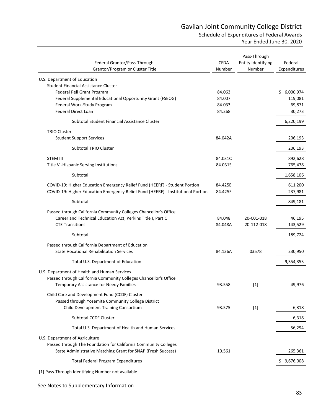# Gavilan Joint Community College District Schedule of Expenditures of Federal Awards

|                                                                                                                                                                |                    | Pass-Through              |                  |
|----------------------------------------------------------------------------------------------------------------------------------------------------------------|--------------------|---------------------------|------------------|
| Federal Grantor/Pass-Through                                                                                                                                   | <b>CFDA</b>        | <b>Entity Identifying</b> | Federal          |
| Grantor/Program or Cluster Title                                                                                                                               | Number             | Number                    | Expenditures     |
| U.S. Department of Education                                                                                                                                   |                    |                           |                  |
| <b>Student Financial Assistance Cluster</b>                                                                                                                    |                    |                           |                  |
| Federal Pell Grant Program                                                                                                                                     | 84.063             |                           | \$.<br>6,000,974 |
| Federal Supplemental Educational Opportunity Grant (FSEOG)                                                                                                     | 84.007             |                           | 119,081          |
| Federal Work-Study Program                                                                                                                                     | 84.033             |                           | 69,871           |
| <b>Federal Direct Loan</b>                                                                                                                                     | 84.268             |                           | 30,273           |
| Subtotal Student Financial Assistance Cluster                                                                                                                  |                    |                           | 6,220,199        |
| <b>TRIO Cluster</b>                                                                                                                                            |                    |                           |                  |
| <b>Student Support Services</b>                                                                                                                                | 84.042A            |                           | 206,193          |
| Subtotal TRIO Cluster                                                                                                                                          |                    |                           | 206,193          |
| <b>STEM III</b>                                                                                                                                                | 84.031C            |                           | 892,628          |
| Title V - Hispanic Serving Institutions                                                                                                                        | 84.031S            |                           | 765,478          |
| Subtotal                                                                                                                                                       |                    |                           | 1,658,106        |
|                                                                                                                                                                |                    |                           |                  |
| COVID-19: Higher Education Emergency Relief Fund (HEERF) - Student Portion<br>COVID-19: Higher Education Emergency Relief Fund (HEERF) - Institutional Portion | 84.425E<br>84.425F |                           | 611,200          |
|                                                                                                                                                                |                    |                           | 237,981          |
| Subtotal                                                                                                                                                       |                    |                           | 849,181          |
| Passed through California Community Colleges Chancellor's Office                                                                                               |                    |                           |                  |
| Career and Technical Education Act, Perkins Title I, Part C                                                                                                    | 84.048             | 20-C01-018                | 46,195           |
| <b>CTE Transitions</b>                                                                                                                                         | 84.048A            | 20-112-018                | 143,529          |
| Subtotal                                                                                                                                                       |                    |                           | 189,724          |
| Passed through California Department of Education                                                                                                              |                    |                           |                  |
| <b>State Vocational Rehabilitation Services</b>                                                                                                                | 84.126A            | 03578                     | 230,950          |
|                                                                                                                                                                |                    |                           |                  |
| Total U.S. Department of Education                                                                                                                             |                    |                           | 9,354,353        |
| U.S. Department of Health and Human Services                                                                                                                   |                    |                           |                  |
| Passed through California Community Colleges Chancellor's Office                                                                                               |                    |                           |                  |
| Temporary Assistance for Needy Families                                                                                                                        | 93.558             | $[1]$                     | 49,976           |
| Child Care and Development Fund (CCDF) Cluster                                                                                                                 |                    |                           |                  |
| Passed through Yosemite Community College District                                                                                                             |                    |                           |                  |
| Child Development Training Consortium                                                                                                                          | 93.575             | $[1]$                     | 6,318            |
| Subtotal CCDF Cluster                                                                                                                                          |                    |                           | 6,318            |
|                                                                                                                                                                |                    |                           |                  |
| Total U.S. Department of Health and Human Services                                                                                                             |                    |                           | 56,294           |
| U.S. Department of Agriculture                                                                                                                                 |                    |                           |                  |
| Passed through The Foundation for California Community Colleges                                                                                                |                    |                           |                  |
| State Administrative Matching Grant for SNAP (Fresh Success)                                                                                                   | 10.561             |                           | 265,361          |
| <b>Total Federal Program Expenditures</b>                                                                                                                      |                    |                           | 9,676,008        |
| [1] Pace-Through Identifying Number not available                                                                                                              |                    |                           |                  |

[1] Pass-Through Identifying Number not available.

See Notes to Supplementary Information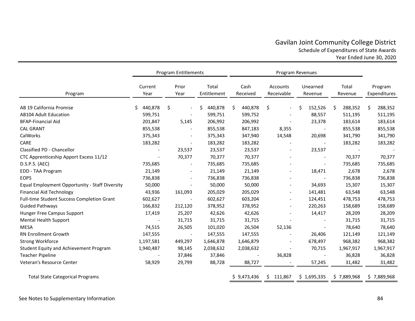## Gavilan Joint Community College District Schedule of Expenditures of State Awards Year Ended June 30, 2020

|                                                |                          | Program Entitlements     |                      | Program Revenues         |                                |                          |                  |                         |  |
|------------------------------------------------|--------------------------|--------------------------|----------------------|--------------------------|--------------------------------|--------------------------|------------------|-------------------------|--|
| Program                                        | Current<br>Year          | Prior<br>Year            | Total<br>Entitlement | Cash<br>Received         | Accounts<br>Receivable         | Unearned<br>Revenue      | Total<br>Revenue | Program<br>Expenditures |  |
| AB 19 California Promise                       | 440,878<br>S.            | \$                       | 440,878<br>\$        | 440,878<br>\$            | \$<br>$\overline{\phantom{a}}$ | \$<br>152,526            | \$.<br>288,352   | Ś.<br>288,352           |  |
| <b>AB104 Adult Education</b>                   | 599,751                  |                          | 599,751              | 599,752                  | $\overline{\phantom{a}}$       | 88,557                   | 511,195          | 511,195                 |  |
| <b>BFAP-Financial Aid</b>                      | 201,847                  | 5,145                    | 206,992              | 206,992                  |                                | 23,378                   | 183,614          | 183,614                 |  |
| <b>CAL GRANT</b>                               | 855,538                  |                          | 855,538              | 847,183                  | 8,355                          |                          | 855,538          | 855,538                 |  |
| CalWorks                                       | 375,343                  |                          | 375,343              | 347,940                  | 14,548                         | 20,698                   | 341,790          | 341,790                 |  |
| CARE                                           | 183,282                  |                          | 183,282              | 183,282                  | $\blacksquare$                 |                          | 183,282          | 183,282                 |  |
| Classified PD - Chancellor                     |                          | 23,537                   | 23,537               | 23,537                   | $\overline{\phantom{a}}$       | 23,537                   |                  |                         |  |
| CTC Apprenticeship Apport Excess 11/12         | $\sim$                   | 70,377                   | 70,377               | 70,377                   | $\overline{\phantom{a}}$       |                          | 70,377           | 70,377                  |  |
| D.S.P.S. (AEC)                                 | 735,685                  |                          | 735,685              | 735,685                  |                                | $\overline{\phantom{a}}$ | 735,685          | 735,685                 |  |
| EDD - TAA Program                              | 21,149                   | $\overline{\phantom{a}}$ | 21,149               | 21,149                   | $\overline{\phantom{a}}$       | 18,471                   | 2,678            | 2,678                   |  |
| <b>EOPS</b>                                    | 736,838                  |                          | 736,838              | 736,838                  |                                |                          | 736,838          | 736,838                 |  |
| Equal Employment Opportunity - Staff Diversity | 50,000                   |                          | 50,000               | 50,000                   | $\overline{\phantom{a}}$       | 34,693                   | 15,307           | 15,307                  |  |
| <b>Financial Aid Technology</b>                | 43,936                   | 161,093                  | 205,029              | 205,029                  | $\blacksquare$                 | 141,481                  | 63,548           | 63,548                  |  |
| Full-time Student Success Completion Grant     | 602,627                  |                          | 602,627              | 603,204                  | $\overline{\phantom{a}}$       | 124,451                  | 478,753          | 478,753                 |  |
| <b>Guided Pathways</b>                         | 166,832                  | 212,120                  | 378,952              | 378,952                  | $\overline{\phantom{a}}$       | 220,263                  | 158,689          | 158,689                 |  |
| Hunger Free Campus Support                     | 17,419                   | 25,207                   | 42,626               | 42,626                   |                                | 14,417                   | 28,209           | 28,209                  |  |
| <b>Mental Health Support</b>                   | $\overline{\phantom{a}}$ | 31,715                   | 31,715               | 31,715                   |                                |                          | 31,715           | 31,715                  |  |
| <b>MESA</b>                                    | 74,515                   | 26,505                   | 101,020              | 26,504                   | 52,136                         |                          | 78,640           | 78,640                  |  |
| <b>RN Enrollment Growth</b>                    | 147,555                  | $\overline{\phantom{a}}$ | 147,555              | 147,555                  | $\overline{\phantom{a}}$       | 26,406                   | 121,149          | 121,149                 |  |
| Strong Workforce                               | 1,197,581                | 449,297                  | 1,646,878            | 1,646,879                |                                | 678,497                  | 968,382          | 968,382                 |  |
| Student Equity and Achievement Program         | 1,940,487                | 98,145                   | 2,038,632            | 2,038,632                |                                | 70,715                   | 1,967,917        | 1,967,917               |  |
| <b>Teacher Pipeline</b>                        |                          | 37,846                   | 37,846               | $\overline{\phantom{a}}$ | 36,828                         |                          | 36,828           | 36,828                  |  |
| Veteran's Resource Center                      | 58,929                   | 29,799                   | 88,728               | 88,727                   |                                | 57,245                   | 31,482           | 31,482                  |  |
| <b>Total State Categorical Programs</b>        |                          |                          |                      | \$9,473,436              | \$111,867                      | \$1,695,335              | \$7,889,968      | \$7,889,968             |  |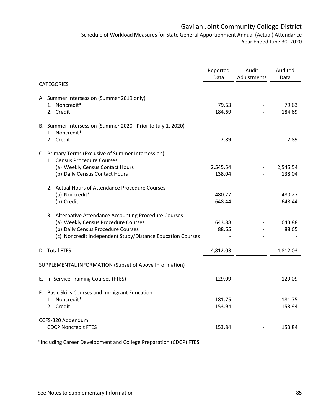## Gavilan Joint Community College District

Schedule of Workload Measures for State General Apportionment Annual (Actual) Attendance

Year Ended June 30, 2020

|                                                                                                                                                                                                   | Reported<br>Data   | Audit<br>Adjustments | Audited<br>Data    |
|---------------------------------------------------------------------------------------------------------------------------------------------------------------------------------------------------|--------------------|----------------------|--------------------|
| <b>CATEGORIES</b>                                                                                                                                                                                 |                    |                      |                    |
| A. Summer Intersession (Summer 2019 only)<br>1. Noncredit*<br>2. Credit                                                                                                                           | 79.63<br>184.69    |                      | 79.63<br>184.69    |
| B. Summer Intersession (Summer 2020 - Prior to July 1, 2020)<br>1. Noncredit*<br>2. Credit                                                                                                        | 2.89               |                      | 2.89               |
| C. Primary Terms (Exclusive of Summer Intersession)<br>1. Census Procedure Courses<br>(a) Weekly Census Contact Hours<br>(b) Daily Census Contact Hours                                           | 2,545.54<br>138.04 |                      | 2,545.54<br>138.04 |
| 2. Actual Hours of Attendance Procedure Courses<br>(a) Noncredit*<br>(b) Credit                                                                                                                   | 480.27<br>648.44   |                      | 480.27<br>648.44   |
| 3. Alternative Attendance Accounting Procedure Courses<br>(a) Weekly Census Procedure Courses<br>(b) Daily Census Procedure Courses<br>(c) Noncredit Independent Study/Distance Education Courses | 643.88<br>88.65    |                      | 643.88<br>88.65    |
| D. Total FTES                                                                                                                                                                                     | 4,812.03           |                      | 4,812.03           |
| SUPPLEMENTAL INFORMATION (Subset of Above Information)                                                                                                                                            |                    |                      |                    |
| E. In-Service Training Courses (FTES)                                                                                                                                                             | 129.09             |                      | 129.09             |
| F. Basic Skills Courses and Immigrant Education<br>1. Noncredit*<br>2. Credit                                                                                                                     | 181.75<br>153.94   |                      | 181.75<br>153.94   |
| CCFS-320 Addendum<br><b>CDCP Noncredit FTES</b>                                                                                                                                                   | 153.84             |                      | 153.84             |

\*Including Career Development and College Preparation (CDCP) FTES.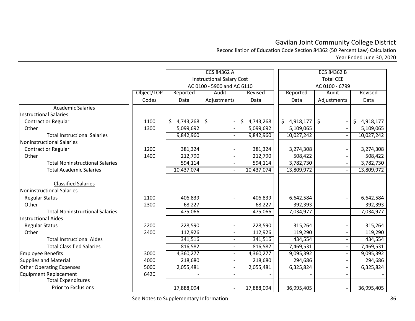## Gavilan Joint Community College District Reconciliation of Education Code Section 84362 (50 Percent Law) Calculation Year Ended June 30, 2020

|                                        |            | <b>ECS 84362 A</b>        |                                  |                 | <b>ECS 84362 B</b>   |                |                 |  |
|----------------------------------------|------------|---------------------------|----------------------------------|-----------------|----------------------|----------------|-----------------|--|
|                                        |            |                           | <b>Instructional Salary Cost</b> |                 | <b>Total CEE</b>     |                |                 |  |
|                                        |            |                           | AC 0100 - 5900 and AC 6110       |                 |                      | AC 0100 - 6799 |                 |  |
|                                        | Object/TOP | Reported                  | Audit                            | Revised         | Reported             | Audit          | Revised         |  |
|                                        | Codes      | Data                      | Adjustments                      | Data            | Data                 | Adjustments    | Data            |  |
| <b>Academic Salaries</b>               |            |                           |                                  |                 |                      |                |                 |  |
| <b>Instructional Salaries</b>          |            |                           |                                  |                 |                      |                |                 |  |
| <b>Contract or Regular</b>             | 1100       | $\mathsf{S}$<br>4,743,268 | \$                               | 4,743,268<br>\$ | \$<br>$4,918,177$ \$ |                | \$<br>4,918,177 |  |
| Other                                  | 1300       | 5,099,692                 |                                  | 5,099,692       | 5,109,065            |                | 5,109,065       |  |
| <b>Total Instructional Salaries</b>    |            | 9,842,960                 |                                  | 9,842,960       | 10,027,242           |                | 10,027,242      |  |
| Noninstructional Salaries              |            |                           |                                  |                 |                      |                |                 |  |
| <b>Contract or Regular</b>             | 1200       | 381,324                   |                                  | 381,324         | 3,274,308            |                | 3,274,308       |  |
| Other                                  | 1400       | 212,790                   |                                  | 212,790         | 508,422              |                | 508,422         |  |
| <b>Total Noninstructional Salaries</b> |            | 594,114                   |                                  | 594,114         | 3,782,730            |                | 3,782,730       |  |
| <b>Total Academic Salaries</b>         |            | 10,437,074                |                                  | 10,437,074      | 13,809,972           |                | 13,809,972      |  |
|                                        |            |                           |                                  |                 |                      |                |                 |  |
| <b>Classified Salaries</b>             |            |                           |                                  |                 |                      |                |                 |  |
| Noninstructional Salaries              |            |                           |                                  |                 |                      |                |                 |  |
| <b>Regular Status</b>                  | 2100       | 406,839                   |                                  | 406,839         | 6,642,584            |                | 6,642,584       |  |
| Other                                  | 2300       | 68,227                    |                                  | 68,227          | 392,393              |                | 392,393         |  |
| <b>Total Noninstructional Salaries</b> |            | 475,066                   |                                  | 475,066         | 7,034,977            |                | 7,034,977       |  |
| <b>Instructional Aides</b>             |            |                           |                                  |                 |                      |                |                 |  |
| <b>Regular Status</b>                  | 2200       | 228,590                   |                                  | 228,590         | 315,264              |                | 315,264         |  |
| Other                                  | 2400       | 112,926                   |                                  | 112,926         | 119,290              |                | 119,290         |  |
| <b>Total Instructional Aides</b>       |            | 341,516                   |                                  | 341,516         | 434,554              |                | 434,554         |  |
| <b>Total Classified Salaries</b>       |            | 816,582                   |                                  | 816,582         | 7,469,531            |                | 7,469,531       |  |
| <b>Employee Benefits</b>               | 3000       | 4,360,277                 |                                  | 4,360,277       | 9,095,392            |                | 9,095,392       |  |
| <b>Supplies and Material</b>           | 4000       | 218,680                   |                                  | 218,680         | 294,686              |                | 294,686         |  |
| <b>Other Operating Expenses</b>        | 5000       | 2,055,481                 |                                  | 2,055,481       | 6,325,824            |                | 6,325,824       |  |
| Equipment Replacement                  | 6420       |                           |                                  |                 |                      |                |                 |  |
| <b>Total Expenditures</b>              |            |                           |                                  |                 |                      |                |                 |  |
| <b>Prior to Exclusions</b>             |            | 17,888,094                |                                  | 17,888,094      | 36,995,405           |                | 36,995,405      |  |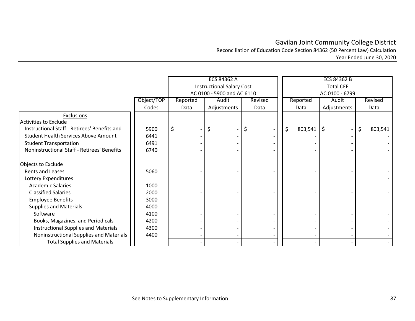## Gavilan Joint Community College District Reconciliation of Education Code Section 84362 (50 Percent Law) Calculation Year Ended June 30, 2020

|                                              |            | ECS 84362 A |                                  |         |                  |                | ECS 84362 B         |               |  |
|----------------------------------------------|------------|-------------|----------------------------------|---------|------------------|----------------|---------------------|---------------|--|
|                                              |            |             | <b>Instructional Salary Cost</b> |         | <b>Total CEE</b> |                |                     |               |  |
|                                              |            |             | AC 0100 - 5900 and AC 6110       |         |                  | AC 0100 - 6799 |                     |               |  |
|                                              | Object/TOP | Reported    | Audit                            | Revised |                  | Reported       | Audit               | Revised       |  |
|                                              | Codes      | Data        | Adjustments                      | Data    |                  | Data           | Adjustments         | Data          |  |
| <b>Exclusions</b>                            |            |             |                                  |         |                  |                |                     |               |  |
| Activities to Exclude                        |            |             |                                  |         |                  |                |                     |               |  |
| Instructional Staff - Retirees' Benefits and | 5900       | \$          | \$                               | Ş       | \$               | 803,541        | $\ddot{\mathsf{S}}$ | 803,541<br>\$ |  |
| <b>Student Health Services Above Amount</b>  | 6441       |             |                                  |         |                  |                |                     |               |  |
| <b>Student Transportation</b>                | 6491       |             |                                  |         |                  |                |                     |               |  |
| Noninstructional Staff - Retirees' Benefits  | 6740       |             |                                  |         |                  |                |                     |               |  |
|                                              |            |             |                                  |         |                  |                |                     |               |  |
| Objects to Exclude                           |            |             |                                  |         |                  |                |                     |               |  |
| Rents and Leases                             | 5060       |             |                                  |         |                  |                |                     |               |  |
| Lottery Expenditures                         |            |             |                                  |         |                  |                |                     |               |  |
| <b>Academic Salaries</b>                     | 1000       |             |                                  |         |                  |                |                     |               |  |
| <b>Classified Salaries</b>                   | 2000       |             |                                  |         |                  |                |                     |               |  |
| <b>Employee Benefits</b>                     | 3000       |             |                                  |         |                  |                |                     |               |  |
| <b>Supplies and Materials</b>                | 4000       |             |                                  |         |                  |                |                     |               |  |
| Software                                     | 4100       |             |                                  |         |                  |                |                     |               |  |
| Books, Magazines, and Periodicals            | 4200       |             |                                  |         |                  |                |                     |               |  |
| <b>Instructional Supplies and Materials</b>  | 4300       |             |                                  |         |                  |                |                     |               |  |
| Noninstructional Supplies and Materials      | 4400       |             |                                  |         |                  |                |                     |               |  |
| <b>Total Supplies and Materials</b>          |            |             |                                  |         |                  |                |                     |               |  |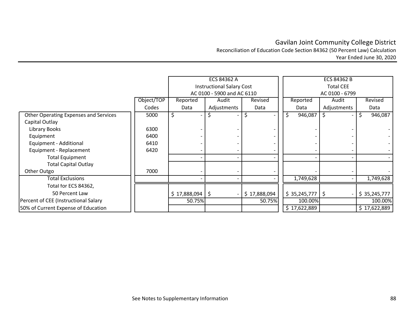## Gavilan Joint Community College District Reconciliation of Education Code Section 84362 (50 Percent Law) Calculation Year Ended June 30, 2020

|                                       |            |                  | ECS 84362 A                      |              |                   | <b>ECS 84362 B</b>             |               |  |
|---------------------------------------|------------|------------------|----------------------------------|--------------|-------------------|--------------------------------|---------------|--|
|                                       |            |                  | <b>Instructional Salary Cost</b> |              |                   | <b>Total CEE</b>               |               |  |
|                                       |            |                  | AC 0100 - 5900 and AC 6110       |              |                   |                                |               |  |
|                                       |            |                  |                                  |              |                   | AC 0100 - 6799                 |               |  |
|                                       | Object/TOP | Reported         | Audit                            | Revised      | Reported          | Audit                          | Revised       |  |
|                                       | Codes      | Data             | Adjustments                      | Data         | Data              | Adjustments                    | Data          |  |
| Other Operating Expenses and Services | 5000       | \$               |                                  | \$           | 946,087           | \$<br>$\overline{\phantom{0}}$ | 946,087<br>\$ |  |
| Capital Outlay                        |            |                  |                                  |              |                   |                                |               |  |
| Library Books                         | 6300       |                  |                                  |              |                   |                                |               |  |
| Equipment                             | 6400       |                  |                                  |              |                   |                                |               |  |
| Equipment - Additional                | 6410       |                  |                                  |              |                   |                                |               |  |
| Equipment - Replacement               | 6420       |                  |                                  |              |                   |                                |               |  |
| <b>Total Equipment</b>                |            |                  |                                  |              |                   |                                |               |  |
| <b>Total Capital Outlay</b>           |            |                  |                                  |              |                   |                                |               |  |
| Other Outgo                           | 7000       |                  |                                  |              |                   |                                |               |  |
| <b>Total Exclusions</b>               |            |                  |                                  |              | 1,749,628         |                                | 1,749,628     |  |
| Total for ECS 84362,                  |            |                  |                                  |              |                   |                                |               |  |
| 50 Percent Law                        |            | $$17,888,094$ \$ |                                  | \$17,888,094 | $$35,245,777$ $$$ |                                | \$35,245,777  |  |
| Percent of CEE (Instructional Salary  |            | 50.75%           |                                  | 50.75%       | 100.00%           |                                | 100.00%       |  |
| 50% of Current Expense of Education   |            |                  |                                  |              | \$17,622,889      |                                | \$17,622,889  |  |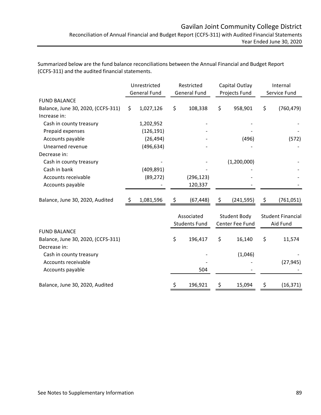## Gavilan Joint Community College District Reconciliation of Annual Financial and Budget Report (CCFS-311) with Audited Financial Statements Year Ended June 30, 2020

Summarized below are the fund balance reconciliations between the Annual Financial and Budget Report (CCFS-311) and the audited financial statements.

|                                    | Unrestricted<br><b>General Fund</b> | Restricted<br><b>General Fund</b> |                                    | Capital Outlay<br>Projects Fund |                                        | Internal<br>Service Fund |                                      |
|------------------------------------|-------------------------------------|-----------------------------------|------------------------------------|---------------------------------|----------------------------------------|--------------------------|--------------------------------------|
| <b>FUND BALANCE</b>                |                                     |                                   |                                    |                                 |                                        |                          |                                      |
| Balance, June 30, 2020, (CCFS-311) | \$<br>1,027,126                     | \$                                | 108,338                            | \$                              | 958,901                                | \$                       | (760, 479)                           |
| Increase in:                       |                                     |                                   |                                    |                                 |                                        |                          |                                      |
| Cash in county treasury            | 1,202,952                           |                                   |                                    |                                 |                                        |                          |                                      |
| Prepaid expenses                   | (126, 191)                          |                                   |                                    |                                 |                                        |                          |                                      |
| Accounts payable                   | (26, 494)                           |                                   |                                    |                                 | (496)                                  |                          | (572)                                |
| Unearned revenue                   | (496, 634)                          |                                   |                                    |                                 |                                        |                          |                                      |
| Decrease in:                       |                                     |                                   |                                    |                                 |                                        |                          |                                      |
| Cash in county treasury            |                                     |                                   |                                    |                                 | (1,200,000)                            |                          |                                      |
| Cash in bank                       | (409, 891)                          |                                   |                                    |                                 |                                        |                          |                                      |
| Accounts receivable                | (89, 272)                           |                                   | (296, 123)                         |                                 |                                        |                          |                                      |
| Accounts payable                   |                                     |                                   | 120,337                            |                                 |                                        |                          |                                      |
| Balance, June 30, 2020, Audited    | 1,081,596                           | \$                                | (67, 448)                          |                                 | (241, 595)                             | \$                       | (761, 051)                           |
|                                    |                                     |                                   | Associated<br><b>Students Fund</b> |                                 | <b>Student Body</b><br>Center Fee Fund |                          | <b>Student Financial</b><br>Aid Fund |
| <b>FUND BALANCE</b>                |                                     |                                   |                                    |                                 |                                        |                          |                                      |
| Balance, June 30, 2020, (CCFS-311) |                                     | \$                                | 196,417                            | \$                              | 16,140                                 | \$                       | 11,574                               |
| Decrease in:                       |                                     |                                   |                                    |                                 |                                        |                          |                                      |
| Cash in county treasury            |                                     |                                   |                                    |                                 | (1,046)                                |                          |                                      |
| Accounts receivable                |                                     |                                   |                                    |                                 |                                        |                          | (27, 945)                            |
| Accounts payable                   |                                     |                                   | 504                                |                                 |                                        |                          |                                      |
| Balance, June 30, 2020, Audited    |                                     | \$                                | 196,921                            | \$                              | 15,094                                 | \$                       | (16, 371)                            |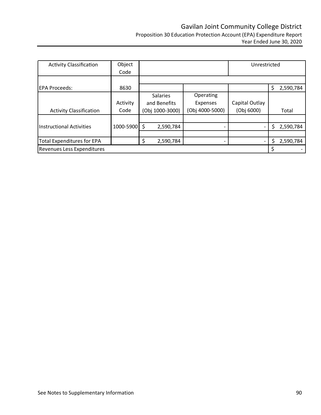## Gavilan Joint Community College District Proposition 30 Education Protection Account (EPA) Expenditure Report Year Ended June 30, 2020

| <b>Activity Classification</b>    | Object    |                 |                          | Unrestricted   |                 |
|-----------------------------------|-----------|-----------------|--------------------------|----------------|-----------------|
|                                   | Code      |                 |                          |                |                 |
|                                   |           |                 |                          |                |                 |
| <b>EPA Proceeds:</b>              | 8630      |                 |                          |                | \$<br>2,590,784 |
|                                   |           | <b>Salaries</b> | Operating                |                |                 |
|                                   | Activity  | and Benefits    | Expenses                 | Capital Outlay |                 |
| <b>Activity Classification</b>    | Code      | (Obj 1000-3000) | (Obj 4000-5000)          | (Obj 6000)     | Total           |
|                                   |           |                 |                          |                |                 |
| <b>Instructional Activities</b>   | 1000-5900 | \$<br>2,590,784 | $\overline{\phantom{a}}$ |                | 2,590,784<br>\$ |
|                                   |           |                 |                          |                |                 |
| <b>Total Expenditures for EPA</b> |           | 2,590,784       |                          |                | 2,590,784       |
| Revenues Less Expenditures        |           |                 |                          |                |                 |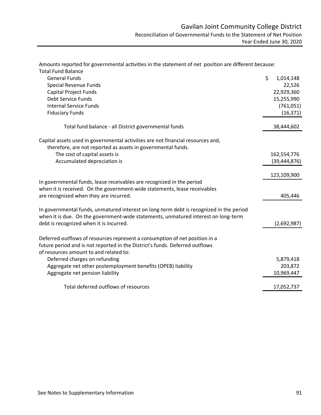| Amounts reported for governmental activities in the statement of net position are different because:                                                                                                                     |                 |
|--------------------------------------------------------------------------------------------------------------------------------------------------------------------------------------------------------------------------|-----------------|
| <b>Total Fund Balance</b>                                                                                                                                                                                                |                 |
| <b>General Funds</b>                                                                                                                                                                                                     | \$<br>1,014,148 |
| <b>Special Revenue Funds</b>                                                                                                                                                                                             | 22,526          |
| <b>Capital Project Funds</b>                                                                                                                                                                                             | 22,929,360      |
| <b>Debt Service Funds</b>                                                                                                                                                                                                | 15,255,990      |
| <b>Internal Service Funds</b>                                                                                                                                                                                            | (761,051)       |
| <b>Fiduciary Funds</b>                                                                                                                                                                                                   | (16, 371)       |
| Total fund balance - all District governmental funds                                                                                                                                                                     | 38,444,602      |
| Capital assets used in governmental activities are not financial resources and,<br>therefore, are not reported as assets in governmental funds.                                                                          |                 |
| The cost of capital assets is                                                                                                                                                                                            | 162,554,776     |
| Accumulated depreciation is                                                                                                                                                                                              | (39, 444, 876)  |
|                                                                                                                                                                                                                          | 123,109,900     |
| In governmental funds, lease receivables are recognized in the period<br>when it is received. On the government-wide statements, lease receivables<br>are recognized when they are incurred.                             | 405,446         |
| In governmental funds, unmatured interest on long-term debt is recognized in the period<br>when it is due. On the government-wide statements, unmatured interest on long-term<br>debt is recognized when it is incurred. | (2,692,987)     |
| Deferred outflows of resources represent a consumption of net position in a<br>future period and is not reported in the District's funds. Deferred outflows<br>of resources amount to and related to:                    |                 |
| Deferred charges on refunding                                                                                                                                                                                            | 5,879,418       |
| Aggregate net other postemployment benefits (OPEB) liability                                                                                                                                                             | 203,872         |
| Aggregate net pension liability                                                                                                                                                                                          | 10,969,447      |
| Total deferred outflows of resources                                                                                                                                                                                     | 17,052,737      |
|                                                                                                                                                                                                                          |                 |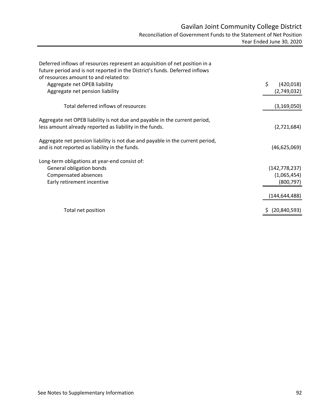| Deferred inflows of resources represent an acquisition of net position in a   |                  |
|-------------------------------------------------------------------------------|------------------|
| future period and is not reported in the District's funds. Deferred inflows   |                  |
| of resources amount to and related to:                                        |                  |
| Aggregate net OPEB liability                                                  | \$<br>(420, 018) |
| Aggregate net pension liability                                               | (2,749,032)      |
| Total deferred inflows of resources                                           | (3, 169, 050)    |
| Aggregate net OPEB liability is not due and payable in the current period,    |                  |
| less amount already reported as liability in the funds.                       | (2,721,684)      |
|                                                                               |                  |
| Aggregate net pension liability is not due and payable in the current period, |                  |
| and is not reported as liability in the funds.                                | (46, 625, 069)   |
| Long-term obligations at year-end consist of:                                 |                  |
| General obligation bonds                                                      | (142, 778, 237)  |
| Compensated absences                                                          | (1,065,454)      |
| Early retirement incentive                                                    | (800, 797)       |
|                                                                               |                  |
|                                                                               | (144,644,488)    |
| Total net position                                                            | (20, 840, 593)   |
|                                                                               |                  |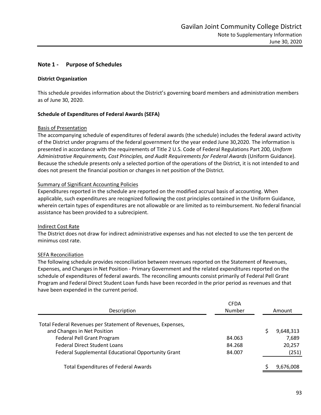## **Note 1 - Purpose of Schedules**

#### **District Organization**

This schedule provides information about the District's governing board members and administration members as of June 30, 2020.

#### **Schedule of Expenditures of Federal Awards (SEFA)**

#### Basis of Presentation

The accompanying schedule of expenditures of federal awards (the schedule) includes the federal award activity of the District under programs of the federal government for the year ended June 30,2020. The information is presented in accordance with the requirements of Title 2 U.S. Code of Federal Regulations Part 200, *Uniform Administrative Requirements, Cost Principles, and Audit Requirements for Federal Awards* (Uniform Guidance). Because the schedule presents only a selected portion of the operations of the District, it is not intended to and does not present the financial position or changes in net position of the District.

#### Summary of Significant Accounting Policies

Expenditures reported in the schedule are reported on the modified accrual basis of accounting. When applicable, such expenditures are recognized following the cost principles contained in the Uniform Guidance, wherein certain types of expenditures are not allowable or are limited as to reimbursement. No federal financial assistance has been provided to a subrecipient.

#### Indirect Cost Rate

The District does not draw for indirect administrative expenses and has not elected to use the ten percent de minimus cost rate.

#### SEFA Reconciliation

The following schedule provides reconciliation between revenues reported on the Statement of Revenues, Expenses, and Changes in Net Position - Primary Government and the related expenditures reported on the schedule of expenditures of federal awards. The reconciling amounts consist primarily of Federal Pell Grant Program and Federal Direct Student Loan funds have been recorded in the prior period as revenues and that have been expended in the current period.

| Description                                                 | <b>CFDA</b><br>Number | Amount |           |  |
|-------------------------------------------------------------|-----------------------|--------|-----------|--|
|                                                             |                       |        |           |  |
| Total Federal Revenues per Statement of Revenues, Expenses, |                       |        |           |  |
| and Changes in Net Position                                 |                       |        | 9,648,313 |  |
| Federal Pell Grant Program                                  | 84.063                |        | 7,689     |  |
| <b>Federal Direct Student Loans</b>                         | 84.268                |        | 20,257    |  |
| Federal Supplemental Educational Opportunity Grant          | 84.007                |        | (251)     |  |
| <b>Total Expenditures of Federal Awards</b>                 |                       |        | 9,676,008 |  |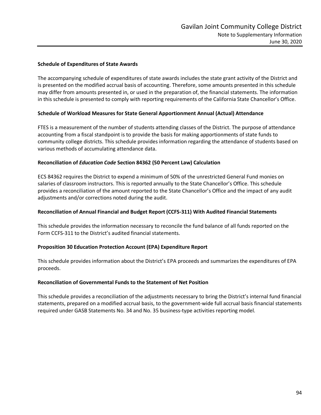#### **Schedule of Expenditures of State Awards**

The accompanying schedule of expenditures of state awards includes the state grant activity of the District and is presented on the modified accrual basis of accounting. Therefore, some amounts presented in this schedule may differ from amounts presented in, or used in the preparation of, the financial statements. The information in this schedule is presented to comply with reporting requirements of the California State Chancellor's Office.

#### **Schedule of Workload Measures for State General Apportionment Annual (Actual) Attendance**

FTES is a measurement of the number of students attending classes of the District. The purpose of attendance accounting from a fiscal standpoint is to provide the basis for making apportionments of state funds to community college districts. This schedule provides information regarding the attendance of students based on various methods of accumulating attendance data.

#### **Reconciliation of** *Education Code* **Section 84362 (50 Percent Law) Calculation**

ECS 84362 requires the District to expend a minimum of 50% of the unrestricted General Fund monies on salaries of classroom instructors. This is reported annually to the State Chancellor's Office. This schedule provides a reconciliation of the amount reported to the State Chancellor's Office and the impact of any audit adjustments and/or corrections noted during the audit.

#### **Reconciliation of Annual Financial and Budget Report (CCFS-311) With Audited Financial Statements**

This schedule provides the information necessary to reconcile the fund balance of all funds reported on the Form CCFS-311 to the District's audited financial statements.

#### **Proposition 30 Education Protection Account (EPA) Expenditure Report**

This schedule provides information about the District's EPA proceeds and summarizes the expenditures of EPA proceeds.

#### **Reconciliation of Governmental Funds to the Statement of Net Position**

This schedule provides a reconciliation of the adjustments necessary to bring the District's internal fund financial statements, prepared on a modified accrual basis, to the government-wide full accrual basis financial statements required under GASB Statements No. 34 and No. 35 business-type activities reporting model.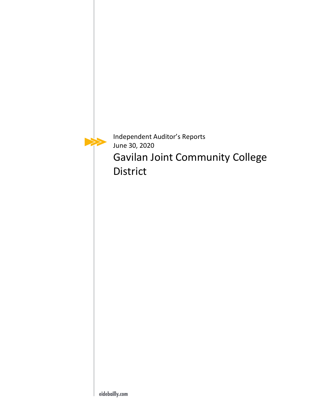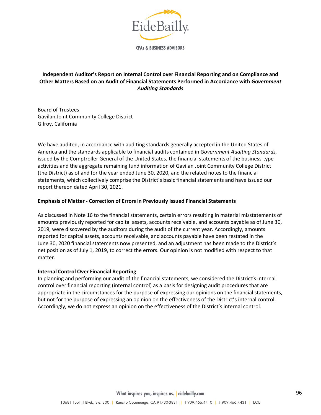

**CPAs & BUSINESS ADVISORS** 

## **Independent Auditor's Report on Internal Control over Financial Reporting and on Compliance and Other Matters Based on an Audit of Financial Statements Performed in Accordance with** *Government Auditing Standards*

Board of Trustees Gavilan Joint Community College District Gilroy, California

We have audited, in accordance with auditing standards generally accepted in the United States of America and the standards applicable to financial audits contained in *Government Auditing Standards,*  issued by the Comptroller General of the United States, the financial statements of the business-type activities and the aggregate remaining fund information of Gavilan Joint Community College District (the District) as of and for the year ended June 30, 2020, and the related notes to the financial statements, which collectively comprise the District's basic financial statements and have issued our report thereon dated April 30, 2021.

#### **Emphasis of Matter - Correction of Errors in Previously Issued Financial Statements**

As discussed in Note 16 to the financial statements, certain errors resulting in material misstatements of amounts previously reported for capital assets, accounts receivable, and accounts payable as of June 30, 2019, were discovered by the auditors during the audit of the current year. Accordingly, amounts reported for capital assets, accounts receivable, and accounts payable have been restated in the June 30, 2020 financial statements now presented, and an adjustment has been made to the District's net position as of July 1, 2019, to correct the errors. Our opinion is not modified with respect to that matter.

#### **Internal Control Over Financial Reporting**

In planning and performing our audit of the financial statements, we considered the District's internal control over financial reporting (internal control) as a basis for designing audit procedures that are appropriate in the circumstances for the purpose of expressing our opinions on the financial statements, but not for the purpose of expressing an opinion on the effectiveness of the District's internal control. Accordingly, we do not express an opinion on the effectiveness of the District's internal control.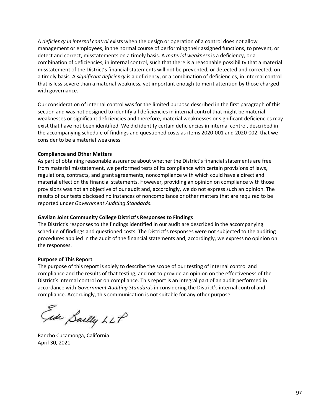A *deficiency in internal control* exists when the design or operation of a control does not allow management or employees, in the normal course of performing their assigned functions, to prevent, or detect and correct, misstatements on a timely basis. A *material weakness* is a deficiency, or a combination of deficiencies, in internal control, such that there is a reasonable possibility that a material misstatement of the District's financial statements will not be prevented, or detected and corrected, on a timely basis. A *significant deficiency* is a deficiency, or a combination of deficiencies, in internal control that is less severe than a material weakness, yet important enough to merit attention by those charged with governance.

Our consideration of internal control was for the limited purpose described in the first paragraph of this section and was not designed to identify all deficiencies in internal control that might be material weaknesses or significant deficiencies and therefore, material weaknesses or significant deficiencies may exist that have not been identified. We did identify certain deficiencies in internal control, described in the accompanying schedule of findings and questioned costs as items 2020-001 and 2020-002, that we consider to be a material weakness.

#### **Compliance and Other Matters**

As part of obtaining reasonable assurance about whether the District's financial statements are free from material misstatement, we performed tests of its compliance with certain provisions of laws, regulations, contracts, and grant agreements, noncompliance with which could have a direct and material effect on the financial statements. However, providing an opinion on compliance with those provisions was not an objective of our audit and, accordingly, we do not express such an opinion. The results of our tests disclosed no instances of noncompliance or other matters that are required to be reported under *Government Auditing Standards*.

#### **Gavilan Joint Community College District's Responses to Findings**

The District's responses to the findings identified in our audit are described in the accompanying schedule of findings and questioned costs. The District's responses were not subjected to the auditing procedures applied in the audit of the financial statements and, accordingly, we express no opinion on the responses.

## **Purpose of This Report**

The purpose of this report is solely to describe the scope of our testing of internal control and compliance and the results of that testing, and not to provide an opinion on the effectiveness of the District's internal control or on compliance. This report is an integral part of an audit performed in accordance with *Government Auditing Standards* in considering the District's internal control and compliance. Accordingly, this communication is not suitable for any other purpose.

Gide Sailly LLP

Rancho Cucamonga, California April 30, 2021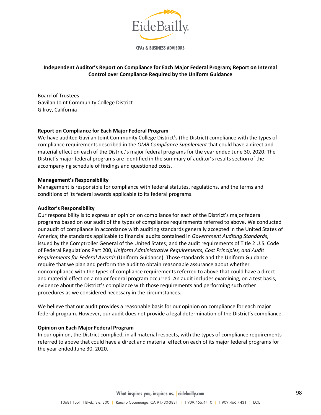

**CPAs & BUSINESS ADVISORS** 

## **Independent Auditor's Report on Compliance for Each Major Federal Program; Report on Internal Control over Compliance Required by the Uniform Guidance**

Board of Trustees Gavilan Joint Community College District Gilroy, California

#### **Report on Compliance for Each Major Federal Program**

We have audited Gavilan Joint Community College District's (the District) compliance with the types of compliance requirements described in the *OMB Compliance Supplement* that could have a direct and material effect on each of the District's major federal programs for the year ended June 30, 2020. The District's major federal programs are identified in the summary of auditor's results section of the accompanying schedule of findings and questioned costs.

#### **Management's Responsibility**

Management is responsible for compliance with federal statutes, regulations, and the terms and conditions of its federal awards applicable to its federal programs.

#### **Auditor's Responsibility**

Our responsibility is to express an opinion on compliance for each of the District's major federal programs based on our audit of the types of compliance requirements referred to above. We conducted our audit of compliance in accordance with auditing standards generally accepted in the United States of America; the standards applicable to financial audits contained in *Government Auditing Standards*, issued by the Comptroller General of the United States; and the audit requirements of Title 2 U.S. Code of Federal Regulations Part 200, *Uniform Administrative Requirements, Cost Principles, and Audit Requirements for Federal Awards* (Uniform Guidance). Those standards and the Uniform Guidance require that we plan and perform the audit to obtain reasonable assurance about whether noncompliance with the types of compliance requirements referred to above that could have a direct and material effect on a major federal program occurred. An audit includes examining, on a test basis, evidence about the District's compliance with those requirements and performing such other procedures as we considered necessary in the circumstances.

We believe that our audit provides a reasonable basis for our opinion on compliance for each major federal program. However, our audit does not provide a legal determination of the District's compliance.

#### **Opinion on Each Major Federal Program**

In our opinion, the District complied, in all material respects, with the types of compliance requirements referred to above that could have a direct and material effect on each of its major federal programs for the year ended June 30, 2020.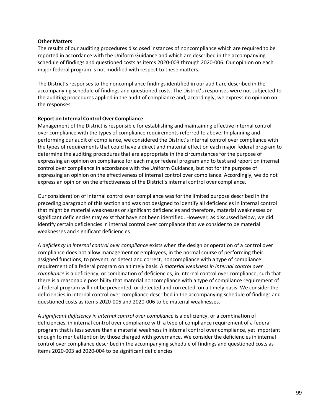#### **Other Matters**

The results of our auditing procedures disclosed instances of noncompliance which are required to be reported in accordance with the Uniform Guidance and which are described in the accompanying schedule of findings and questioned costs as items 2020-003 through 2020-006. Our opinion on each major federal program is not modified with respect to these matters.

The District's responses to the noncompliance findings identified in our audit are described in the accompanying schedule of findings and questioned costs. The District's responses were not subjected to the auditing procedures applied in the audit of compliance and, accordingly, we express no opinion on the responses.

#### **Report on Internal Control Over Compliance**

Management of the District is responsible for establishing and maintaining effective internal control over compliance with the types of compliance requirements referred to above. In planning and performing our audit of compliance, we considered the District's internal control over compliance with the types of requirements that could have a direct and material effect on each major federal program to determine the auditing procedures that are appropriate in the circumstances for the purpose of expressing an opinion on compliance for each major federal program and to test and report on internal control over compliance in accordance with the Uniform Guidance, but not for the purpose of expressing an opinion on the effectiveness of internal control over compliance. Accordingly, we do not express an opinion on the effectiveness of the District's internal control over compliance.

Our consideration of internal control over compliance was for the limited purpose described in the preceding paragraph of this section and was not designed to identify all deficiencies in internal control that might be material weaknesses or significant deficiencies and therefore, material weaknesses or significant deficiencies may exist that have not been identified. However, as discussed below, we did identify certain deficiencies in internal control over compliance that we consider to be material weaknesses and significant deficiencies

A *deficiency in internal control over compliance* exists when the design or operation of a control over compliance does not allow management or employees, in the normal course of performing their assigned functions, to prevent, or detect and correct, noncompliance with a type of compliance requirement of a federal program on a timely basis. A *material weakness in internal control over compliance* is a deficiency, or combination of deficiencies, in internal control over compliance, such that there is a reasonable possibility that material noncompliance with a type of compliance requirement of a federal program will not be prevented, or detected and corrected, on a timely basis. We consider the deficiencies in internal control over compliance described in the accompanying schedule of findings and questioned costs as items 2020-005 and 2020-006 to be material weaknesses.

A *significant deficiency in internal control over compliance* is a deficiency, or a combination of deficiencies, in internal control over compliance with a type of compliance requirement of a federal program that is less severe than a material weakness in internal control over compliance, yet important enough to merit attention by those charged with governance. We consider the deficiencies in internal control over compliance described in the accompanying schedule of findings and questioned costs as items 2020-003 ad 2020-004 to be significant deficiencies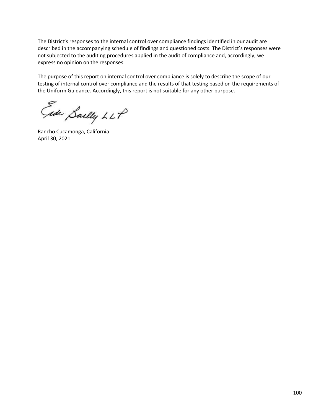The District's responses to the internal control over compliance findings identified in our audit are described in the accompanying schedule of findings and questioned costs. The District's responses were not subjected to the auditing procedures applied in the audit of compliance and, accordingly, we express no opinion on the responses.

The purpose of this report on internal control over compliance is solely to describe the scope of our testing of internal control over compliance and the results of that testing based on the requirements of the Uniform Guidance. Accordingly, this report is not suitable for any other purpose.

Gade Saelly LLP

Rancho Cucamonga, California April 30, 2021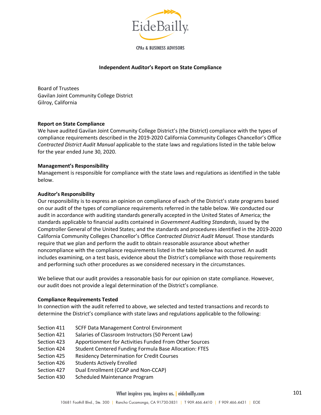

**CPAs & BUSINESS ADVISORS** 

#### **Independent Auditor's Report on State Compliance**

Board of Trustees Gavilan Joint Community College District Gilroy, California

#### **Report on State Compliance**

We have audited Gavilan Joint Community College District's (the District) compliance with the types of compliance requirements described in the 2019-2020 California Community Colleges Chancellor's Office *Contracted District Audit Manual* applicable to the state laws and regulations listed in the table below for the year ended June 30, 2020.

#### **Management's Responsibility**

Management is responsible for compliance with the state laws and regulations as identified in the table below.

#### **Auditor's Responsibility**

Our responsibility is to express an opinion on compliance of each of the District's state programs based on our audit of the types of compliance requirements referred in the table below. We conducted our audit in accordance with auditing standards generally accepted in the United States of America; the standards applicable to financial audits contained in *Government Auditing Standards*, issued by the Comptroller General of the United States; and the standards and procedures identified in the 2019-2020 California Community Colleges Chancellor's Office *Contracted District Audit Manual*. Those standards require that we plan and perform the audit to obtain reasonable assurance about whether noncompliance with the compliance requirements listed in the table below has occurred. An audit includes examining, on a test basis, evidence about the District's compliance with those requirements and performing such other procedures as we considered necessary in the circumstances.

We believe that our audit provides a reasonable basis for our opinion on state compliance. However, our audit does not provide a legal determination of the District's compliance.

#### **Compliance Requirements Tested**

In connection with the audit referred to above, we selected and tested transactions and records to determine the District's compliance with state laws and regulations applicable to the following:

- Section 411 SCFF Data Management Control Environment
- Section 421 Salaries of Classroom Instructors (50 Percent Law)
- Section 423 Apportionment for Activities Funded From Other Sources
- Section 424 Student Centered Funding Formula Base Allocation: FTES
- Section 425 Residency Determination for Credit Courses
- Section 426 Students Actively Enrolled
- Section 427 Dual Enrollment (CCAP and Non-CCAP)
- Section 430 Scheduled Maintenance Program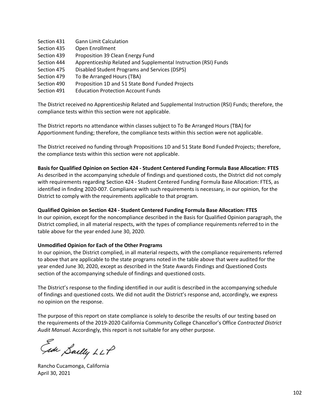- Section 431 Gann Limit Calculation Section 435 Open Enrollment Section 439 Proposition 39 Clean Energy Fund Section 444 Apprenticeship Related and Supplemental Instruction (RSI) Funds Section 475 Disabled Student Programs and Services (DSPS) Section 479 To Be Arranged Hours (TBA) Section 490 Proposition 1D and 51 State Bond Funded Projects
- Section 491 Education Protection Account Funds

The District received no Apprenticeship Related and Supplemental Instruction (RSI) Funds; therefore, the compliance tests within this section were not applicable.

The District reports no attendance within classes subject to To Be Arranged Hours (TBA) for Apportionment funding; therefore, the compliance tests within this section were not applicable.

The District received no funding through Propositions 1D and 51 State Bond Funded Projects; therefore, the compliance tests within this section were not applicable.

#### **Basis for Qualified Opinion on Section 424 - Student Centered Funding Formula Base Allocation: FTES**

As described in the accompanying schedule of findings and questioned costs, the District did not comply with requirements regarding Section 424 - Student Centered Funding Formula Base Allocation: FTES, as identified in finding 2020-007. Compliance with such requirements is necessary, in our opinion, for the District to comply with the requirements applicable to that program.

#### **Qualified Opinion on Section 424 - Student Centered Funding Formula Base Allocation: FTES**

In our opinion, except for the noncompliance described in the Basis for Qualified Opinion paragraph, the District complied, in all material respects, with the types of compliance requirements referred to in the table above for the year ended June 30, 2020.

#### **Unmodified Opinion for Each of the Other Programs**

In our opinion, the District complied, in all material respects, with the compliance requirements referred to above that are applicable to the state programs noted in the table above that were audited for the year ended June 30, 2020, except as described in the State Awards Findings and Questioned Costs section of the accompanying schedule of findings and questioned costs.

The District's response to the finding identified in our audit is described in the accompanying schedule of findings and questioned costs. We did not audit the District's response and, accordingly, we express no opinion on the response.

The purpose of this report on state compliance is solely to describe the results of our testing based on the requirements of the 2019-2020 California Community College Chancellor's Office *Contracted District Audit Manual*. Accordingly, this report is not suitable for any other purpose.

Gide Sailly LLP

Rancho Cucamonga, California April 30, 2021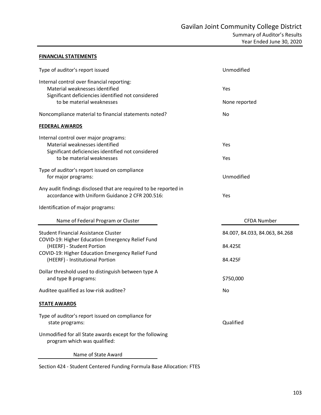#### **FINANCIAL STATEMENTS**

| Type of auditor's report issued                                                                                                                                                                                                    | Unmodified                                           |
|------------------------------------------------------------------------------------------------------------------------------------------------------------------------------------------------------------------------------------|------------------------------------------------------|
| Internal control over financial reporting:<br>Material weaknesses identified<br>Significant deficiencies identified not considered<br>to be material weaknesses                                                                    | Yes<br>None reported                                 |
| Noncompliance material to financial statements noted?                                                                                                                                                                              | No                                                   |
| <b>FEDERAL AWARDS</b>                                                                                                                                                                                                              |                                                      |
| Internal control over major programs:<br>Material weaknesses identified<br>Significant deficiencies identified not considered<br>to be material weaknesses<br>Type of auditor's report issued on compliance<br>for major programs: | Yes<br>Yes<br>Unmodified                             |
| Any audit findings disclosed that are required to be reported in<br>accordance with Uniform Guidance 2 CFR 200.516:<br>Identification of major programs:                                                                           | Yes                                                  |
|                                                                                                                                                                                                                                    |                                                      |
| Name of Federal Program or Cluster                                                                                                                                                                                                 | <b>CFDA Number</b>                                   |
| Student Financial Assistance Cluster<br>COVID-19: Higher Education Emergency Relief Fund<br>(HEERF) - Student Portion<br>COVID-19: Higher Education Emergency Relief Fund<br>(HEERF) - Institutional Portion                       | 84.007, 84.033, 84.063, 84.268<br>84.425E<br>84.425F |
| Dollar threshold used to distinguish between type A<br>and type B programs:<br>Auditee qualified as low-risk auditee?                                                                                                              | \$750,000<br>No                                      |
|                                                                                                                                                                                                                                    |                                                      |
| <b>STATE AWARDS</b><br>Type of auditor's report issued on compliance for<br>state programs:                                                                                                                                        | Qualified                                            |
| Unmodified for all State awards except for the following<br>program which was qualified:                                                                                                                                           |                                                      |

Section 424 - Student Centered Funding Formula Base Allocation: FTES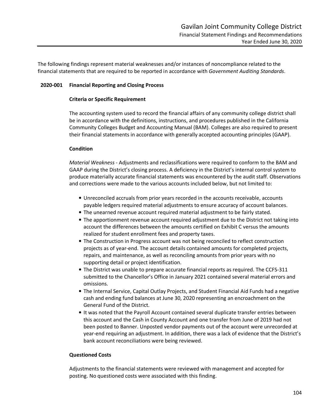The following findings represent material weaknesses and/or instances of noncompliance related to the financial statements that are required to be reported in accordance with *Government Auditing Standards*.

#### **2020-001 Financial Reporting and Closing Process**

#### **Criteria or Specific Requirement**

 The accounting system used to record the financial affairs of any community college district shall be in accordance with the definitions, instructions, and procedures published in the California Community Colleges Budget and Accounting Manual (BAM). Colleges are also required to present their financial statements in accordance with generally accepted accounting principles (GAAP).

#### **Condition**

*Material Weakness* - Adjustments and reclassifications were required to conform to the BAM and GAAP during the District's closing process. A deficiency in the District's internal control system to produce materially accurate financial statements was encountered by the audit staff. Observations and corrections were made to the various accounts included below, but not limited to:

- Unreconciled accruals from prior years recorded in the accounts receivable, accounts payable ledgers required material adjustments to ensure accuracy of account balances.
- The unearned revenue account required material adjustment to be fairly stated.
- The apportionment revenue account required adjustment due to the District not taking into account the differences between the amounts certified on Exhibit C versus the amounts realized for student enrollment fees and property taxes.
- The Construction in Progress account was not being reconciled to reflect construction projects as of year-end. The account details contained amounts for completed projects, repairs, and maintenance, as well as reconciling amounts from prior years with no supporting detail or project identification.
- The District was unable to prepare accurate financial reports as required. The CCFS-311 submitted to the Chancellor's Office in January 2021 contained several material errors and omissions.
- The Internal Service, Capital Outlay Projects, and Student Financial Aid Funds had a negative cash and ending fund balances at June 30, 2020 representing an encroachment on the General Fund of the District.
- It was noted that the Payroll Account contained several duplicate transfer entries between this account and the Cash in County Account and one transfer from June of 2019 had not been posted to Banner. Unposted vendor payments out of the account were unrecorded at year-end requiring an adjustment. In addition, there was a lack of evidence that the District's bank account reconciliations were being reviewed.

#### **Questioned Costs**

 Adjustments to the financial statements were reviewed with management and accepted for posting. No questioned costs were associated with this finding.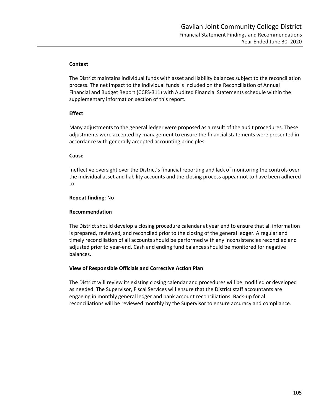#### **Context**

 The District maintains individual funds with asset and liability balances subject to the reconciliation process. The net impact to the individual funds is included on the Reconciliation of Annual Financial and Budget Report (CCFS-311) with Audited Financial Statements schedule within the supplementary information section of this report.

## **Effect**

 Many adjustments to the general ledger were proposed as a result of the audit procedures. These adjustments were accepted by management to ensure the financial statements were presented in accordance with generally accepted accounting principles.

#### **Cause**

 Ineffective oversight over the District's financial reporting and lack of monitoring the controls over the individual asset and liability accounts and the closing process appear not to have been adhered to.

#### **Repeat finding**: No

## **Recommendation**

 The District should develop a closing procedure calendar at year end to ensure that all information is prepared, reviewed, and reconciled prior to the closing of the general ledger. A regular and timely reconciliation of all accounts should be performed with any inconsistencies reconciled and adjusted prior to year-end. Cash and ending fund balances should be monitored for negative balances.

## **View of Responsible Officials and Corrective Action Plan**

 The District will review its existing closing calendar and procedures will be modified or developed as needed. The Supervisor, Fiscal Services will ensure that the District staff accountants are engaging in monthly general ledger and bank account reconciliations. Back-up for all reconciliations will be reviewed monthly by the Supervisor to ensure accuracy and compliance.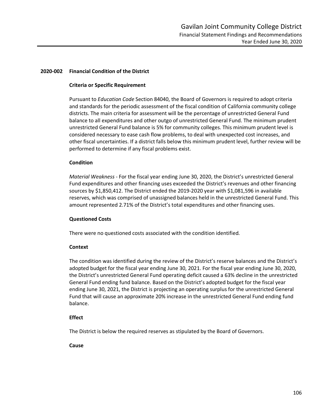#### **2020-002 Financial Condition of the District**

#### **Criteria or Specific Requirement**

 Pursuant to *Education Code* Section 84040, the Board of Governors is required to adopt criteria and standards for the periodic assessment of the fiscal condition of California community college districts. The main criteria for assessment will be the percentage of unrestricted General Fund balance to all expenditures and other outgo of unrestricted General Fund. The minimum prudent unrestricted General Fund balance is 5% for community colleges. This minimum prudent level is considered necessary to ease cash flow problems, to deal with unexpected cost increases, and other fiscal uncertainties. If a district falls below this minimum prudent level, further review will be performed to determine if any fiscal problems exist.

## **Condition**

*Material Weakness* - For the fiscal year ending June 30, 2020, the District's unrestricted General Fund expenditures and other financing uses exceeded the District's revenues and other financing sources by \$1,850,412. The District ended the 2019-2020 year with \$1,081,596 in available reserves, which was comprised of unassigned balances held in the unrestricted General Fund. This amount represented 2.71% of the District's total expenditures and other financing uses.

## **Questioned Costs**

There were no questioned costs associated with the condition identified.

## **Context**

 The condition was identified during the review of the District's reserve balances and the District's adopted budget for the fiscal year ending June 30, 2021. For the fiscal year ending June 30, 2020, the District's unrestricted General Fund operating deficit caused a 63% decline in the unrestricted General Fund ending fund balance. Based on the District's adopted budget for the fiscal year ending June 30, 2021, the District is projecting an operating surplus for the unrestricted General Fund that will cause an approximate 20% increase in the unrestricted General Fund ending fund balance.

## **Effect**

The District is below the required reserves as stipulated by the Board of Governors.

#### **Cause**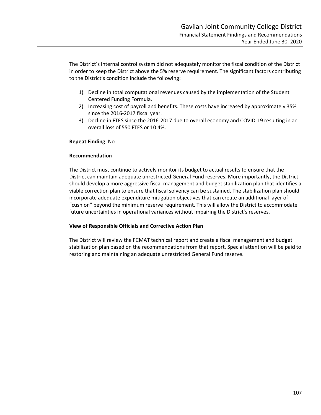The District's internal control system did not adequately monitor the fiscal condition of the District in order to keep the District above the 5% reserve requirement. The significant factors contributing to the District's condition include the following:

- 1) Decline in total computational revenues caused by the implementation of the Student Centered Funding Formula.
- 2) Increasing cost of payroll and benefits. These costs have increased by approximately 35% since the 2016-2017 fiscal year.
- 3) Decline in FTES since the 2016-2017 due to overall economy and COVID-19 resulting in an overall loss of 550 FTES or 10.4%.

# **Repeat Finding**: No

## **Recommendation**

 The District must continue to actively monitor its budget to actual results to ensure that the District can maintain adequate unrestricted General Fund reserves. More importantly, the District should develop a more aggressive fiscal management and budget stabilization plan that identifies a viable correction plan to ensure that fiscal solvency can be sustained. The stabilization plan should incorporate adequate expenditure mitigation objectives that can create an additional layer of "cushion" beyond the minimum reserve requirement. This will allow the District to accommodate future uncertainties in operational variances without impairing the District's reserves.

## **View of Responsible Officials and Corrective Action Plan**

 The District will review the FCMAT technical report and create a fiscal management and budget stabilization plan based on the recommendations from that report. Special attention will be paid to restoring and maintaining an adequate unrestricted General Fund reserve.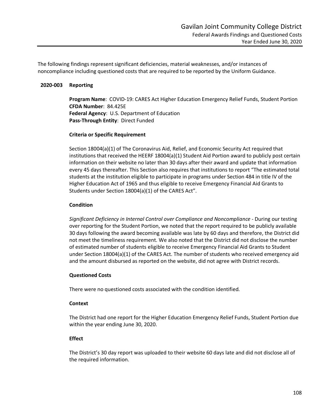The following findings represent significant deficiencies, material weaknesses, and/or instances of noncompliance including questioned costs that are required to be reported by the Uniform Guidance.

# **2020-003 Reporting**

**Program Name**:COVID-19: CARES Act Higher Education Emergency Relief Funds, Student Portion **CFDA Number**:84.425E **Federal Agency**:U.S. Department of Education **Pass-Through Entity**: Direct Funded

## **Criteria or Specific Requirement**

 Section 18004(a)(1) of The Coronavirus Aid, Relief, and Economic Security Act required that institutions that received the HEERF 18004(a)(1) Student Aid Portion award to publicly post certain information on their website no later than 30 days after their award and update that information every 45 days thereafter. This Section also requires that institutions to report "The estimated total students at the institution eligible to participate in programs under Section 484 in title IV of the Higher Education Act of 1965 and thus eligible to receive Emergency Financial Aid Grants to Students under Section 18004(a)(1) of the CARES Act".

## **Condition**

*Significant Deficiency in Internal Control over Compliance and Noncompliance* - During our testing over reporting for the Student Portion, we noted that the report required to be publicly available 30 days following the award becoming available was late by 60 days and therefore, the District did not meet the timeliness requirement. We also noted that the District did not disclose the number of estimated number of students eligible to receive Emergency Financial Aid Grants to Student under Section 18004(a)(1) of the CARES Act. The number of students who received emergency aid and the amount disbursed as reported on the website, did not agree with District records.

# **Questioned Costs**

There were no questioned costs associated with the condition identified.

## **Context**

The District had one report for the Higher Education Emergency Relief Funds, Student Portion due within the year ending June 30, 2020.

# **Effect**

 The District's 30 day report was uploaded to their website 60 days late and did not disclose all of the required information.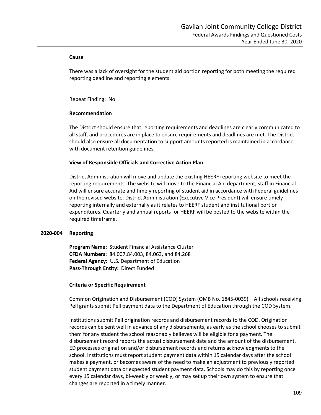#### **Cause**

 There was a lack of oversight for the student aid portion reporting for both meeting the required reporting deadline and reporting elements.

Repeat Finding: No

#### **Recommendation**

 The District should ensure that reporting requirements and deadlines are clearly communicated to all staff, and procedures are in place to ensure requirements and deadlines are met. The District should also ensure all documentation to support amounts reported is maintained in accordance with document retention guidelines.

#### **View of Responsible Officials and Corrective Action Plan**

 District Administration will move and update the existing HEERF reporting website to meet the reporting requirements. The website will move to the Financial Aid department; staff in Financial Aid will ensure accurate and timely reporting of student aid in accordance with Federal guidelines on the revised website. District Administration (Executive Vice President) will ensure timely reporting internally and externally as it relates to HEERF student and institutional portion expenditures. Quarterly and annual reports for HEERF will be posted to the website within the required timeframe.

#### **2020-004 Reporting**

 **Program Name:** Student Financial Assistance Cluster **CFDA Numbers:** 84.007,84.003, 84.063, and 84.268 **Federal Agency:** U.S. Department of Education **Pass-Through Entity:** Direct Funded

#### **Criteria or Specific Requirement**

Common Origination and Disbursement (COD) System (OMB No. 1845-0039) – All schools receiving Pell grants submit Pell payment data to the Department of Education through the COD System.

Institutions submit Pell origination records and disbursement records to the COD. Origination records can be sent well in advance of any disbursements, as early as the school chooses to submit them for any student the school reasonably believes will be eligible for a payment. The disbursement record reports the actual disbursement date and the amount of the disbursement. ED processes origination and/or disbursement records and returns acknowledgments to the school. Institutions must report student payment data within 15 calendar days after the school makes a payment, or becomes aware of the need to make an adjustment to previously reported student payment data or expected student payment data. Schools may do this by reporting once every 15 calendar days, bi-weekly or weekly, or may set up their own system to ensure that changes are reported in a timely manner.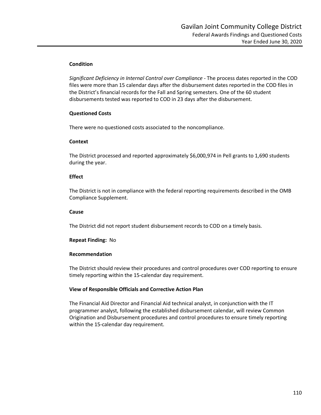# **Condition**

*Significant Deficiency in Internal Control over Compliance -* The process dates reported in the COD files were more than 15 calendar days after the disbursement dates reported in the COD files in the District's financial records for the Fall and Spring semesters. One of the 60 student disbursements tested was reported to COD in 23 days after the disbursement.

# **Questioned Costs**

There were no questioned costs associated to the noncompliance.

## **Context**

The District processed and reported approximately \$6,000,974 in Pell grants to 1,690 students during the year.

# **Effect**

The District is not in compliance with the federal reporting requirements described in the OMB Compliance Supplement.

## **Cause**

The District did not report student disbursement records to COD on a timely basis.

## **Repeat Finding:** No

## **Recommendation**

The District should review their procedures and control procedures over COD reporting to ensure timely reporting within the 15-calendar day requirement.

## **View of Responsible Officials and Corrective Action Plan**

The Financial Aid Director and Financial Aid technical analyst, in conjunction with the IT programmer analyst, following the established disbursement calendar, will review Common Origination and Disbursement procedures and control procedures to ensure timely reporting within the 15-calendar day requirement.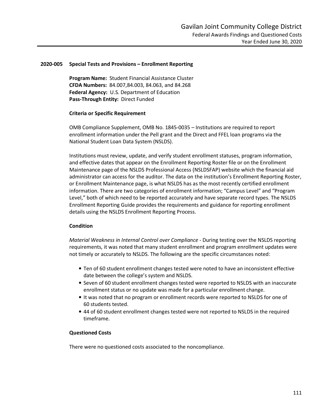#### **2020-005 Special Tests and Provisions – Enrollment Reporting**

 **Program Name:** Student Financial Assistance Cluster **CFDA Numbers:** 84.007,84.003, 84.063, and 84.268 **Federal Agency:** U.S. Department of Education **Pass-Through Entity:** Direct Funded

#### **Criteria or Specific Requirement**

OMB Compliance Supplement, OMB No. 1845-0035 – Institutions are required to report enrollment information under the Pell grant and the Direct and FFEL loan programs via the National Student Loan Data System (NSLDS).

Institutions must review, update, and verify student enrollment statuses, program information, and effective dates that appear on the Enrollment Reporting Roster file or on the Enrollment Maintenance page of the NSLDS Professional Access (NSLDSFAP) website which the financial aid administrator can access for the auditor. The data on the institution's Enrollment Reporting Roster, or Enrollment Maintenance page, is what NSLDS has as the most recently certified enrollment information. There are two categories of enrollment information; "Campus Level" and "Program Level," both of which need to be reported accurately and have separate record types. The NSLDS Enrollment Reporting Guide provides the requirements and guidance for reporting enrollment details using the NSLDS Enrollment Reporting Process.

## **Condition**

*Material Weakness in Internal Control over Compliance - During testing over the NSLDS reporting* requirements, it was noted that many student enrollment and program enrollment updates were not timely or accurately to NSLDS. The following are the specific circumstances noted:

- Ten of 60 student enrollment changes tested were noted to have an inconsistent effective date between the college's system and NSLDS.
- Seven of 60 student enrollment changes tested were reported to NSLDS with an inaccurate enrollment status or no update was made for a particular enrollment change.
- It was noted that no program or enrollment records were reported to NSLDS for one of 60 students tested.
- 44 of 60 student enrollment changes tested were not reported to NSLDS in the required timeframe.

## **Questioned Costs**

There were no questioned costs associated to the noncompliance.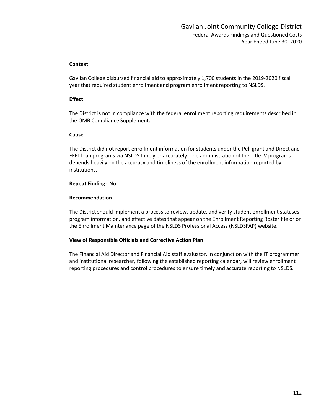# **Context**

Gavilan College disbursed financial aid to approximately 1,700 students in the 2019-2020 fiscal year that required student enrollment and program enrollment reporting to NSLDS.

# **Effect**

The District is not in compliance with the federal enrollment reporting requirements described in the OMB Compliance Supplement.

## **Cause**

The District did not report enrollment information for students under the Pell grant and Direct and FFEL loan programs via NSLDS timely or accurately. The administration of the Title IV programs depends heavily on the accuracy and timeliness of the enrollment information reported by institutions.

## **Repeat Finding:** No

## **Recommendation**

The District should implement a process to review, update, and verify student enrollment statuses, program information, and effective dates that appear on the Enrollment Reporting Roster file or on the Enrollment Maintenance page of the NSLDS Professional Access (NSLDSFAP) website.

## **View of Responsible Officials and Corrective Action Plan**

The Financial Aid Director and Financial Aid staff evaluator, in conjunction with the IT programmer and institutional researcher, following the established reporting calendar, will review enrollment reporting procedures and control procedures to ensure timely and accurate reporting to NSLDS.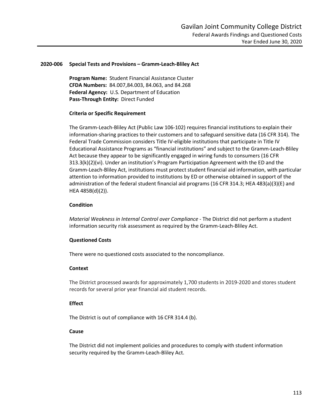#### **2020-006 Special Tests and Provisions – Gramm-Leach-Bliley Act**

 **Program Name:** Student Financial Assistance Cluster **CFDA Numbers:** 84.007,84.003, 84.063, and 84.268 **Federal Agency:** U.S. Department of Education **Pass-Through Entity:** Direct Funded

## **Criteria or Specific Requirement**

The Gramm-Leach-Bliley Act (Public Law 106-102) requires financial institutions to explain their information-sharing practices to their customers and to safeguard sensitive data (16 CFR 314). The Federal Trade Commission considers Title IV-eligible institutions that participate in Title IV Educational Assistance Programs as "financial institutions" and subject to the Gramm-Leach-Bliley Act because they appear to be significantly engaged in wiring funds to consumers (16 CFR 313.3(k)(2)(vi). Under an institution's Program Participation Agreement with the ED and the Gramm-Leach-Bliley Act, institutions must protect student financial aid information, with particular attention to information provided to institutions by ED or otherwise obtained in support of the administration of the federal student financial aid programs (16 CFR 314.3; HEA 483(a)(3)(E) and HEA 485B(d)(2)).

#### **Condition**

*Material Weakness in Internal Control over Compliance* - The District did not perform a student information security risk assessment as required by the Gramm-Leach-Bliley Act.

## **Questioned Costs**

There were no questioned costs associated to the noncompliance.

## **Context**

The District processed awards for approximately 1,700 students in 2019-2020 and stores student records for several prior year financial aid student records.

## **Effect**

The District is out of compliance with 16 CFR 314.4 (b).

## **Cause**

The District did not implement policies and procedures to comply with student information security required by the Gramm-Leach-Bliley Act.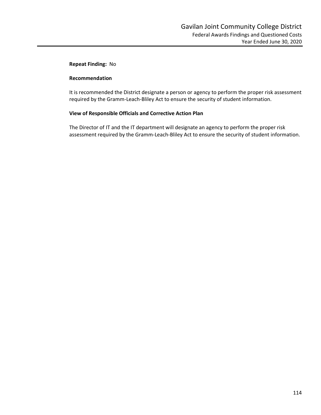#### **Repeat Finding:** No

#### **Recommendation**

It is recommended the District designate a person or agency to perform the proper risk assessment required by the Gramm-Leach-Bliley Act to ensure the security of student information.

# **View of Responsible Officials and Corrective Action Plan**

The Director of IT and the IT department will designate an agency to perform the proper risk assessment required by the Gramm-Leach-Bliley Act to ensure the security of student information.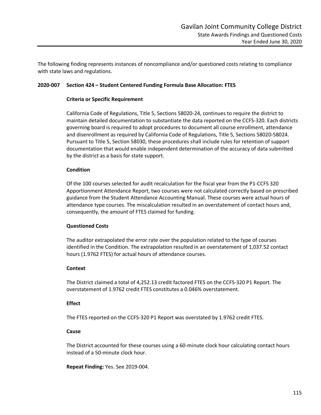The following finding represents instances of noncompliance and/or questioned costs relating to compliance with state laws and regulations.

## **2020-007 Section 424 – Student Centered Funding Formula Base Allocation: FTES**

#### **Criteria or Specific Requirement**

 California Code of Regulations, Title 5, Sections 58020-24, continues to require the district to maintain detailed documentation to substantiate the data reported on the CCFS-320. Each districts governing board is required to adopt procedures to document all course enrollment, attendance and disenrollment as required by California Code of Regulations, Title 5, Sections 58020-58024. Pursuant to Title 5, Section 58030, these procedures shall include rules for retention of support documentation that would enable independent determination of the accuracy of data submitted by the district as a basis for state support.

#### **Condition**

Of the 100 courses selected for audit recalculation for the fiscal year from the P1-CCFS 320 Apportionment Attendance Report, two courses were not calculated correctly based on prescribed guidance from the Student Attendance Accounting Manual. These courses were actual hours of attendance type courses. The miscalculation resulted in an overstatement of contact hours and, consequently, the amount of FTES claimed for funding.

## **Questioned Costs**

 The auditor extrapolated the error rate over the population related to the type of courses identified in the Condition. The extrapolation resulted in an overstatement of 1,037.52 contact hours (1.9762 FTES) for actual hours of attendance courses.

#### **Context**

 The District claimed a total of 4,252.13 credit factored FTES on the CCFS-320 P1 Report. The overstatement of 1.9762 credit FTES constitutes a 0.046% overstatement.

#### **Effect**

The FTES reported on the CCFS-320 P1 Report was overstated by 1.9762 credit FTES.

#### **Cause**

The District accounted for these courses using a 60-minute clock hour calculating contact hours instead of a 50-minute clock hour.

**Repeat Finding:** Yes. See 2019-004.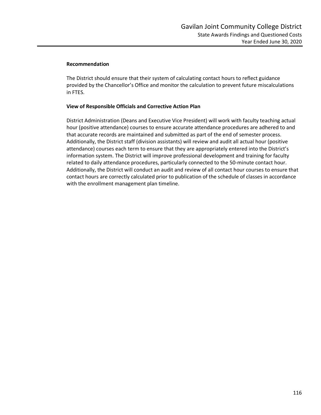## **Recommendation**

 The District should ensure that their system of calculating contact hours to reflect guidance provided by the Chancellor's Office and monitor the calculation to prevent future miscalculations in FTES.

## **View of Responsible Officials and Corrective Action Plan**

 District Administration (Deans and Executive Vice President) will work with faculty teaching actual hour (positive attendance) courses to ensure accurate attendance procedures are adhered to and that accurate records are maintained and submitted as part of the end of semester process. Additionally, the District staff (division assistants) will review and audit all actual hour (positive attendance) courses each term to ensure that they are appropriately entered into the District's information system. The District will improve professional development and training for faculty related to daily attendance procedures, particularly connected to the 50-minute contact hour. Additionally, the District will conduct an audit and review of all contact hour courses to ensure that contact hours are correctly calculated prior to publication of the schedule of classes in accordance with the enrollment management plan timeline.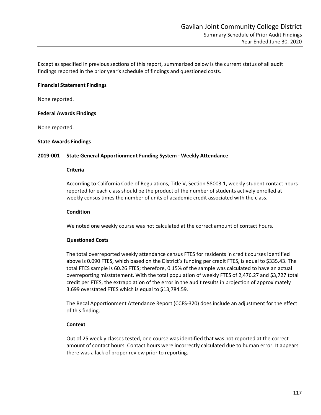Except as specified in previous sections of this report, summarized below is the current status of all audit findings reported in the prior year's schedule of findings and questioned costs.

## **Financial Statement Findings**

None reported.

## **Federal Awards Findings**

None reported.

#### **State Awards Findings**

#### **2019-001 State General Apportionment Funding System - Weekly Attendance**

#### **Criteria**

According to California Code of Regulations, Title V, Section 58003.1, weekly student contact hours reported for each class should be the product of the number of students actively enrolled at weekly census times the number of units of academic credit associated with the class.

## **Condition**

We noted one weekly course was not calculated at the correct amount of contact hours.

## **Questioned Costs**

 The total overreported weekly attendance census FTES for residents in credit courses identified above is 0.090 FTES, which based on the District's funding per credit FTES, is equal to \$335.43. The total FTES sample is 60.26 FTES; therefore, 0.15% of the sample was calculated to have an actual overreporting misstatement. With the total population of weekly FTES of 2,476.27 and \$3,727 total credit per FTES, the extrapolation of the error in the audit results in projection of approximately 3.699 overstated FTES which is equal to \$13,784.59.

The Recal Apportionment Attendance Report (CCFS-320) does include an adjustment for the effect of this finding.

## **Context**

 Out of 25 weekly classes tested, one course was identified that was not reported at the correct amount of contact hours. Contact hours were incorrectly calculated due to human error. It appears there was a lack of proper review prior to reporting.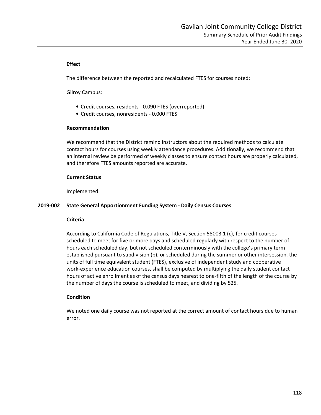## **Effect**

The difference between the reported and recalculated FTES for courses noted:

Gilroy Campus:

- Credit courses, residents 0.090 FTES (overreported)
- Credit courses, nonresidents 0.000 FTES

## **Recommendation**

 We recommend that the District remind instructors about the required methods to calculate contact hours for courses using weekly attendance procedures. Additionally, we recommend that an internal review be performed of weekly classes to ensure contact hours are properly calculated, and therefore FTES amounts reported are accurate.

## **Current Status**

Implemented.

#### **2019-002 State General Apportionment Funding System - Daily Census Courses**

#### **Criteria**

 According to California Code of Regulations, Title V, Section 58003.1 (c), for credit courses scheduled to meet for five or more days and scheduled regularly with respect to the number of hours each scheduled day, but not scheduled conterminously with the college's primary term established pursuant to subdivision (b), or scheduled during the summer or other intersession, the units of full time equivalent student (FTES), exclusive of independent study and cooperative work-experience education courses, shall be computed by multiplying the daily student contact hours of active enrollment as of the census days nearest to one-fifth of the length of the course by the number of days the course is scheduled to meet, and dividing by 525.

## **Condition**

 We noted one daily course was not reported at the correct amount of contact hours due to human error.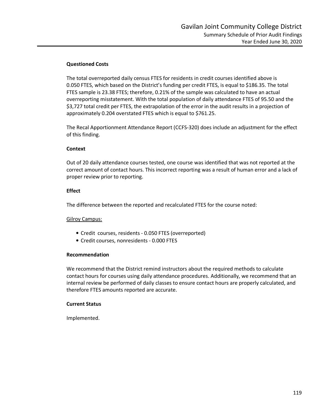#### **Questioned Costs**

 The total overreported daily census FTES for residents in credit courses identified above is 0.050 FTES, which based on the District's funding per credit FTES, is equal to \$186.35. The total FTES sample is 23.38 FTES; therefore, 0.21% of the sample was calculated to have an actual overreporting misstatement. With the total population of daily attendance FTES of 95.50 and the \$3,727 total credit per FTES, the extrapolation of the error in the audit results in a projection of approximately 0.204 overstated FTES which is equal to \$761.25.

The Recal Apportionment Attendance Report (CCFS-320) does include an adjustment for the effect of this finding.

#### **Context**

 Out of 20 daily attendance courses tested, one course was identified that was not reported at the correct amount of contact hours. This incorrect reporting was a result of human error and a lack of proper review prior to reporting.

#### **Effect**

The difference between the reported and recalculated FTES for the course noted:

## Gilroy Campus:

- Credit courses, residents 0.050 FTES (overreported)
- Credit courses, nonresidents 0.000 FTES

#### **Recommendation**

 We recommend that the District remind instructors about the required methods to calculate contact hours for courses using daily attendance procedures. Additionally, we recommend that an internal review be performed of daily classes to ensure contact hours are properly calculated, and therefore FTES amounts reported are accurate.

#### **Current Status**

Implemented.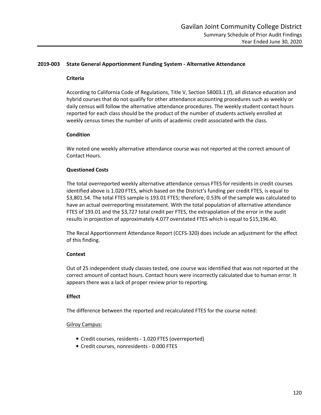## **2019-003 State General Apportionment Funding System - Alternative Attendance**

#### **Criteria**

 According to California Code of Regulations, Title V, Section 58003.1 (f), all distance education and hybrid courses that do not qualify for other attendance accounting procedures such as weekly or daily census will follow the alternative attendance procedures. The weekly student contact hours reported for each class should be the product of the number of students actively enrolled at weekly census times the number of units of academic credit associated with the class.

## **Condition**

 We noted one weekly alternative attendance course was not reported at the correct amount of Contact Hours.

## **Questioned Costs**

The total overreported weekly alternative attendance census FTES for residents in credit courses identified above is 1.020 FTES, which based on the District's funding per credit FTES, is equal to \$3,801.54. The total FTES sample is 193.01 FTES; therefore, 0.53% of the sample was calculated to have an actual overreporting misstatement. With the total population of alternative attendance FTES of 193.01 and the \$3,727 total credit per FTES, the extrapolation of the error in the audit results in projection of approximately 4.077 overstated FTES which is equal to \$15,196.40.

The Recal Apportionment Attendance Report (CCFS-320) does include an adjustment for the effect of this finding.

## **Context**

 Out of 25 independent study classes tested, one course was identified that was not reported at the correct amount of contact hours. Contact hours were incorrectly calculated due to human error. It appears there was a lack of proper review prior to reporting.

## **Effect**

The difference between the reported and recalculated FTES for the course noted:

## Gilroy Campus:

- Credit courses, residents 1.020 FTES (overreported)
- Credit courses, nonresidents 0.000 FTES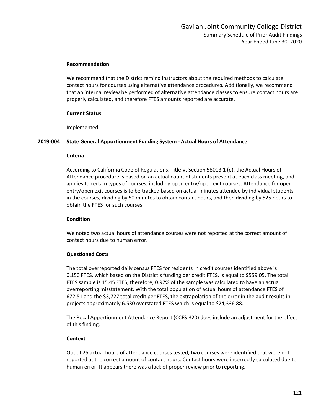#### **Recommendation**

 We recommend that the District remind instructors about the required methods to calculate contact hours for courses using alternative attendance procedures. Additionally, we recommend that an internal review be performed of alternative attendance classes to ensure contact hours are properly calculated, and therefore FTES amounts reported are accurate.

## **Current Status**

Implemented.

## **2019-004 State General Apportionment Funding System - Actual Hours of Attendance**

#### **Criteria**

 According to California Code of Regulations, Title V, Section 58003.1 (e), the Actual Hours of Attendance procedure is based on an actual count of students present at each class meeting, and applies to certain types of courses, including open entry/open exit courses. Attendance for open entry/open exit courses is to be tracked based on actual minutes attended by individual students in the courses, dividing by 50 minutes to obtain contact hours, and then dividing by 525 hours to obtain the FTES for such courses.

# **Condition**

 We noted two actual hours of attendance courses were not reported at the correct amount of contact hours due to human error.

## **Questioned Costs**

 The total overreported daily census FTES for residents in credit courses identified above is 0.150 FTES, which based on the District's funding per credit FTES, is equal to \$559.05. The total FTES sample is 15.45 FTES; therefore, 0.97% of the sample was calculated to have an actual overreporting misstatement. With the total population of actual hours of attendance FTES of 672.51 and the \$3,727 total credit per FTES, the extrapolation of the error in the audit results in projects approximately 6.530 overstated FTES which is equal to \$24,336.88.

The Recal Apportionment Attendance Report (CCFS-320) does include an adjustment for the effect of this finding.

## **Context**

 Out of 25 actual hours of attendance courses tested, two courses were identified that were not reported at the correct amount of contact hours. Contact hours were incorrectly calculated due to human error. It appears there was a lack of proper review prior to reporting.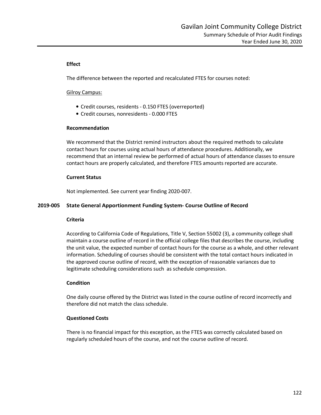## **Effect**

The difference between the reported and recalculated FTES for courses noted:

Gilroy Campus:

- Credit courses, residents 0.150 FTES (overreported)
- Credit courses, nonresidents 0.000 FTES

## **Recommendation**

 We recommend that the District remind instructors about the required methods to calculate contact hours for courses using actual hours of attendance procedures. Additionally, we recommend that an internal review be performed of actual hours of attendance classes to ensure contact hours are properly calculated, and therefore FTES amounts reported are accurate.

## **Current Status**

Not implemented. See current year finding 2020-007.

#### **2019-005 State General Apportionment Funding System- Course Outline of Record**

#### **Criteria**

 According to California Code of Regulations, Title V, Section 55002 (3), a community college shall maintain a course outline of record in the official college files that describes the course, including the unit value, the expected number of contact hours for the course as a whole, and other relevant information. Scheduling of courses should be consistent with the total contact hours indicated in the approved course outline of record, with the exception of reasonable variances due to legitimate scheduling considerations such as schedule compression.

## **Condition**

 One daily course offered by the District was listed in the course outline of record incorrectly and therefore did not match the class schedule.

## **Questioned Costs**

 There is no financial impact for this exception, as the FTES was correctly calculated based on regularly scheduled hours of the course, and not the course outline of record.